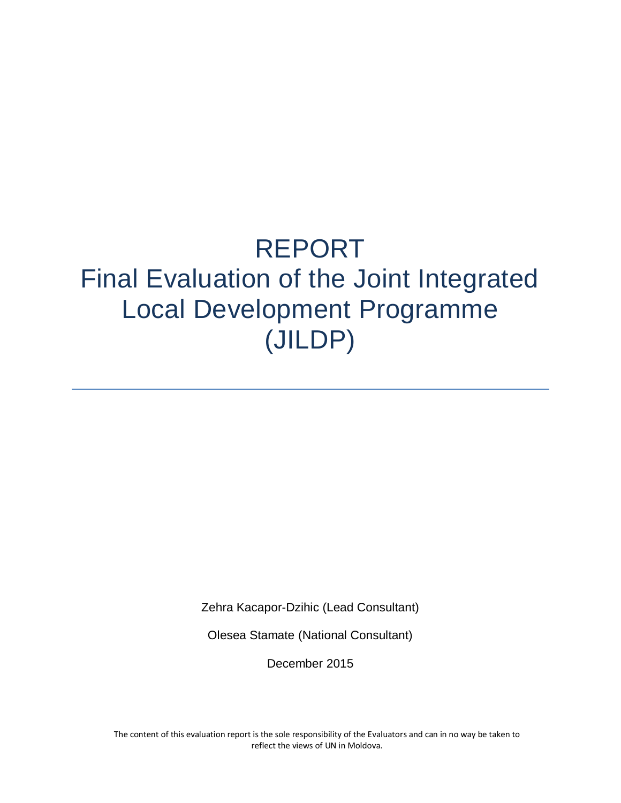# REPORT Final Evaluation of the Joint Integrated Local Development Programme (JILDP)

Zehra Kacapor-Dzihic (Lead Consultant)

Olesea Stamate (National Consultant)

December 2015

The content of this evaluation report is the sole responsibility of the Evaluators and can in no way be taken to reflect the views of UN in Moldova.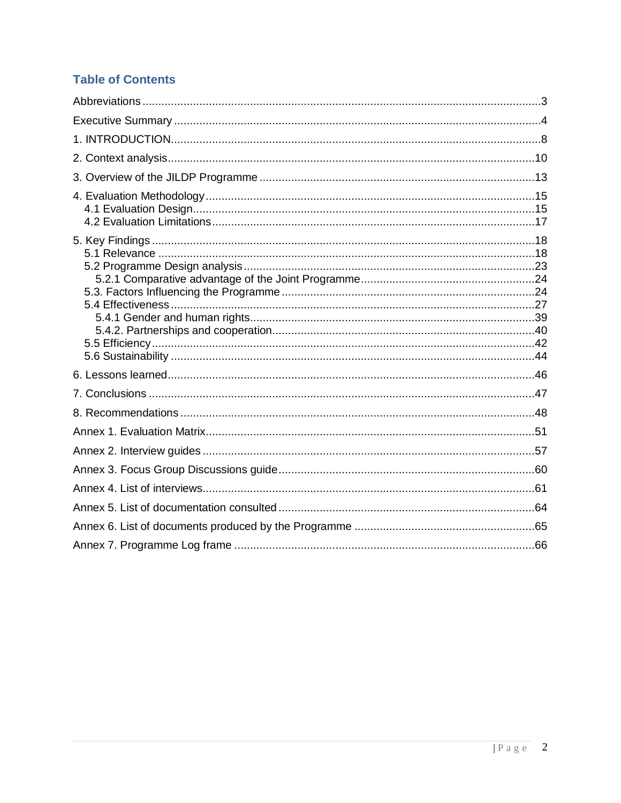# **Table of Contents**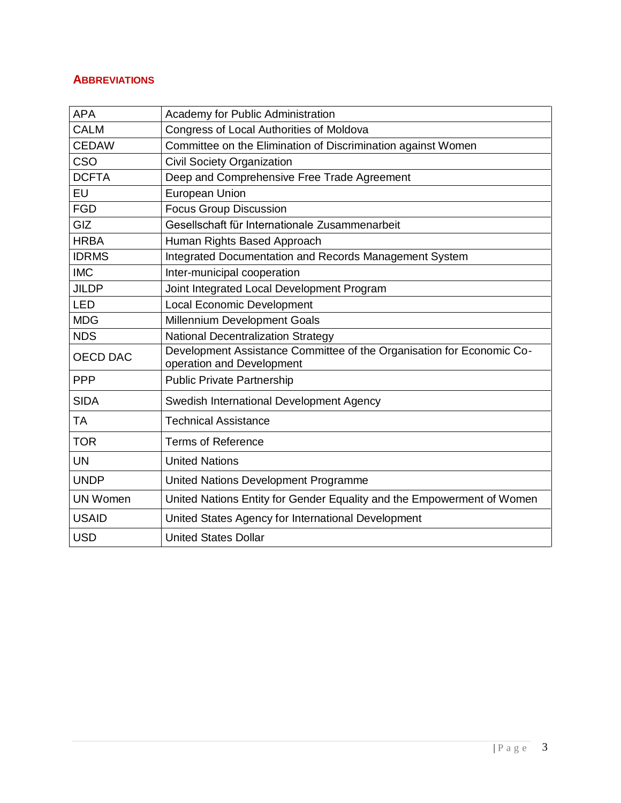## <span id="page-2-0"></span>**ABBREVIATIONS**

| <b>APA</b>      | Academy for Public Administration                                                                  |
|-----------------|----------------------------------------------------------------------------------------------------|
| <b>CALM</b>     | Congress of Local Authorities of Moldova                                                           |
| <b>CEDAW</b>    | Committee on the Elimination of Discrimination against Women                                       |
| CSO             | <b>Civil Society Organization</b>                                                                  |
| <b>DCFTA</b>    | Deep and Comprehensive Free Trade Agreement                                                        |
| EU              | <b>European Union</b>                                                                              |
| <b>FGD</b>      | <b>Focus Group Discussion</b>                                                                      |
| GIZ             | Gesellschaft für Internationale Zusammenarbeit                                                     |
| <b>HRBA</b>     | Human Rights Based Approach                                                                        |
| <b>IDRMS</b>    | Integrated Documentation and Records Management System                                             |
| <b>IMC</b>      | Inter-municipal cooperation                                                                        |
| <b>JILDP</b>    | Joint Integrated Local Development Program                                                         |
| <b>LED</b>      | <b>Local Economic Development</b>                                                                  |
| <b>MDG</b>      | Millennium Development Goals                                                                       |
| <b>NDS</b>      | <b>National Decentralization Strategy</b>                                                          |
| <b>OECD DAC</b> | Development Assistance Committee of the Organisation for Economic Co-<br>operation and Development |
| <b>PPP</b>      | <b>Public Private Partnership</b>                                                                  |
| <b>SIDA</b>     | Swedish International Development Agency                                                           |
| TA              | <b>Technical Assistance</b>                                                                        |
| <b>TOR</b>      | <b>Terms of Reference</b>                                                                          |
| <b>UN</b>       | <b>United Nations</b>                                                                              |
| <b>UNDP</b>     | United Nations Development Programme                                                               |
| <b>UN Women</b> | United Nations Entity for Gender Equality and the Empowerment of Women                             |
| <b>USAID</b>    | United States Agency for International Development                                                 |
| <b>USD</b>      | <b>United States Dollar</b>                                                                        |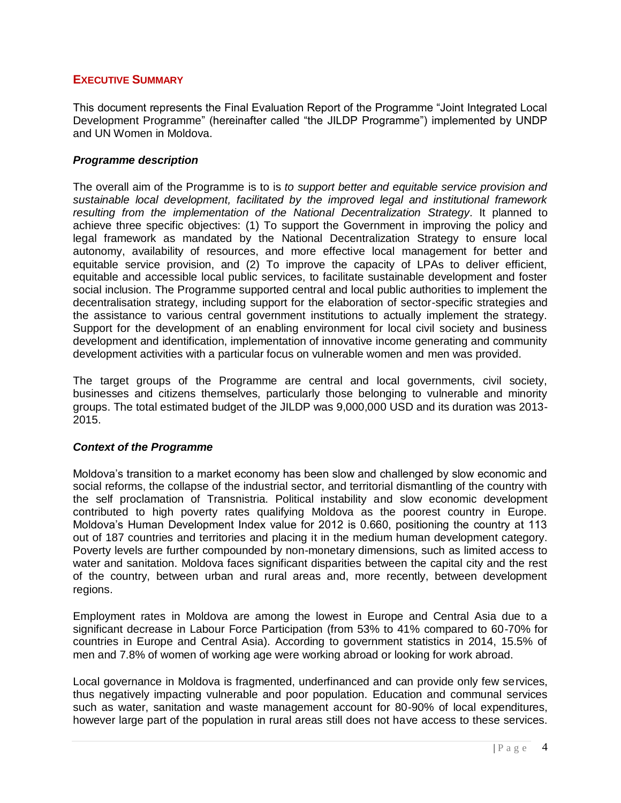## <span id="page-3-0"></span>**EXECUTIVE SUMMARY**

This document represents the Final Evaluation Report of the Programme "Joint Integrated Local Development Programme" (hereinafter called "the JILDP Programme") implemented by UNDP and UN Women in Moldova.

#### *Programme description*

The overall aim of the Programme is to is *to support better and equitable service provision and sustainable local development, facilitated by the improved legal and institutional framework resulting from the implementation of the National Decentralization Strategy*. It planned to achieve three specific objectives: (1) To support the Government in improving the policy and legal framework as mandated by the National Decentralization Strategy to ensure local autonomy, availability of resources, and more effective local management for better and equitable service provision, and (2) To improve the capacity of LPAs to deliver efficient, equitable and accessible local public services, to facilitate sustainable development and foster social inclusion. The Programme supported central and local public authorities to implement the decentralisation strategy, including support for the elaboration of sector-specific strategies and the assistance to various central government institutions to actually implement the strategy. Support for the development of an enabling environment for local civil society and business development and identification, implementation of innovative income generating and community development activities with a particular focus on vulnerable women and men was provided.

The target groups of the Programme are central and local governments, civil society, businesses and citizens themselves, particularly those belonging to vulnerable and minority groups. The total estimated budget of the JILDP was 9,000,000 USD and its duration was 2013- 2015.

## *Context of the Programme*

Moldova's transition to a market economy has been slow and challenged by slow economic and social reforms, the collapse of the industrial sector, and territorial dismantling of the country with the self proclamation of Transnistria. Political instability and slow economic development contributed to high poverty rates qualifying Moldova as the poorest country in Europe. Moldova's Human Development Index value for 2012 is 0.660, positioning the country at 113 out of 187 countries and territories and placing it in the medium human development category. Poverty levels are further compounded by non-monetary dimensions, such as limited access to water and sanitation. Moldova faces significant disparities between the capital city and the rest of the country, between urban and rural areas and, more recently, between development regions.

Employment rates in Moldova are among the lowest in Europe and Central Asia due to a significant decrease in Labour Force Participation (from 53% to 41% compared to 60-70% for countries in Europe and Central Asia). According to government statistics in 2014, 15.5% of men and 7.8% of women of working age were working abroad or looking for work abroad.

Local governance in Moldova is fragmented, underfinanced and can provide only few services, thus negatively impacting vulnerable and poor population. Education and communal services such as water, sanitation and waste management account for 80-90% of local expenditures, however large part of the population in rural areas still does not have access to these services.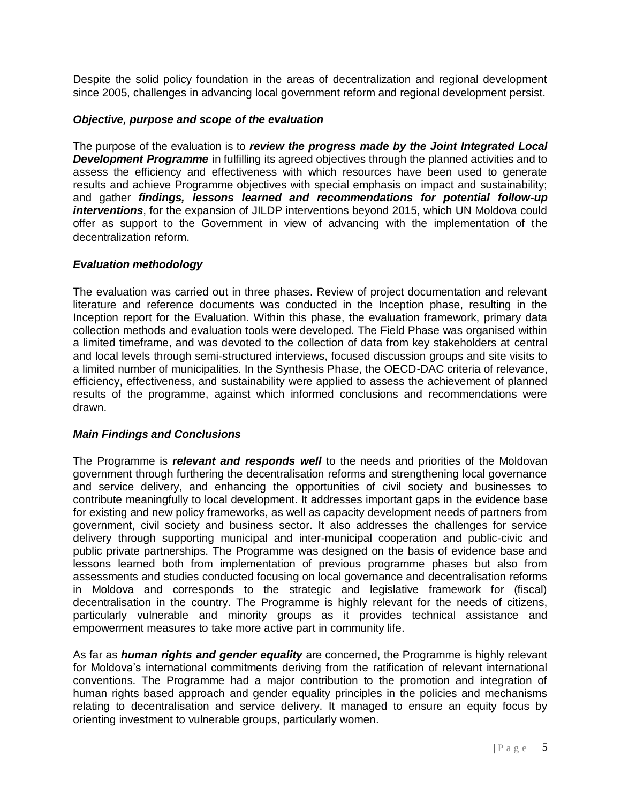Despite the solid policy foundation in the areas of decentralization and regional development since 2005, challenges in advancing local government reform and regional development persist.

## *Objective, purpose and scope of the evaluation*

The purpose of the evaluation is to *review the progress made by the Joint Integrated Local*  **Development Programme** in fulfilling its agreed objectives through the planned activities and to assess the efficiency and effectiveness with which resources have been used to generate results and achieve Programme objectives with special emphasis on impact and sustainability; and gather *findings, lessons learned and recommendations for potential follow-up interventions*, for the expansion of JILDP interventions beyond 2015, which UN Moldova could offer as support to the Government in view of advancing with the implementation of the decentralization reform.

## *Evaluation methodology*

The evaluation was carried out in three phases. Review of project documentation and relevant literature and reference documents was conducted in the Inception phase, resulting in the Inception report for the Evaluation. Within this phase, the evaluation framework, primary data collection methods and evaluation tools were developed. The Field Phase was organised within a limited timeframe, and was devoted to the collection of data from key stakeholders at central and local levels through semi-structured interviews, focused discussion groups and site visits to a limited number of municipalities. In the Synthesis Phase, the OECD-DAC criteria of relevance, efficiency, effectiveness, and sustainability were applied to assess the achievement of planned results of the programme, against which informed conclusions and recommendations were drawn.

## *Main Findings and Conclusions*

The Programme is *relevant and responds well* to the needs and priorities of the Moldovan government through furthering the decentralisation reforms and strengthening local governance and service delivery, and enhancing the opportunities of civil society and businesses to contribute meaningfully to local development. It addresses important gaps in the evidence base for existing and new policy frameworks, as well as capacity development needs of partners from government, civil society and business sector. It also addresses the challenges for service delivery through supporting municipal and inter-municipal cooperation and public-civic and public private partnerships. The Programme was designed on the basis of evidence base and lessons learned both from implementation of previous programme phases but also from assessments and studies conducted focusing on local governance and decentralisation reforms in Moldova and corresponds to the strategic and legislative framework for (fiscal) decentralisation in the country. The Programme is highly relevant for the needs of citizens, particularly vulnerable and minority groups as it provides technical assistance and empowerment measures to take more active part in community life.

As far as *human rights and gender equality* are concerned, the Programme is highly relevant for Moldova's international commitments deriving from the ratification of relevant international conventions. The Programme had a major contribution to the promotion and integration of human rights based approach and gender equality principles in the policies and mechanisms relating to decentralisation and service delivery. It managed to ensure an equity focus by orienting investment to vulnerable groups, particularly women.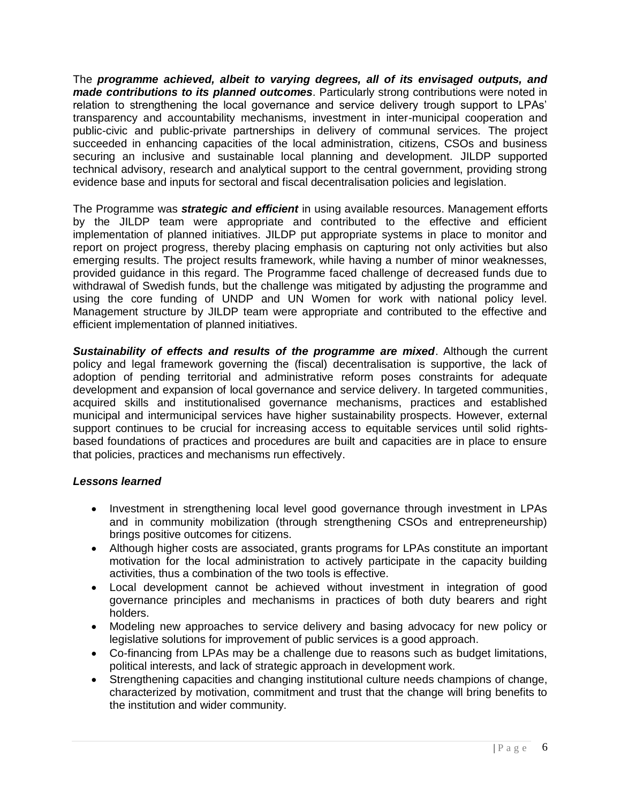The *programme achieved, albeit to varying degrees, all of its envisaged outputs, and made contributions to its planned outcomes*. Particularly strong contributions were noted in relation to strengthening the local governance and service delivery trough support to LPAs' transparency and accountability mechanisms, investment in inter-municipal cooperation and public-civic and public-private partnerships in delivery of communal services. The project succeeded in enhancing capacities of the local administration, citizens, CSOs and business securing an inclusive and sustainable local planning and development. JILDP supported technical advisory, research and analytical support to the central government, providing strong evidence base and inputs for sectoral and fiscal decentralisation policies and legislation.

The Programme was *strategic and efficient* in using available resources. Management efforts by the JILDP team were appropriate and contributed to the effective and efficient implementation of planned initiatives. JILDP put appropriate systems in place to monitor and report on project progress, thereby placing emphasis on capturing not only activities but also emerging results. The project results framework, while having a number of minor weaknesses, provided guidance in this regard. The Programme faced challenge of decreased funds due to withdrawal of Swedish funds, but the challenge was mitigated by adjusting the programme and using the core funding of UNDP and UN Women for work with national policy level. Management structure by JILDP team were appropriate and contributed to the effective and efficient implementation of planned initiatives.

*Sustainability of effects and results of the programme are mixed*. Although the current policy and legal framework governing the (fiscal) decentralisation is supportive, the lack of adoption of pending territorial and administrative reform poses constraints for adequate development and expansion of local governance and service delivery. In targeted communities, acquired skills and institutionalised governance mechanisms, practices and established municipal and intermunicipal services have higher sustainability prospects. However, external support continues to be crucial for increasing access to equitable services until solid rightsbased foundations of practices and procedures are built and capacities are in place to ensure that policies, practices and mechanisms run effectively.

## *Lessons learned*

- Investment in strengthening local level good governance through investment in LPAs and in community mobilization (through strengthening CSOs and entrepreneurship) brings positive outcomes for citizens.
- Although higher costs are associated, grants programs for LPAs constitute an important motivation for the local administration to actively participate in the capacity building activities, thus a combination of the two tools is effective.
- Local development cannot be achieved without investment in integration of good governance principles and mechanisms in practices of both duty bearers and right holders.
- Modeling new approaches to service delivery and basing advocacy for new policy or legislative solutions for improvement of public services is a good approach.
- Co-financing from LPAs may be a challenge due to reasons such as budget limitations, political interests, and lack of strategic approach in development work.
- Strengthening capacities and changing institutional culture needs champions of change, characterized by motivation, commitment and trust that the change will bring benefits to the institution and wider community.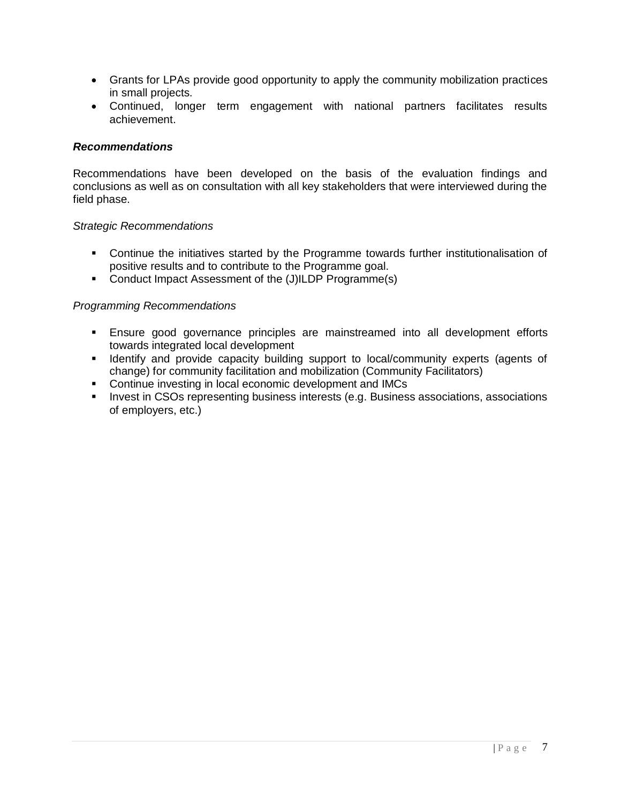- Grants for LPAs provide good opportunity to apply the community mobilization practices in small projects.
- Continued, longer term engagement with national partners facilitates results achievement.

## *Recommendations*

Recommendations have been developed on the basis of the evaluation findings and conclusions as well as on consultation with all key stakeholders that were interviewed during the field phase.

## *Strategic Recommendations*

- Continue the initiatives started by the Programme towards further institutionalisation of positive results and to contribute to the Programme goal.
- Conduct Impact Assessment of the (J)ILDP Programme(s)

## *Programming Recommendations*

- Ensure good governance principles are mainstreamed into all development efforts towards integrated local development
- **IDENTIFY and provide capacity building support to local/community experts (agents of** change) for community facilitation and mobilization (Community Facilitators)
- **Continue investing in local economic development and IMCs**
- **Invest in CSOs representing business interests (e.g. Business associations, associations** of employers, etc.)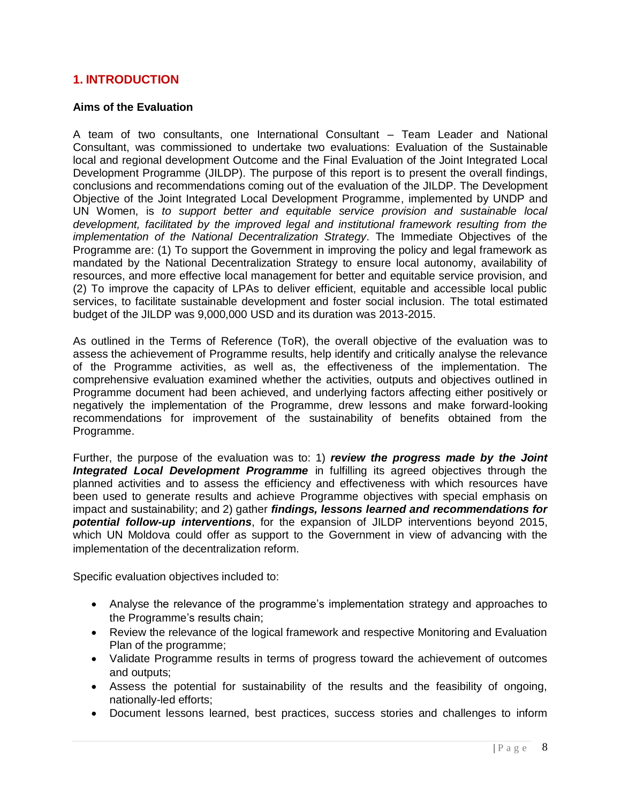## <span id="page-7-0"></span>**1. INTRODUCTION**

#### **Aims of the Evaluation**

A team of two consultants, one International Consultant – Team Leader and National Consultant, was commissioned to undertake two evaluations: Evaluation of the Sustainable local and regional development Outcome and the Final Evaluation of the Joint Integrated Local Development Programme (JILDP). The purpose of this report is to present the overall findings, conclusions and recommendations coming out of the evaluation of the JILDP. The Development Objective of the Joint Integrated Local Development Programme, implemented by UNDP and UN Women, is *to support better and equitable service provision and sustainable local development, facilitated by the improved legal and institutional framework resulting from the implementation of the National Decentralization Strategy*. The Immediate Objectives of the Programme are: (1) To support the Government in improving the policy and legal framework as mandated by the National Decentralization Strategy to ensure local autonomy, availability of resources, and more effective local management for better and equitable service provision, and (2) To improve the capacity of LPAs to deliver efficient, equitable and accessible local public services, to facilitate sustainable development and foster social inclusion. The total estimated budget of the JILDP was 9,000,000 USD and its duration was 2013-2015.

As outlined in the Terms of Reference (ToR), the overall objective of the evaluation was to assess the achievement of Programme results, help identify and critically analyse the relevance of the Programme activities, as well as, the effectiveness of the implementation. The comprehensive evaluation examined whether the activities, outputs and objectives outlined in Programme document had been achieved, and underlying factors affecting either positively or negatively the implementation of the Programme, drew lessons and make forward-looking recommendations for improvement of the sustainability of benefits obtained from the Programme.

Further, the purpose of the evaluation was to: 1) *review the progress made by the Joint*  **Integrated Local Development Programme** in fulfilling its agreed objectives through the planned activities and to assess the efficiency and effectiveness with which resources have been used to generate results and achieve Programme objectives with special emphasis on impact and sustainability; and 2) gather *findings, lessons learned and recommendations for potential follow-up interventions*, for the expansion of JILDP interventions beyond 2015, which UN Moldova could offer as support to the Government in view of advancing with the implementation of the decentralization reform.

Specific evaluation objectives included to:

- Analyse the relevance of the programme's implementation strategy and approaches to the Programme's results chain;
- Review the relevance of the logical framework and respective Monitoring and Evaluation Plan of the programme;
- Validate Programme results in terms of progress toward the achievement of outcomes and outputs;
- Assess the potential for sustainability of the results and the feasibility of ongoing, nationally-led efforts;
- Document lessons learned, best practices, success stories and challenges to inform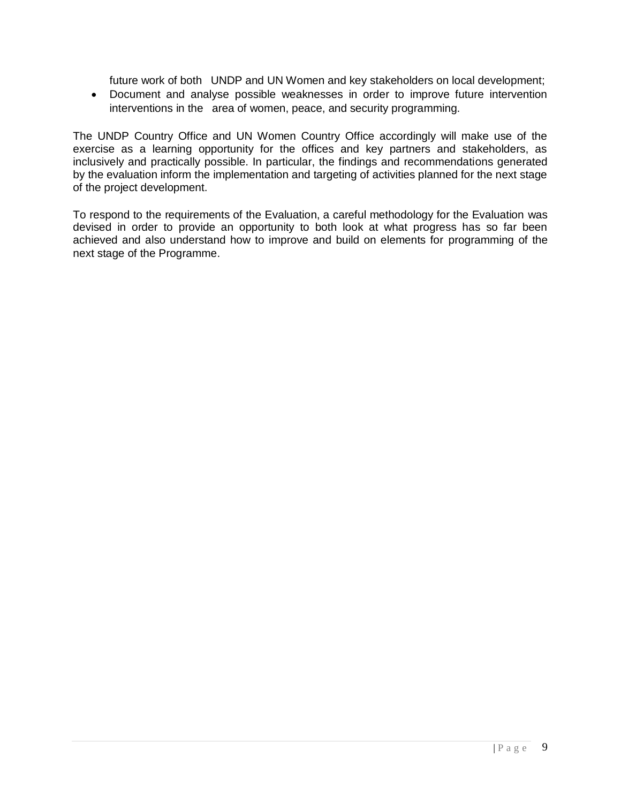future work of both UNDP and UN Women and key stakeholders on local development;

 Document and analyse possible weaknesses in order to improve future intervention interventions in the area of women, peace, and security programming.

The UNDP Country Office and UN Women Country Office accordingly will make use of the exercise as a learning opportunity for the offices and key partners and stakeholders, as inclusively and practically possible. In particular, the findings and recommendations generated by the evaluation inform the implementation and targeting of activities planned for the next stage of the project development.

To respond to the requirements of the Evaluation, a careful methodology for the Evaluation was devised in order to provide an opportunity to both look at what progress has so far been achieved and also understand how to improve and build on elements for programming of the next stage of the Programme.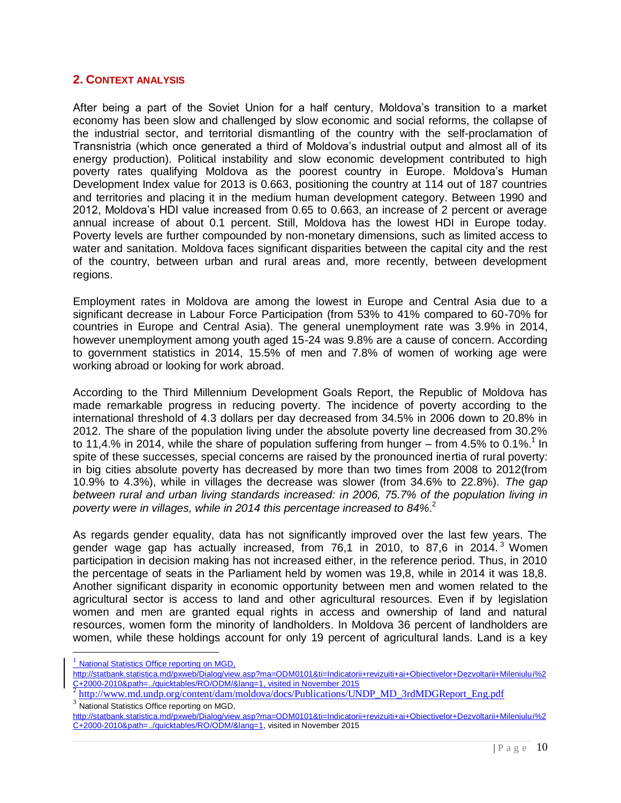#### <span id="page-9-0"></span>**2. CONTEXT ANALYSIS**

After being a part of the Soviet Union for a half century, Moldova's transition to a market economy has been slow and challenged by slow economic and social reforms, the collapse of the industrial sector, and territorial dismantling of the country with the self-proclamation of Transnistria (which once generated a third of Moldova's industrial output and almost all of its energy production). Political instability and slow economic development contributed to high poverty rates qualifying Moldova as the poorest country in Europe. Moldova's Human Development Index value for 2013 is 0.663, positioning the country at 114 out of 187 countries and territories and placing it in the medium human development category. Between 1990 and 2012, Moldova's HDI value increased from 0.65 to 0.663, an increase of 2 percent or average annual increase of about 0.1 percent. Still, Moldova has the lowest HDI in Europe today. Poverty levels are further compounded by non-monetary dimensions, such as limited access to water and sanitation. Moldova faces significant disparities between the capital city and the rest of the country, between urban and rural areas and, more recently, between development regions.

Employment rates in Moldova are among the lowest in Europe and Central Asia due to a significant decrease in Labour Force Participation (from 53% to 41% compared to 60-70% for countries in Europe and Central Asia). The general unemployment rate was 3.9% in 2014, however unemployment among youth aged 15-24 was 9.8% are a cause of concern. According to government statistics in 2014, 15.5% of men and 7.8% of women of working age were working abroad or looking for work abroad.

According to the Third Millennium Development Goals Report, the Republic of Moldova has made remarkable progress in reducing poverty. The incidence of poverty according to the international threshold of 4.3 dollars per day decreased from 34.5% in 2006 down to 20.8% in 2012. The share of the population living under the absolute poverty line decreased from 30.2% to 11,4.% in 2014, while the share of population suffering from hunger  $-$  from 4.5% to 0.1%.<sup>1</sup> In spite of these successes, special concerns are raised by the pronounced inertia of rural poverty: in big cities absolute poverty has decreased by more than two times from 2008 to 2012(from 10.9% to 4.3%), while in villages the decrease was slower (from 34.6% to 22.8%). *The gap between rural and urban living standards increased: in 2006, 75.7% of the population living in poverty were in villages, while in 2014 this percentage increased to 84%*. 2

As regards gender equality, data has not significantly improved over the last few years. The gender wage gap has actually increased, from  $76.1$  in 2010, to 87.6 in 2014.<sup>3</sup> Women participation in decision making has not increased either, in the reference period. Thus, in 2010 the percentage of seats in the Parliament held by women was 19,8, while in 2014 it was 18,8. Another significant disparity in economic opportunity between men and women related to the agricultural sector is access to land and other agricultural resources. Even if by legislation women and men are granted equal rights in access and ownership of land and natural resources, women form the minority of landholders. In Moldova 36 percent of landholders are women, while these holdings account for only 19 percent of agricultural lands. Land is a key

l

<sup>&</sup>lt;sup>1</sup> National Statistics Office reporting on MGD,

[http://statbank.statistica.md/pxweb/Dialog/view.asp?ma=ODM0101&ti=Indicatorii+revizuiti+ai+Obiectivelor+Dezvoltarii+Mileniului%2](http://statbank.statistica.md/pxweb/Dialog/view.asp?ma=ODM0101&ti=Indicatorii+revizuiti+ai+Obiectivelor+Dezvoltarii+Mileniului%2C+2000-2010&path=../quicktables/RO/ODM/&lang=1) [C+2000-2010&path=../quicktables/RO/ODM/&lang=1,](http://statbank.statistica.md/pxweb/Dialog/view.asp?ma=ODM0101&ti=Indicatorii+revizuiti+ai+Obiectivelor+Dezvoltarii+Mileniului%2C+2000-2010&path=../quicktables/RO/ODM/&lang=1) visited in November 2015<br><sup>2</sup> [http://www.md.undp.org/content/dam/moldova/docs/Publications/UNDP\\_MD\\_3rdMDGReport\\_Eng.pdf](http://www.md.undp.org/content/dam/moldova/docs/Publications/UNDP_MD_3rdMDGReport_Eng.pdf)

<sup>&</sup>lt;sup>3</sup> National Statistics Office reporting on MGD,

[http://statbank.statistica.md/pxweb/Dialog/view.asp?ma=ODM0101&ti=Indicatorii+revizuiti+ai+Obiectivelor+Dezvoltarii+Mileniului%2](http://statbank.statistica.md/pxweb/Dialog/view.asp?ma=ODM0101&ti=Indicatorii+revizuiti+ai+Obiectivelor+Dezvoltarii+Mileniului%2C+2000-2010&path=../quicktables/RO/ODM/&lang=1) [C+2000-2010&path=../quicktables/RO/ODM/&lang=1,](http://statbank.statistica.md/pxweb/Dialog/view.asp?ma=ODM0101&ti=Indicatorii+revizuiti+ai+Obiectivelor+Dezvoltarii+Mileniului%2C+2000-2010&path=../quicktables/RO/ODM/&lang=1) visited in November 2015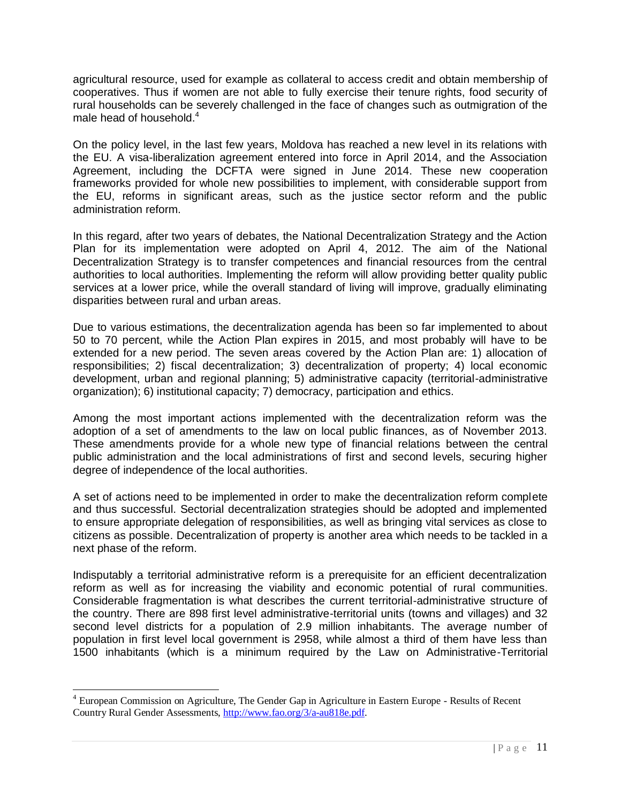agricultural resource, used for example as collateral to access credit and obtain membership of cooperatives. Thus if women are not able to fully exercise their tenure rights, food security of rural households can be severely challenged in the face of changes such as outmigration of the male head of household.<sup>4</sup>

On the policy level, in the last few years, Moldova has reached a new level in its relations with the EU. A visa-liberalization agreement entered into force in April 2014, and the Association Agreement, including the DCFTA were signed in June 2014. These new cooperation frameworks provided for whole new possibilities to implement, with considerable support from the EU, reforms in significant areas, such as the justice sector reform and the public administration reform.

In this regard, after two years of debates, the National Decentralization Strategy and the Action Plan for its implementation were adopted on April 4, 2012. The aim of the National Decentralization Strategy is to transfer competences and financial resources from the central authorities to local authorities. Implementing the reform will allow providing better quality public services at a lower price, while the overall standard of living will improve, gradually eliminating disparities between rural and urban areas.

Due to various estimations, the decentralization agenda has been so far implemented to about 50 to 70 percent, while the Action Plan expires in 2015, and most probably will have to be extended for a new period. The seven areas covered by the Action Plan are: 1) allocation of responsibilities; 2) fiscal decentralization; 3) decentralization of property; 4) local economic development, urban and regional planning; 5) administrative capacity (territorial-administrative organization); 6) institutional capacity; 7) democracy, participation and ethics.

Among the most important actions implemented with the decentralization reform was the adoption of a set of amendments to the law on local public finances, as of November 2013. These amendments provide for a whole new type of financial relations between the central public administration and the local administrations of first and second levels, securing higher degree of independence of the local authorities.

A set of actions need to be implemented in order to make the decentralization reform complete and thus successful. Sectorial decentralization strategies should be adopted and implemented to ensure appropriate delegation of responsibilities, as well as bringing vital services as close to citizens as possible. Decentralization of property is another area which needs to be tackled in a next phase of the reform.

Indisputably a territorial administrative reform is a prerequisite for an efficient decentralization reform as well as for increasing the viability and economic potential of rural communities. Considerable fragmentation is what describes the current territorial-administrative structure of the country. There are 898 first level administrative-territorial units (towns and villages) and 32 second level districts for a population of 2.9 million inhabitants. The average number of population in first level local government is 2958, while almost a third of them have less than 1500 inhabitants (which is a minimum required by the Law on Administrative-Territorial

 $\overline{a}$ 

<sup>&</sup>lt;sup>4</sup> European Commission on Agriculture, The Gender Gap in Agriculture in Eastern Europe - Results of Recent Country Rural Gender Assessments, [http://www.fao.org/3/a-au818e.pdf.](http://www.fao.org/3/a-au818e.pdf)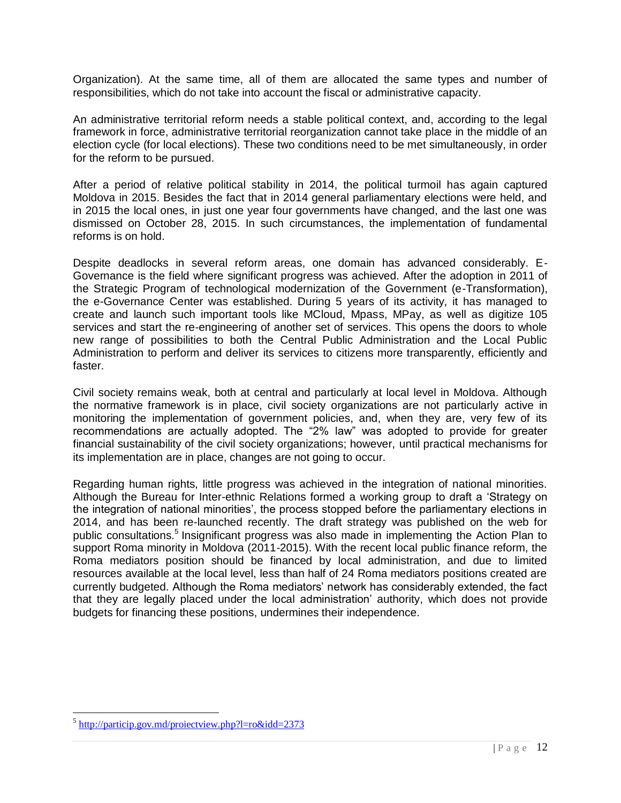Organization). At the same time, all of them are allocated the same types and number of responsibilities, which do not take into account the fiscal or administrative capacity.

An administrative territorial reform needs a stable political context, and, according to the legal framework in force, administrative territorial reorganization cannot take place in the middle of an election cycle (for local elections). These two conditions need to be met simultaneously, in order for the reform to be pursued.

After a period of relative political stability in 2014, the political turmoil has again captured Moldova in 2015. Besides the fact that in 2014 general parliamentary elections were held, and in 2015 the local ones, in just one year four governments have changed, and the last one was dismissed on October 28, 2015. In such circumstances, the implementation of fundamental reforms is on hold.

Despite deadlocks in several reform areas, one domain has advanced considerably. E-Governance is the field where significant progress was achieved. After the adoption in 2011 of the Strategic Program of technological modernization of the Government (e-Transformation), the e-Governance Center was established. During 5 years of its activity, it has managed to create and launch such important tools like MCloud, Mpass, MPay, as well as digitize 105 services and start the re-engineering of another set of services. This opens the doors to whole new range of possibilities to both the Central Public Administration and the Local Public Administration to perform and deliver its services to citizens more transparently, efficiently and faster.

Civil society remains weak, both at central and particularly at local level in Moldova. Although the normative framework is in place, civil society organizations are not particularly active in monitoring the implementation of government policies, and, when they are, very few of its recommendations are actually adopted. The "2% law" was adopted to provide for greater financial sustainability of the civil society organizations; however, until practical mechanisms for its implementation are in place, changes are not going to occur.

Regarding human rights, little progress was achieved in the integration of national minorities. Although the Bureau for Inter-ethnic Relations formed a working group to draft a 'Strategy on the integration of national minorities', the process stopped before the parliamentary elections in 2014, and has been re-launched recently. The draft strategy was published on the web for public consultations.<sup>5</sup> Insignificant progress was also made in implementing the Action Plan to support Roma minority in Moldova (2011-2015). With the recent local public finance reform, the Roma mediators position should be financed by local administration, and due to limited resources available at the local level, less than half of 24 Roma mediators positions created are currently budgeted. Although the Roma mediators' network has considerably extended, the fact that they are legally placed under the local administration' authority, which does not provide budgets for financing these positions, undermines their independence.

l

<sup>&</sup>lt;sup>5</sup> <http://particip.gov.md/proiectview.php?l=ro&idd=2373>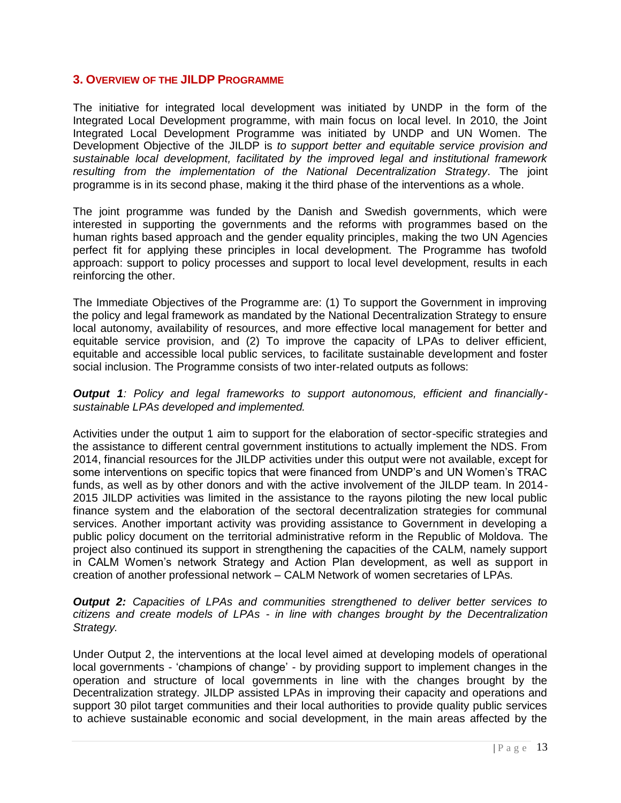## <span id="page-12-0"></span>**3. OVERVIEW OF THE JILDP PROGRAMME**

The initiative for integrated local development was initiated by UNDP in the form of the Integrated Local Development programme, with main focus on local level. In 2010, the Joint Integrated Local Development Programme was initiated by UNDP and UN Women. The Development Objective of the JILDP is *to support better and equitable service provision and sustainable local development, facilitated by the improved legal and institutional framework resulting from the implementation of the National Decentralization Strategy*. The joint programme is in its second phase, making it the third phase of the interventions as a whole.

The joint programme was funded by the Danish and Swedish governments, which were interested in supporting the governments and the reforms with programmes based on the human rights based approach and the gender equality principles, making the two UN Agencies perfect fit for applying these principles in local development. The Programme has twofold approach: support to policy processes and support to local level development, results in each reinforcing the other.

The Immediate Objectives of the Programme are: (1) To support the Government in improving the policy and legal framework as mandated by the National Decentralization Strategy to ensure local autonomy, availability of resources, and more effective local management for better and equitable service provision, and (2) To improve the capacity of LPAs to deliver efficient, equitable and accessible local public services, to facilitate sustainable development and foster social inclusion. The Programme consists of two inter-related outputs as follows:

#### *Output 1: Policy and legal frameworks to support autonomous, efficient and financiallysustainable LPAs developed and implemented.*

Activities under the output 1 aim to support for the elaboration of sector-specific strategies and the assistance to different central government institutions to actually implement the NDS. From 2014, financial resources for the JILDP activities under this output were not available, except for some interventions on specific topics that were financed from UNDP's and UN Women's TRAC funds, as well as by other donors and with the active involvement of the JILDP team. In 2014- 2015 JILDP activities was limited in the assistance to the rayons piloting the new local public finance system and the elaboration of the sectoral decentralization strategies for communal services. Another important activity was providing assistance to Government in developing a public policy document on the territorial administrative reform in the Republic of Moldova. The project also continued its support in strengthening the capacities of the CALM, namely support in CALM Women's network Strategy and Action Plan development, as well as support in creation of another professional network – CALM Network of women secretaries of LPAs.

*Output 2: Capacities of LPAs and communities strengthened to deliver better services to citizens and create models of LPAs - in line with changes brought by the Decentralization Strategy.* 

Under Output 2, the interventions at the local level aimed at developing models of operational local governments - 'champions of change' - by providing support to implement changes in the operation and structure of local governments in line with the changes brought by the Decentralization strategy. JILDP assisted LPAs in improving their capacity and operations and support 30 pilot target communities and their local authorities to provide quality public services to achieve sustainable economic and social development, in the main areas affected by the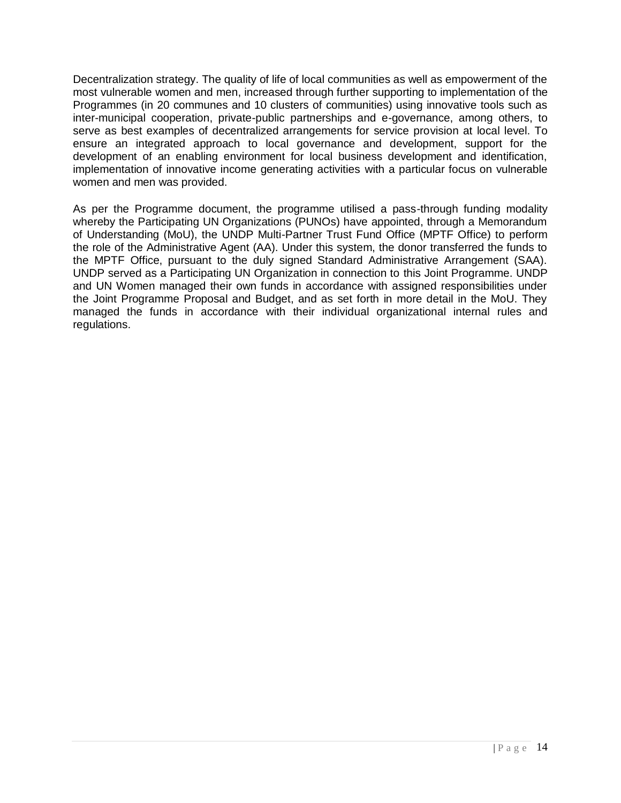Decentralization strategy. The quality of life of local communities as well as empowerment of the most vulnerable women and men, increased through further supporting to implementation of the Programmes (in 20 communes and 10 clusters of communities) using innovative tools such as inter-municipal cooperation, private-public partnerships and e-governance, among others, to serve as best examples of decentralized arrangements for service provision at local level. To ensure an integrated approach to local governance and development, support for the development of an enabling environment for local business development and identification, implementation of innovative income generating activities with a particular focus on vulnerable women and men was provided.

As per the Programme document, the programme utilised a pass-through funding modality whereby the Participating UN Organizations (PUNOs) have appointed, through a Memorandum of Understanding (MoU), the UNDP Multi-Partner Trust Fund Office (MPTF Office) to perform the role of the Administrative Agent (AA). Under this system, the donor transferred the funds to the MPTF Office, pursuant to the duly signed Standard Administrative Arrangement (SAA). UNDP served as a Participating UN Organization in connection to this Joint Programme. UNDP and UN Women managed their own funds in accordance with assigned responsibilities under the Joint Programme Proposal and Budget, and as set forth in more detail in the MoU. They managed the funds in accordance with their individual organizational internal rules and regulations.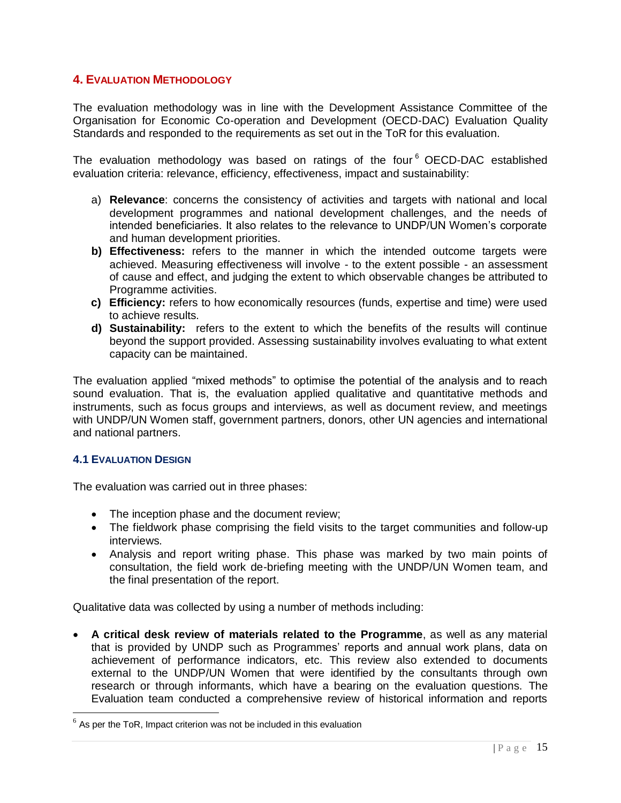## <span id="page-14-0"></span>**4. EVALUATION METHODOLOGY**

The evaluation methodology was in line with the Development Assistance Committee of the Organisation for Economic Co-operation and Development (OECD-DAC) Evaluation Quality Standards and responded to the requirements as set out in the ToR for this evaluation.

The evaluation methodology was based on ratings of the four<sup>6</sup> OECD-DAC established evaluation criteria: relevance, efficiency, effectiveness, impact and sustainability:

- a) **Relevance**: concerns the consistency of activities and targets with national and local development programmes and national development challenges, and the needs of intended beneficiaries. It also relates to the relevance to UNDP/UN Women's corporate and human development priorities.
- **b) Effectiveness:** refers to the manner in which the intended outcome targets were achieved. Measuring effectiveness will involve - to the extent possible - an assessment of cause and effect, and judging the extent to which observable changes be attributed to Programme activities.
- **c) Efficiency:** refers to how economically resources (funds, expertise and time) were used to achieve results.
- **d) Sustainability:** refers to the extent to which the benefits of the results will continue beyond the support provided. Assessing sustainability involves evaluating to what extent capacity can be maintained.

The evaluation applied "mixed methods" to optimise the potential of the analysis and to reach sound evaluation. That is, the evaluation applied qualitative and quantitative methods and instruments, such as focus groups and interviews, as well as document review, and meetings with UNDP/UN Women staff, government partners, donors, other UN agencies and international and national partners.

#### <span id="page-14-1"></span>**4.1 EVALUATION DESIGN**

l

The evaluation was carried out in three phases:

- The inception phase and the document review;
- The fieldwork phase comprising the field visits to the target communities and follow-up interviews.
- Analysis and report writing phase. This phase was marked by two main points of consultation, the field work de-briefing meeting with the UNDP/UN Women team, and the final presentation of the report.

Qualitative data was collected by using a number of methods including:

 **A critical desk review of materials related to the Programme**, as well as any material that is provided by UNDP such as Programmes' reports and annual work plans, data on achievement of performance indicators, etc. This review also extended to documents external to the UNDP/UN Women that were identified by the consultants through own research or through informants, which have a bearing on the evaluation questions. The Evaluation team conducted a comprehensive review of historical information and reports

 $<sup>6</sup>$  As per the ToR, Impact criterion was not be included in this evaluation</sup>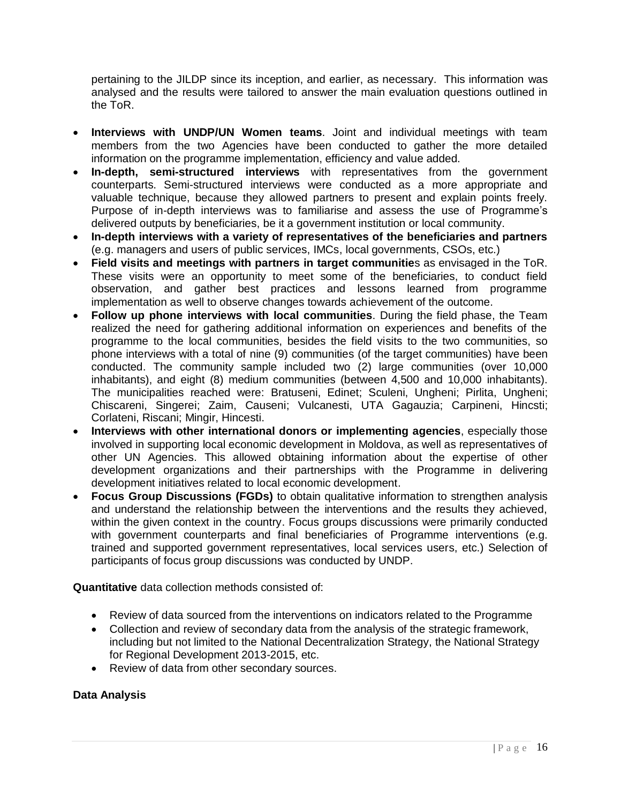pertaining to the JILDP since its inception, and earlier, as necessary. This information was analysed and the results were tailored to answer the main evaluation questions outlined in the ToR.

- **Interviews with UNDP/UN Women teams**. Joint and individual meetings with team members from the two Agencies have been conducted to gather the more detailed information on the programme implementation, efficiency and value added.
- **In-depth, semi-structured interviews** with representatives from the government counterparts. Semi-structured interviews were conducted as a more appropriate and valuable technique, because they allowed partners to present and explain points freely. Purpose of in-depth interviews was to familiarise and assess the use of Programme's delivered outputs by beneficiaries, be it a government institution or local community.
- **In-depth interviews with a variety of representatives of the beneficiaries and partners** (e.g. managers and users of public services, IMCs, local governments, CSOs, etc.)
- **Field visits and meetings with partners in target communitie**s as envisaged in the ToR. These visits were an opportunity to meet some of the beneficiaries, to conduct field observation, and gather best practices and lessons learned from programme implementation as well to observe changes towards achievement of the outcome.
- **Follow up phone interviews with local communities**. During the field phase, the Team realized the need for gathering additional information on experiences and benefits of the programme to the local communities, besides the field visits to the two communities, so phone interviews with a total of nine (9) communities (of the target communities) have been conducted. The community sample included two (2) large communities (over 10,000 inhabitants), and eight (8) medium communities (between 4,500 and 10,000 inhabitants). The municipalities reached were: Bratuseni, Edinet; Sculeni, Ungheni; Pirlita, Ungheni; Chiscareni, Singerei; Zaim, Causeni; Vulcanesti, UTA Gagauzia; Carpineni, Hincsti; Corlateni, Riscani; Mingir, Hincesti.
- **Interviews with other international donors or implementing agencies**, especially those involved in supporting local economic development in Moldova, as well as representatives of other UN Agencies. This allowed obtaining information about the expertise of other development organizations and their partnerships with the Programme in delivering development initiatives related to local economic development.
- **Focus Group Discussions (FGDs)** to obtain qualitative information to strengthen analysis and understand the relationship between the interventions and the results they achieved, within the given context in the country. Focus groups discussions were primarily conducted with government counterparts and final beneficiaries of Programme interventions (e.g. trained and supported government representatives, local services users, etc.) Selection of participants of focus group discussions was conducted by UNDP.

**Quantitative** data collection methods consisted of:

- Review of data sourced from the interventions on indicators related to the Programme
- Collection and review of secondary data from the analysis of the strategic framework, including but not limited to the National Decentralization Strategy, the National Strategy for Regional Development 2013-2015, etc.
- Review of data from other secondary sources.

## **Data Analysis**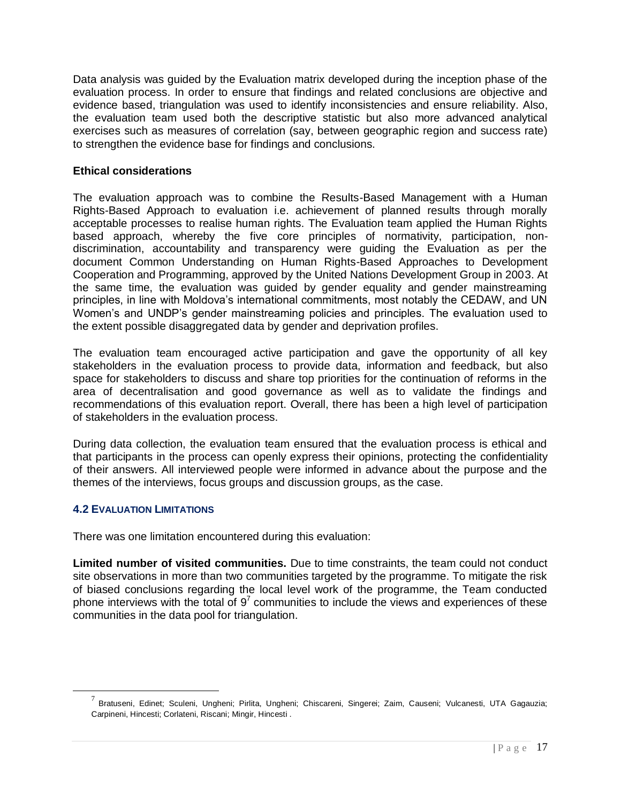Data analysis was guided by the Evaluation matrix developed during the inception phase of the evaluation process. In order to ensure that findings and related conclusions are objective and evidence based, triangulation was used to identify inconsistencies and ensure reliability. Also, the evaluation team used both the descriptive statistic but also more advanced analytical exercises such as measures of correlation (say, between geographic region and success rate) to strengthen the evidence base for findings and conclusions.

## **Ethical considerations**

The evaluation approach was to combine the Results-Based Management with a Human Rights-Based Approach to evaluation i.e. achievement of planned results through morally acceptable processes to realise human rights. The Evaluation team applied the Human Rights based approach, whereby the five core principles of normativity, participation, nondiscrimination, accountability and transparency were guiding the Evaluation as per the document Common Understanding on Human Rights-Based Approaches to Development Cooperation and Programming, approved by the United Nations Development Group in 2003. At the same time, the evaluation was guided by gender equality and gender mainstreaming principles, in line with Moldova's international commitments, most notably the CEDAW, and UN Women's and UNDP's gender mainstreaming policies and principles. The evaluation used to the extent possible disaggregated data by gender and deprivation profiles.

The evaluation team encouraged active participation and gave the opportunity of all key stakeholders in the evaluation process to provide data, information and feedback, but also space for stakeholders to discuss and share top priorities for the continuation of reforms in the area of decentralisation and good governance as well as to validate the findings and recommendations of this evaluation report. Overall, there has been a high level of participation of stakeholders in the evaluation process.

During data collection, the evaluation team ensured that the evaluation process is ethical and that participants in the process can openly express their opinions, protecting the confidentiality of their answers. All interviewed people were informed in advance about the purpose and the themes of the interviews, focus groups and discussion groups, as the case.

## <span id="page-16-0"></span>**4.2 EVALUATION LIMITATIONS**

l

There was one limitation encountered during this evaluation:

**Limited number of visited communities.** Due to time constraints, the team could not conduct site observations in more than two communities targeted by the programme. To mitigate the risk of biased conclusions regarding the local level work of the programme, the Team conducted phone interviews with the total of  $9<sup>7</sup>$  communities to include the views and experiences of these communities in the data pool for triangulation.

<sup>&</sup>lt;sup>7</sup> Bratuseni, Edinet; Sculeni, Ungheni; Pirlita, Ungheni; Chiscareni, Singerei; Zaim, Causeni; Vulcanesti, UTA Gagauzia; Carpineni, Hincesti; Corlateni, Riscani; Mingir, Hincesti .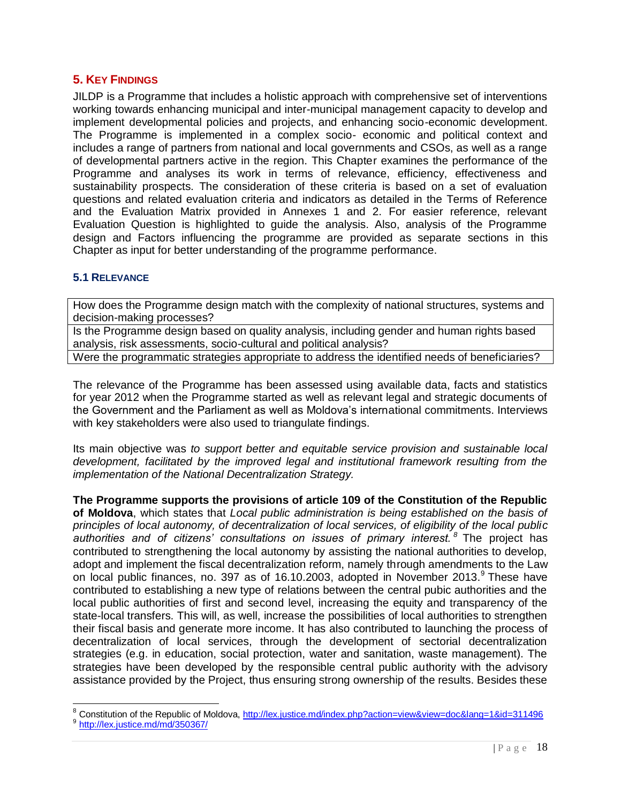## <span id="page-17-0"></span>**5. KEY FINDINGS**

JILDP is a Programme that includes a holistic approach with comprehensive set of interventions working towards enhancing municipal and inter-municipal management capacity to develop and implement developmental policies and projects, and enhancing socio-economic development. The Programme is implemented in a complex socio- economic and political context and includes a range of partners from national and local governments and CSOs, as well as a range of developmental partners active in the region. This Chapter examines the performance of the Programme and analyses its work in terms of relevance, efficiency, effectiveness and sustainability prospects. The consideration of these criteria is based on a set of evaluation questions and related evaluation criteria and indicators as detailed in the Terms of Reference and the Evaluation Matrix provided in Annexes 1 and 2. For easier reference, relevant Evaluation Question is highlighted to guide the analysis. Also, analysis of the Programme design and Factors influencing the programme are provided as separate sections in this Chapter as input for better understanding of the programme performance.

## <span id="page-17-1"></span>**5.1 RELEVANCE**

How does the Programme design match with the complexity of national structures, systems and decision-making processes?

Is the Programme design based on quality analysis, including gender and human rights based analysis, risk assessments, socio-cultural and political analysis?

Were the programmatic strategies appropriate to address the identified needs of beneficiaries?

The relevance of the Programme has been assessed using available data, facts and statistics for year 2012 when the Programme started as well as relevant legal and strategic documents of the Government and the Parliament as well as Moldova's international commitments. Interviews with key stakeholders were also used to triangulate findings.

Its main objective was *to support better and equitable service provision and sustainable local development, facilitated by the improved legal and institutional framework resulting from the implementation of the National Decentralization Strategy.* 

**The Programme supports the provisions of article 109 of the Constitution of the Republic of Moldova**, which states that *Local public administration is being established on the basis of principles of local autonomy, of decentralization of local services, of eligibility of the local public authorities and of citizens' consultations on issues of primary interest. <sup>8</sup>* The project has contributed to strengthening the local autonomy by assisting the national authorities to develop, adopt and implement the fiscal decentralization reform, namely through amendments to the Law on local public finances, no. 397 as of 16.10.2003, adopted in November 2013.<sup>9</sup> These have contributed to establishing a new type of relations between the central pubic authorities and the local public authorities of first and second level, increasing the equity and transparency of the state-local transfers. This will, as well, increase the possibilities of local authorities to strengthen their fiscal basis and generate more income. It has also contributed to launching the process of decentralization of local services, through the development of sectorial decentralization strategies (e.g. in education, social protection, water and sanitation, waste management). The strategies have been developed by the responsible central public authority with the advisory assistance provided by the Project, thus ensuring strong ownership of the results. Besides these

l

<sup>&</sup>lt;sup>8</sup> Constitution of the Republic of Moldova, <u>http://lex.justice.md/index.php?action=view&view=doc&lang=1&id=311496</u>

<sup>&</sup>lt;sup>9</sup> <http://lex.justice.md/md/350367/>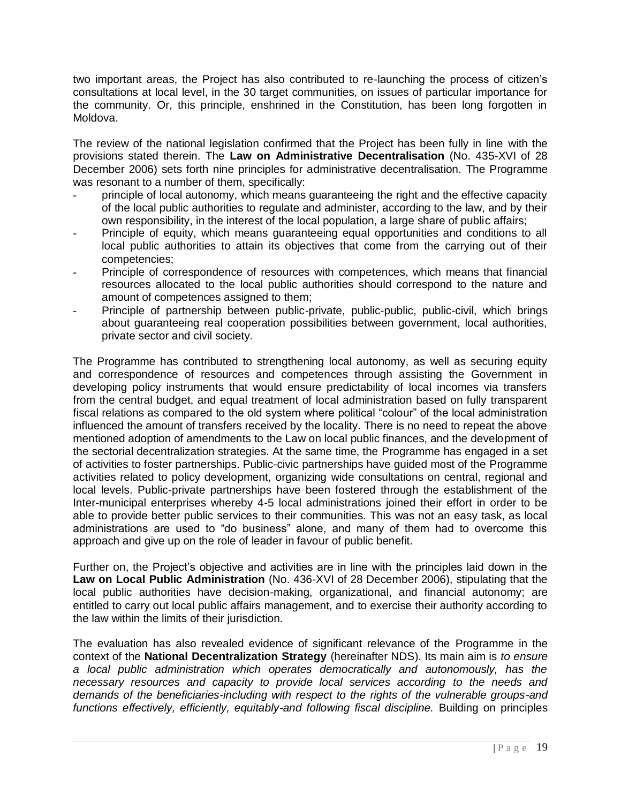two important areas, the Project has also contributed to re-launching the process of citizen's consultations at local level, in the 30 target communities, on issues of particular importance for the community. Or, this principle, enshrined in the Constitution, has been long forgotten in Moldova.

The review of the national legislation confirmed that the Project has been fully in line with the provisions stated therein. The **Law on Administrative Decentralisation** (No. 435-XVI of 28 December 2006) sets forth nine principles for administrative decentralisation. The Programme was resonant to a number of them, specifically:

- principle of local autonomy, which means guaranteeing the right and the effective capacity of the local public authorities to regulate and administer, according to the law, and by their own responsibility, in the interest of the local population, a large share of public affairs;
- Principle of equity, which means guaranteeing equal opportunities and conditions to all local public authorities to attain its objectives that come from the carrying out of their competencies;
- Principle of correspondence of resources with competences, which means that financial resources allocated to the local public authorities should correspond to the nature and amount of competences assigned to them;
- Principle of partnership between public-private, public-public, public-civil, which brings about guaranteeing real cooperation possibilities between government, local authorities, private sector and civil society.

The Programme has contributed to strengthening local autonomy, as well as securing equity and correspondence of resources and competences through assisting the Government in developing policy instruments that would ensure predictability of local incomes via transfers from the central budget, and equal treatment of local administration based on fully transparent fiscal relations as compared to the old system where political "colour" of the local administration influenced the amount of transfers received by the locality. There is no need to repeat the above mentioned adoption of amendments to the Law on local public finances, and the development of the sectorial decentralization strategies. At the same time, the Programme has engaged in a set of activities to foster partnerships. Public-civic partnerships have guided most of the Programme activities related to policy development, organizing wide consultations on central, regional and local levels. Public-private partnerships have been fostered through the establishment of the Inter-municipal enterprises whereby 4-5 local administrations joined their effort in order to be able to provide better public services to their communities. This was not an easy task, as local administrations are used to "do business" alone, and many of them had to overcome this approach and give up on the role of leader in favour of public benefit.

Further on, the Project's objective and activities are in line with the principles laid down in the **Law on Local Public Administration** (No. 436-XVI of 28 December 2006), stipulating that the local public authorities have decision-making, organizational, and financial autonomy; are entitled to carry out local public affairs management, and to exercise their authority according to the law within the limits of their jurisdiction.

The evaluation has also revealed evidence of significant relevance of the Programme in the context of the **National Decentralization Strategy** (hereinafter NDS). Its main aim is *to ensure a local public administration which operates democratically and autonomously, has the necessary resources and capacity to provide local services according to the needs and demands of the beneficiaries-including with respect to the rights of the vulnerable groups-and*  functions effectively, efficiently, equitably-and following fiscal discipline. Building on principles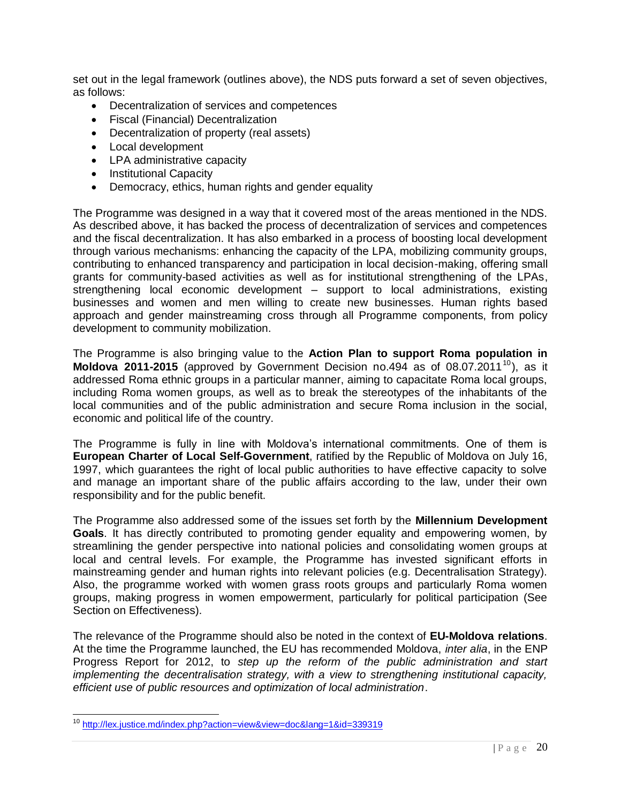set out in the legal framework (outlines above), the NDS puts forward a set of seven objectives, as follows:

- Decentralization of services and competences
- Fiscal (Financial) Decentralization
- Decentralization of property (real assets)
- Local development
- LPA administrative capacity
- Institutional Capacity
- Democracy, ethics, human rights and gender equality

The Programme was designed in a way that it covered most of the areas mentioned in the NDS. As described above, it has backed the process of decentralization of services and competences and the fiscal decentralization. It has also embarked in a process of boosting local development through various mechanisms: enhancing the capacity of the LPA, mobilizing community groups, contributing to enhanced transparency and participation in local decision-making, offering small grants for community-based activities as well as for institutional strengthening of the LPAs, strengthening local economic development – support to local administrations, existing businesses and women and men willing to create new businesses. Human rights based approach and gender mainstreaming cross through all Programme components, from policy development to community mobilization.

The Programme is also bringing value to the **Action Plan to support Roma population in Moldova 2011-2015** (approved by Government Decision no.494 as of 08.07.2011<sup>10</sup>), as it addressed Roma ethnic groups in a particular manner, aiming to capacitate Roma local groups, including Roma women groups, as well as to break the stereotypes of the inhabitants of the local communities and of the public administration and secure Roma inclusion in the social, economic and political life of the country.

The Programme is fully in line with Moldova's international commitments. One of them is **European Charter of Local Self-Government**, ratified by the Republic of Moldova on July 16, 1997, which guarantees the right of local public authorities to have effective capacity to solve and manage an important share of the public affairs according to the law, under their own responsibility and for the public benefit.

The Programme also addressed some of the issues set forth by the **Millennium Development Goals**. It has directly contributed to promoting gender equality and empowering women, by streamlining the gender perspective into national policies and consolidating women groups at local and central levels. For example, the Programme has invested significant efforts in mainstreaming gender and human rights into relevant policies (e.g. Decentralisation Strategy). Also, the programme worked with women grass roots groups and particularly Roma women groups, making progress in women empowerment, particularly for political participation (See Section on Effectiveness).

The relevance of the Programme should also be noted in the context of **EU-Moldova relations**. At the time the Programme launched, the EU has recommended Moldova, *inter alia*, in the ENP Progress Report for 2012, to *step up the reform of the public administration and start implementing the decentralisation strategy, with a view to strengthening institutional capacity, efficient use of public resources and optimization of local administration*.

 $\overline{a}$ <sup>10</sup> <http://lex.justice.md/index.php?action=view&view=doc&lang=1&id=339319>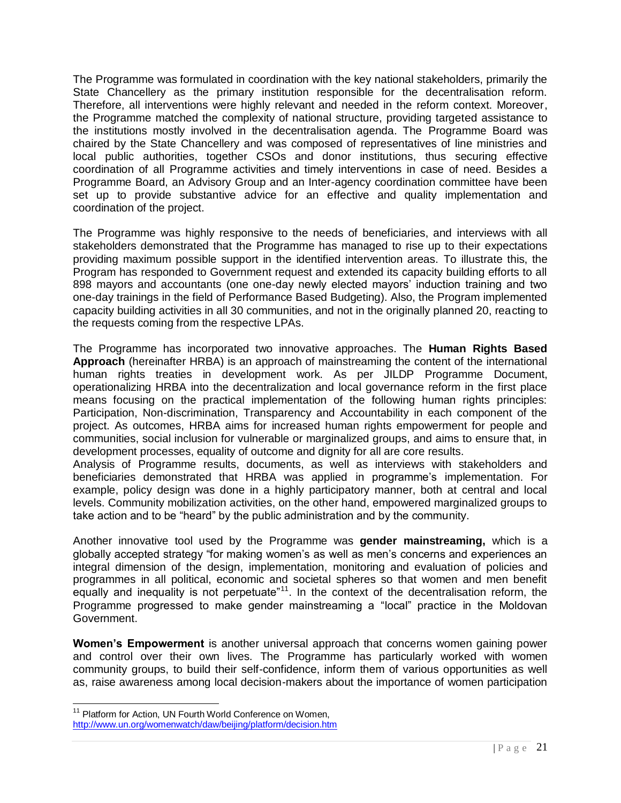The Programme was formulated in coordination with the key national stakeholders, primarily the State Chancellery as the primary institution responsible for the decentralisation reform. Therefore, all interventions were highly relevant and needed in the reform context. Moreover, the Programme matched the complexity of national structure, providing targeted assistance to the institutions mostly involved in the decentralisation agenda. The Programme Board was chaired by the State Chancellery and was composed of representatives of line ministries and local public authorities, together CSOs and donor institutions, thus securing effective coordination of all Programme activities and timely interventions in case of need. Besides a Programme Board, an Advisory Group and an Inter-agency coordination committee have been set up to provide substantive advice for an effective and quality implementation and coordination of the project.

The Programme was highly responsive to the needs of beneficiaries, and interviews with all stakeholders demonstrated that the Programme has managed to rise up to their expectations providing maximum possible support in the identified intervention areas. To illustrate this, the Program has responded to Government request and extended its capacity building efforts to all 898 mayors and accountants (one one-day newly elected mayors' induction training and two one-day trainings in the field of Performance Based Budgeting). Also, the Program implemented capacity building activities in all 30 communities, and not in the originally planned 20, reacting to the requests coming from the respective LPAs.

The Programme has incorporated two innovative approaches. The **Human Rights Based Approach** (hereinafter HRBA) is an approach of mainstreaming the content of the international human rights treaties in development work. As per JILDP Programme Document, operationalizing HRBA into the decentralization and local governance reform in the first place means focusing on the practical implementation of the following human rights principles: Participation, Non-discrimination, Transparency and Accountability in each component of the project. As outcomes, HRBA aims for increased human rights empowerment for people and communities, social inclusion for vulnerable or marginalized groups, and aims to ensure that, in development processes, equality of outcome and dignity for all are core results.

Analysis of Programme results, documents, as well as interviews with stakeholders and beneficiaries demonstrated that HRBA was applied in programme's implementation. For example, policy design was done in a highly participatory manner, both at central and local levels. Community mobilization activities, on the other hand, empowered marginalized groups to take action and to be "heard" by the public administration and by the community.

Another innovative tool used by the Programme was **gender mainstreaming,** which is a globally accepted strategy "for making women's as well as men's concerns and experiences an integral dimension of the design, implementation, monitoring and evaluation of policies and programmes in all political, economic and societal spheres so that women and men benefit equally and inequality is not perpetuate<sup> $n11$ </sup>. In the context of the decentralisation reform, the Programme progressed to make gender mainstreaming a "local" practice in the Moldovan Government.

**Women's Empowerment** is another universal approach that concerns women gaining power and control over their own lives. The Programme has particularly worked with women community groups, to build their self-confidence, inform them of various opportunities as well as, raise awareness among local decision-makers about the importance of women participation

l

<sup>&</sup>lt;sup>11</sup> Platform for Action, UN Fourth World Conference on Women, <http://www.un.org/womenwatch/daw/beijing/platform/decision.htm>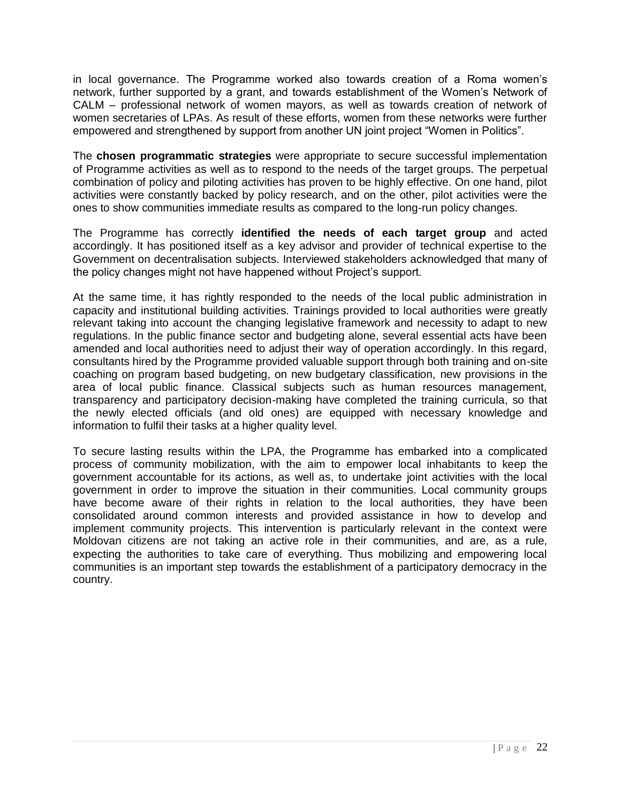in local governance. The Programme worked also towards creation of a Roma women's network, further supported by a grant, and towards establishment of the Women's Network of CALM – professional network of women mayors, as well as towards creation of network of women secretaries of LPAs. As result of these efforts, women from these networks were further empowered and strengthened by support from another UN joint project "Women in Politics".

The **chosen programmatic strategies** were appropriate to secure successful implementation of Programme activities as well as to respond to the needs of the target groups. The perpetual combination of policy and piloting activities has proven to be highly effective. On one hand, pilot activities were constantly backed by policy research, and on the other, pilot activities were the ones to show communities immediate results as compared to the long-run policy changes.

The Programme has correctly **identified the needs of each target group** and acted accordingly. It has positioned itself as a key advisor and provider of technical expertise to the Government on decentralisation subjects. Interviewed stakeholders acknowledged that many of the policy changes might not have happened without Project's support.

At the same time, it has rightly responded to the needs of the local public administration in capacity and institutional building activities. Trainings provided to local authorities were greatly relevant taking into account the changing legislative framework and necessity to adapt to new regulations. In the public finance sector and budgeting alone, several essential acts have been amended and local authorities need to adjust their way of operation accordingly. In this regard, consultants hired by the Programme provided valuable support through both training and on-site coaching on program based budgeting, on new budgetary classification, new provisions in the area of local public finance. Classical subjects such as human resources management, transparency and participatory decision-making have completed the training curricula, so that the newly elected officials (and old ones) are equipped with necessary knowledge and information to fulfil their tasks at a higher quality level.

To secure lasting results within the LPA, the Programme has embarked into a complicated process of community mobilization, with the aim to empower local inhabitants to keep the government accountable for its actions, as well as, to undertake joint activities with the local government in order to improve the situation in their communities. Local community groups have become aware of their rights in relation to the local authorities, they have been consolidated around common interests and provided assistance in how to develop and implement community projects. This intervention is particularly relevant in the context were Moldovan citizens are not taking an active role in their communities, and are, as a rule, expecting the authorities to take care of everything. Thus mobilizing and empowering local communities is an important step towards the establishment of a participatory democracy in the country.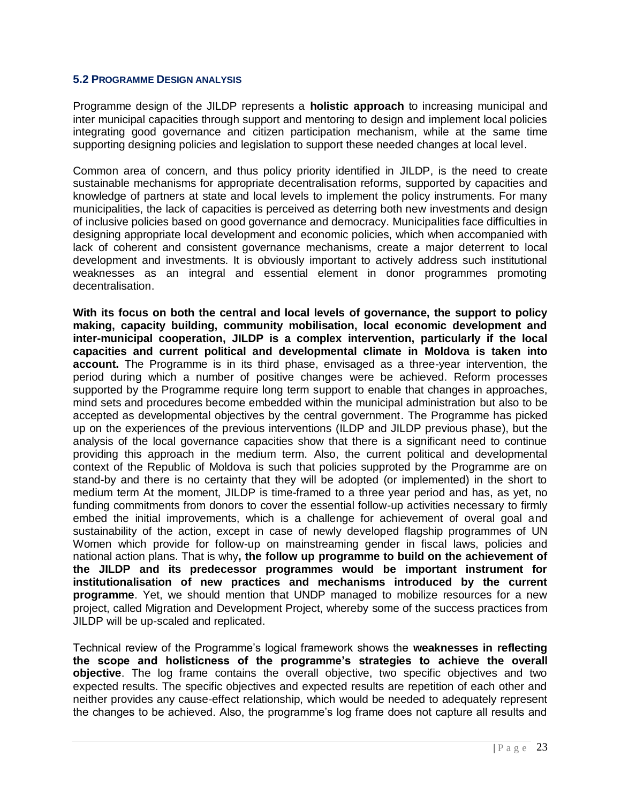#### <span id="page-22-0"></span>**5.2 PROGRAMME DESIGN ANALYSIS**

Programme design of the JILDP represents a **holistic approach** to increasing municipal and inter municipal capacities through support and mentoring to design and implement local policies integrating good governance and citizen participation mechanism, while at the same time supporting designing policies and legislation to support these needed changes at local level.

Common area of concern, and thus policy priority identified in JILDP, is the need to create sustainable mechanisms for appropriate decentralisation reforms, supported by capacities and knowledge of partners at state and local levels to implement the policy instruments. For many municipalities, the lack of capacities is perceived as deterring both new investments and design of inclusive policies based on good governance and democracy. Municipalities face difficulties in designing appropriate local development and economic policies, which when accompanied with lack of coherent and consistent governance mechanisms, create a major deterrent to local development and investments. It is obviously important to actively address such institutional weaknesses as an integral and essential element in donor programmes promoting decentralisation.

**With its focus on both the central and local levels of governance, the support to policy making, capacity building, community mobilisation, local economic development and inter-municipal cooperation, JILDP is a complex intervention, particularly if the local capacities and current political and developmental climate in Moldova is taken into account.** The Programme is in its third phase, envisaged as a three-year intervention, the period during which a number of positive changes were be achieved. Reform processes supported by the Programme require long term support to enable that changes in approaches, mind sets and procedures become embedded within the municipal administration but also to be accepted as developmental objectives by the central government. The Programme has picked up on the experiences of the previous interventions (ILDP and JILDP previous phase), but the analysis of the local governance capacities show that there is a significant need to continue providing this approach in the medium term. Also, the current political and developmental context of the Republic of Moldova is such that policies supproted by the Programme are on stand-by and there is no certainty that they will be adopted (or implemented) in the short to medium term At the moment, JILDP is time-framed to a three year period and has, as yet, no funding commitments from donors to cover the essential follow-up activities necessary to firmly embed the initial improvements, which is a challenge for achievement of overal goal and sustainability of the action, except in case of newly developed flagship programmes of UN Women which provide for follow-up on mainstreaming gender in fiscal laws, policies and national action plans. That is why**, the follow up programme to build on the achievement of the JILDP and its predecessor programmes would be important instrument for institutionalisation of new practices and mechanisms introduced by the current programme**. Yet, we should mention that UNDP managed to mobilize resources for a new project, called Migration and Development Project, whereby some of the success practices from JILDP will be up-scaled and replicated.

Technical review of the Programme's logical framework shows the **weaknesses in reflecting the scope and holisticness of the programme's strategies to achieve the overall objective**. The log frame contains the overall objective, two specific objectives and two expected results. The specific objectives and expected results are repetition of each other and neither provides any cause-effect relationship, which would be needed to adequately represent the changes to be achieved. Also, the programme's log frame does not capture all results and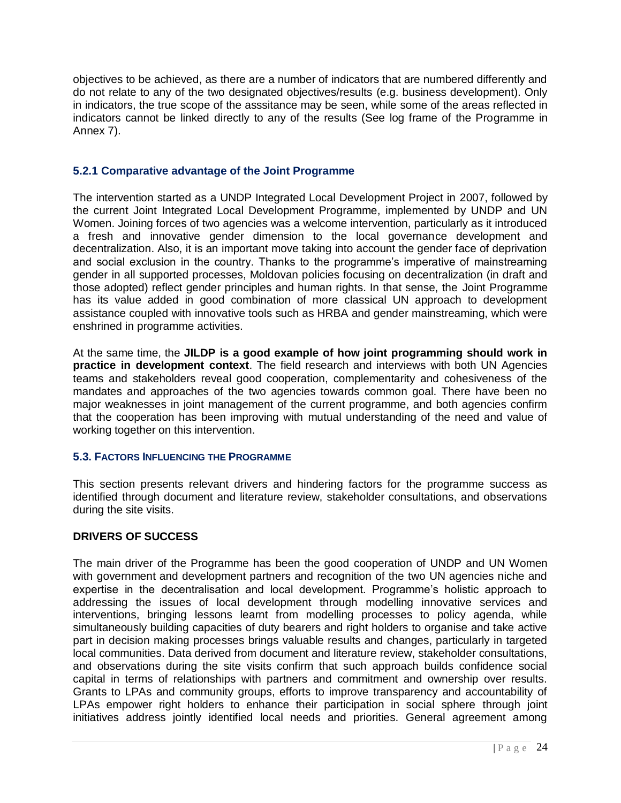objectives to be achieved, as there are a number of indicators that are numbered differently and do not relate to any of the two designated objectives/results (e.g. business development). Only in indicators, the true scope of the asssitance may be seen, while some of the areas reflected in indicators cannot be linked directly to any of the results (See log frame of the Programme in Annex 7).

## <span id="page-23-0"></span>**5.2.1 Comparative advantage of the Joint Programme**

The intervention started as a UNDP Integrated Local Development Project in 2007, followed by the current Joint Integrated Local Development Programme, implemented by UNDP and UN Women. Joining forces of two agencies was a welcome intervention, particularly as it introduced a fresh and innovative gender dimension to the local governance development and decentralization. Also, it is an important move taking into account the gender face of deprivation and social exclusion in the country. Thanks to the programme's imperative of mainstreaming gender in all supported processes, Moldovan policies focusing on decentralization (in draft and those adopted) reflect gender principles and human rights. In that sense, the Joint Programme has its value added in good combination of more classical UN approach to development assistance coupled with innovative tools such as HRBA and gender mainstreaming, which were enshrined in programme activities.

At the same time, the **JILDP is a good example of how joint programming should work in practice in development context**. The field research and interviews with both UN Agencies teams and stakeholders reveal good cooperation, complementarity and cohesiveness of the mandates and approaches of the two agencies towards common goal. There have been no major weaknesses in joint management of the current programme, and both agencies confirm that the cooperation has been improving with mutual understanding of the need and value of working together on this intervention.

## <span id="page-23-1"></span>**5.3. FACTORS INFLUENCING THE PROGRAMME**

This section presents relevant drivers and hindering factors for the programme success as identified through document and literature review, stakeholder consultations, and observations during the site visits.

## **DRIVERS OF SUCCESS**

The main driver of the Programme has been the good cooperation of UNDP and UN Women with government and development partners and recognition of the two UN agencies niche and expertise in the decentralisation and local development. Programme's holistic approach to addressing the issues of local development through modelling innovative services and interventions, bringing lessons learnt from modelling processes to policy agenda, while simultaneously building capacities of duty bearers and right holders to organise and take active part in decision making processes brings valuable results and changes, particularly in targeted local communities. Data derived from document and literature review, stakeholder consultations, and observations during the site visits confirm that such approach builds confidence social capital in terms of relationships with partners and commitment and ownership over results. Grants to LPAs and community groups, efforts to improve transparency and accountability of LPAs empower right holders to enhance their participation in social sphere through joint initiatives address jointly identified local needs and priorities. General agreement among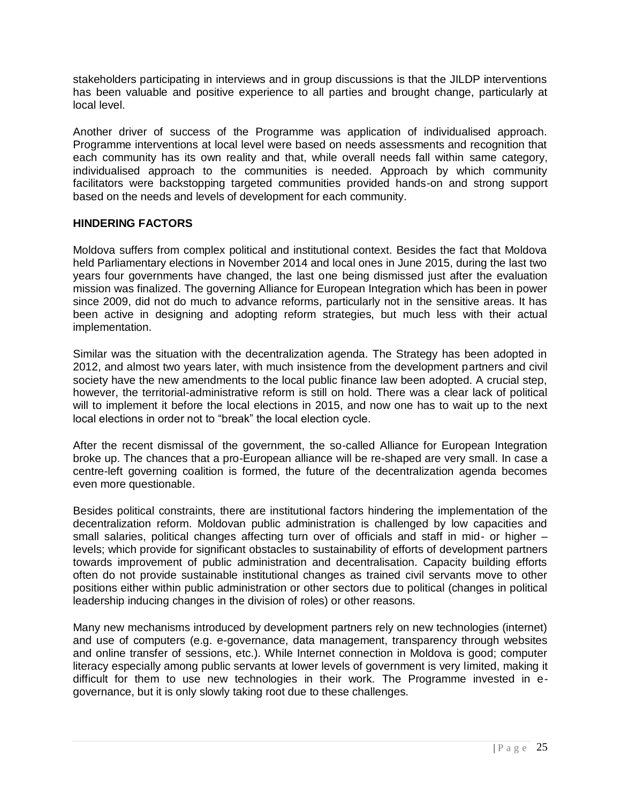stakeholders participating in interviews and in group discussions is that the JILDP interventions has been valuable and positive experience to all parties and brought change, particularly at local level.

Another driver of success of the Programme was application of individualised approach. Programme interventions at local level were based on needs assessments and recognition that each community has its own reality and that, while overall needs fall within same category, individualised approach to the communities is needed. Approach by which community facilitators were backstopping targeted communities provided hands-on and strong support based on the needs and levels of development for each community.

## **HINDERING FACTORS**

Moldova suffers from complex political and institutional context. Besides the fact that Moldova held Parliamentary elections in November 2014 and local ones in June 2015, during the last two years four governments have changed, the last one being dismissed just after the evaluation mission was finalized. The governing Alliance for European Integration which has been in power since 2009, did not do much to advance reforms, particularly not in the sensitive areas. It has been active in designing and adopting reform strategies, but much less with their actual implementation.

Similar was the situation with the decentralization agenda. The Strategy has been adopted in 2012, and almost two years later, with much insistence from the development partners and civil society have the new amendments to the local public finance law been adopted. A crucial step, however, the territorial-administrative reform is still on hold. There was a clear lack of political will to implement it before the local elections in 2015, and now one has to wait up to the next local elections in order not to "break" the local election cycle.

After the recent dismissal of the government, the so-called Alliance for European Integration broke up. The chances that a pro-European alliance will be re-shaped are very small. In case a centre-left governing coalition is formed, the future of the decentralization agenda becomes even more questionable.

Besides political constraints, there are institutional factors hindering the implementation of the decentralization reform. Moldovan public administration is challenged by low capacities and small salaries, political changes affecting turn over of officials and staff in mid- or higher – levels; which provide for significant obstacles to sustainability of efforts of development partners towards improvement of public administration and decentralisation. Capacity building efforts often do not provide sustainable institutional changes as trained civil servants move to other positions either within public administration or other sectors due to political (changes in political leadership inducing changes in the division of roles) or other reasons.

Many new mechanisms introduced by development partners rely on new technologies (internet) and use of computers (e.g. e-governance, data management, transparency through websites and online transfer of sessions, etc.). While Internet connection in Moldova is good; computer literacy especially among public servants at lower levels of government is very limited, making it difficult for them to use new technologies in their work. The Programme invested in egovernance, but it is only slowly taking root due to these challenges.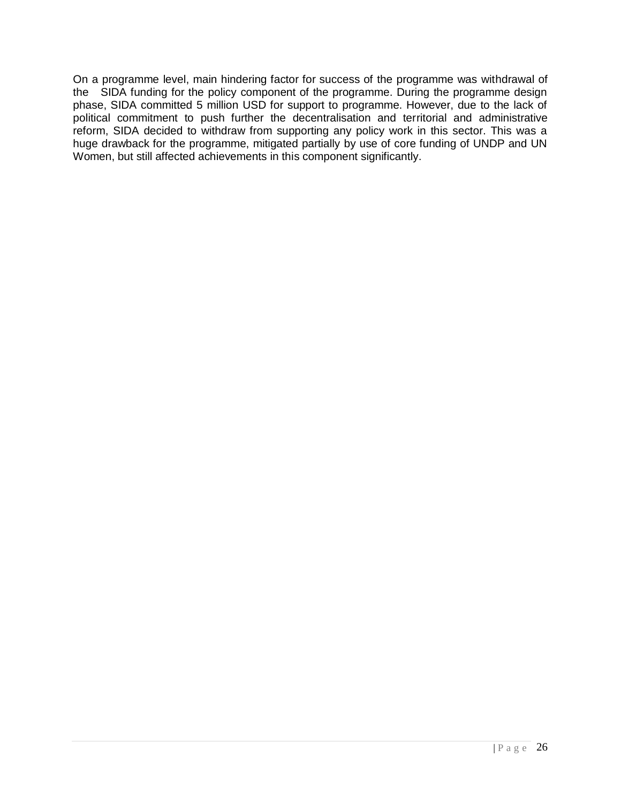On a programme level, main hindering factor for success of the programme was withdrawal of the SIDA funding for the policy component of the programme. During the programme design phase, SIDA committed 5 million USD for support to programme. However, due to the lack of political commitment to push further the decentralisation and territorial and administrative reform, SIDA decided to withdraw from supporting any policy work in this sector. This was a huge drawback for the programme, mitigated partially by use of core funding of UNDP and UN Women, but still affected achievements in this component significantly.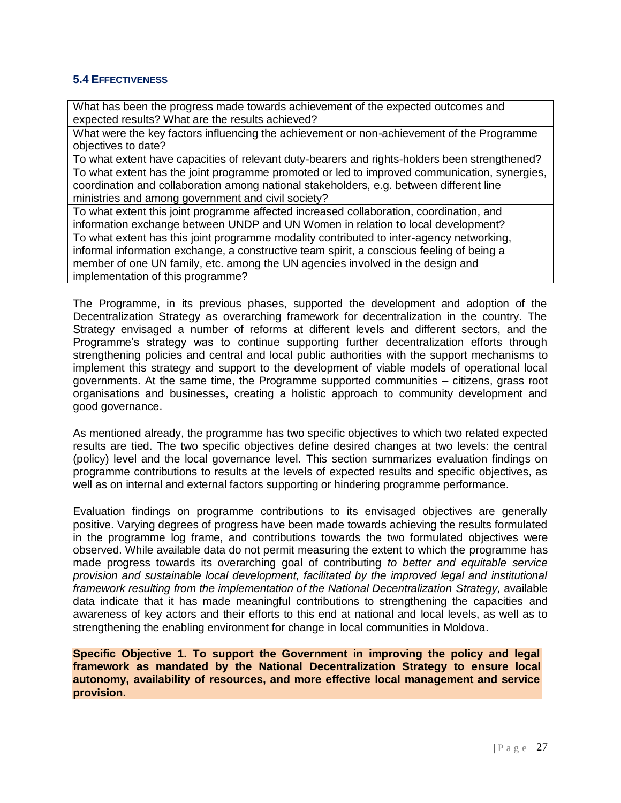## <span id="page-26-0"></span>**5.4 EFFECTIVENESS**

What has been the progress made towards achievement of the expected outcomes and expected results? What are the results achieved?

What were the key factors influencing the achievement or non-achievement of the Programme objectives to date?

To what extent have capacities of relevant duty-bearers and rights-holders been strengthened? To what extent has the joint programme promoted or led to improved communication, synergies, coordination and collaboration among national stakeholders, e.g. between different line ministries and among government and civil society?

To what extent this joint programme affected increased collaboration, coordination, and information exchange between UNDP and UN Women in relation to local development?

To what extent has this joint programme modality contributed to inter-agency networking, informal information exchange, a constructive team spirit, a conscious feeling of being a member of one UN family, etc. among the UN agencies involved in the design and implementation of this programme?

The Programme, in its previous phases, supported the development and adoption of the Decentralization Strategy as overarching framework for decentralization in the country. The Strategy envisaged a number of reforms at different levels and different sectors, and the Programme's strategy was to continue supporting further decentralization efforts through strengthening policies and central and local public authorities with the support mechanisms to implement this strategy and support to the development of viable models of operational local governments. At the same time, the Programme supported communities – citizens, grass root organisations and businesses, creating a holistic approach to community development and good governance.

As mentioned already, the programme has two specific objectives to which two related expected results are tied. The two specific objectives define desired changes at two levels: the central (policy) level and the local governance level. This section summarizes evaluation findings on programme contributions to results at the levels of expected results and specific objectives, as well as on internal and external factors supporting or hindering programme performance.

Evaluation findings on programme contributions to its envisaged objectives are generally positive. Varying degrees of progress have been made towards achieving the results formulated in the programme log frame, and contributions towards the two formulated objectives were observed. While available data do not permit measuring the extent to which the programme has made progress towards its overarching goal of contributing *to better and equitable service provision and sustainable local development, facilitated by the improved legal and institutional framework resulting from the implementation of the National Decentralization Strategy,* available data indicate that it has made meaningful contributions to strengthening the capacities and awareness of key actors and their efforts to this end at national and local levels, as well as to strengthening the enabling environment for change in local communities in Moldova.

**Specific Objective 1. To support the Government in improving the policy and legal framework as mandated by the National Decentralization Strategy to ensure local autonomy, availability of resources, and more effective local management and service provision.**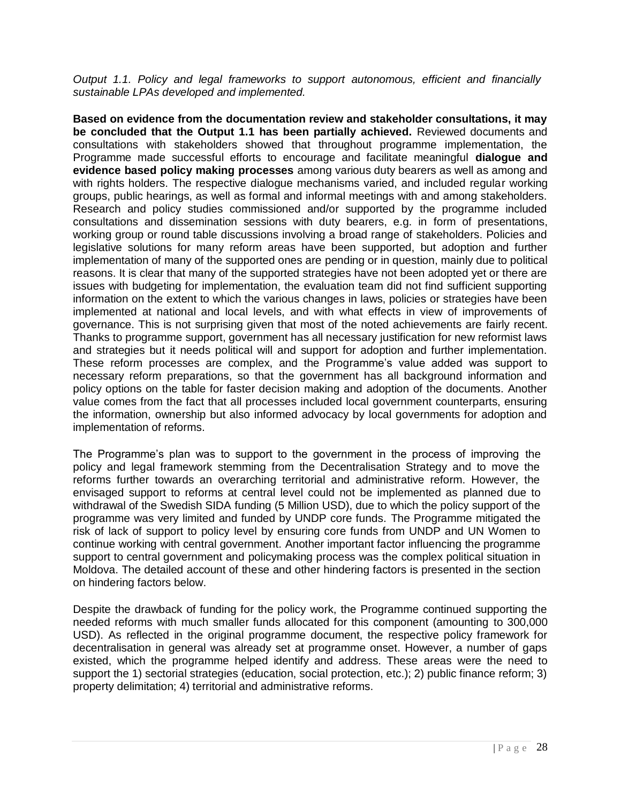*Output 1.1. Policy and legal frameworks to support autonomous, efficient and financially sustainable LPAs developed and implemented.* 

**Based on evidence from the documentation review and stakeholder consultations, it may be concluded that the Output 1.1 has been partially achieved.** Reviewed documents and consultations with stakeholders showed that throughout programme implementation, the Programme made successful efforts to encourage and facilitate meaningful **dialogue and evidence based policy making processes** among various duty bearers as well as among and with rights holders. The respective dialogue mechanisms varied, and included regular working groups, public hearings, as well as formal and informal meetings with and among stakeholders. Research and policy studies commissioned and/or supported by the programme included consultations and dissemination sessions with duty bearers, e.g. in form of presentations, working group or round table discussions involving a broad range of stakeholders. Policies and legislative solutions for many reform areas have been supported, but adoption and further implementation of many of the supported ones are pending or in question, mainly due to political reasons. It is clear that many of the supported strategies have not been adopted yet or there are issues with budgeting for implementation, the evaluation team did not find sufficient supporting information on the extent to which the various changes in laws, policies or strategies have been implemented at national and local levels, and with what effects in view of improvements of governance. This is not surprising given that most of the noted achievements are fairly recent. Thanks to programme support, government has all necessary justification for new reformist laws and strategies but it needs political will and support for adoption and further implementation. These reform processes are complex, and the Programme's value added was support to necessary reform preparations, so that the government has all background information and policy options on the table for faster decision making and adoption of the documents. Another value comes from the fact that all processes included local government counterparts, ensuring the information, ownership but also informed advocacy by local governments for adoption and implementation of reforms.

The Programme's plan was to support to the government in the process of improving the policy and legal framework stemming from the Decentralisation Strategy and to move the reforms further towards an overarching territorial and administrative reform. However, the envisaged support to reforms at central level could not be implemented as planned due to withdrawal of the Swedish SIDA funding (5 Million USD), due to which the policy support of the programme was very limited and funded by UNDP core funds. The Programme mitigated the risk of lack of support to policy level by ensuring core funds from UNDP and UN Women to continue working with central government. Another important factor influencing the programme support to central government and policymaking process was the complex political situation in Moldova. The detailed account of these and other hindering factors is presented in the section on hindering factors below.

Despite the drawback of funding for the policy work, the Programme continued supporting the needed reforms with much smaller funds allocated for this component (amounting to 300,000 USD). As reflected in the original programme document, the respective policy framework for decentralisation in general was already set at programme onset. However, a number of gaps existed, which the programme helped identify and address. These areas were the need to support the 1) sectorial strategies (education, social protection, etc.); 2) public finance reform; 3) property delimitation; 4) territorial and administrative reforms.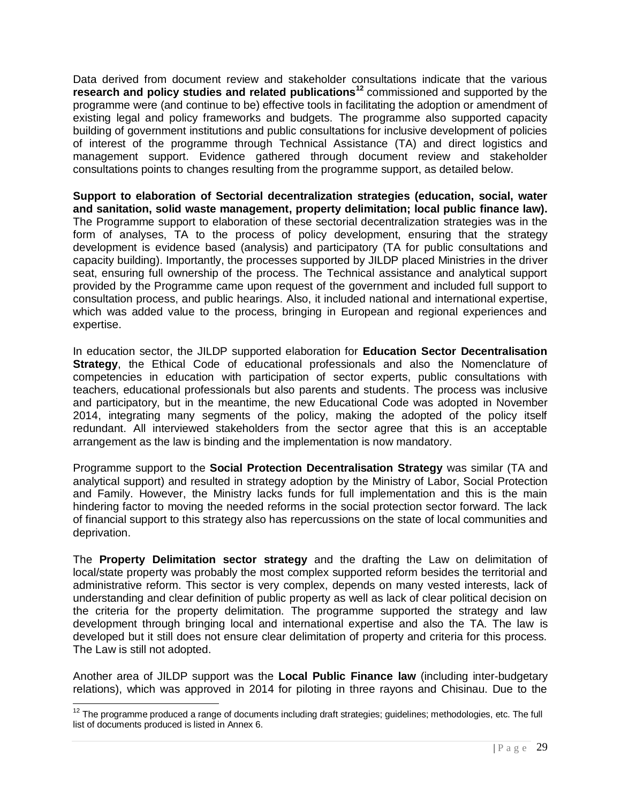Data derived from document review and stakeholder consultations indicate that the various **research and policy studies and related publications<sup>12</sup>** commissioned and supported by the programme were (and continue to be) effective tools in facilitating the adoption or amendment of existing legal and policy frameworks and budgets. The programme also supported capacity building of government institutions and public consultations for inclusive development of policies of interest of the programme through Technical Assistance (TA) and direct logistics and management support. Evidence gathered through document review and stakeholder consultations points to changes resulting from the programme support, as detailed below.

**Support to elaboration of Sectorial decentralization strategies (education, social, water and sanitation, solid waste management, property delimitation; local public finance law).** The Programme support to elaboration of these sectorial decentralization strategies was in the form of analyses, TA to the process of policy development, ensuring that the strategy development is evidence based (analysis) and participatory (TA for public consultations and capacity building). Importantly, the processes supported by JILDP placed Ministries in the driver seat, ensuring full ownership of the process. The Technical assistance and analytical support provided by the Programme came upon request of the government and included full support to consultation process, and public hearings. Also, it included national and international expertise, which was added value to the process, bringing in European and regional experiences and expertise.

In education sector, the JILDP supported elaboration for **Education Sector Decentralisation Strategy**, the Ethical Code of educational professionals and also the Nomenclature of competencies in education with participation of sector experts, public consultations with teachers, educational professionals but also parents and students. The process was inclusive and participatory, but in the meantime, the new Educational Code was adopted in November 2014, integrating many segments of the policy, making the adopted of the policy itself redundant. All interviewed stakeholders from the sector agree that this is an acceptable arrangement as the law is binding and the implementation is now mandatory.

Programme support to the **Social Protection Decentralisation Strategy** was similar (TA and analytical support) and resulted in strategy adoption by the Ministry of Labor, Social Protection and Family. However, the Ministry lacks funds for full implementation and this is the main hindering factor to moving the needed reforms in the social protection sector forward. The lack of financial support to this strategy also has repercussions on the state of local communities and deprivation.

The **Property Delimitation sector strategy** and the drafting the Law on delimitation of local/state property was probably the most complex supported reform besides the territorial and administrative reform. This sector is very complex, depends on many vested interests, lack of understanding and clear definition of public property as well as lack of clear political decision on the criteria for the property delimitation. The programme supported the strategy and law development through bringing local and international expertise and also the TA. The law is developed but it still does not ensure clear delimitation of property and criteria for this process. The Law is still not adopted.

Another area of JILDP support was the **Local Public Finance law** (including inter-budgetary relations), which was approved in 2014 for piloting in three rayons and Chisinau. Due to the

l

 $12$  The programme produced a range of documents including draft strategies; guidelines; methodologies, etc. The full list of documents produced is listed in Annex 6.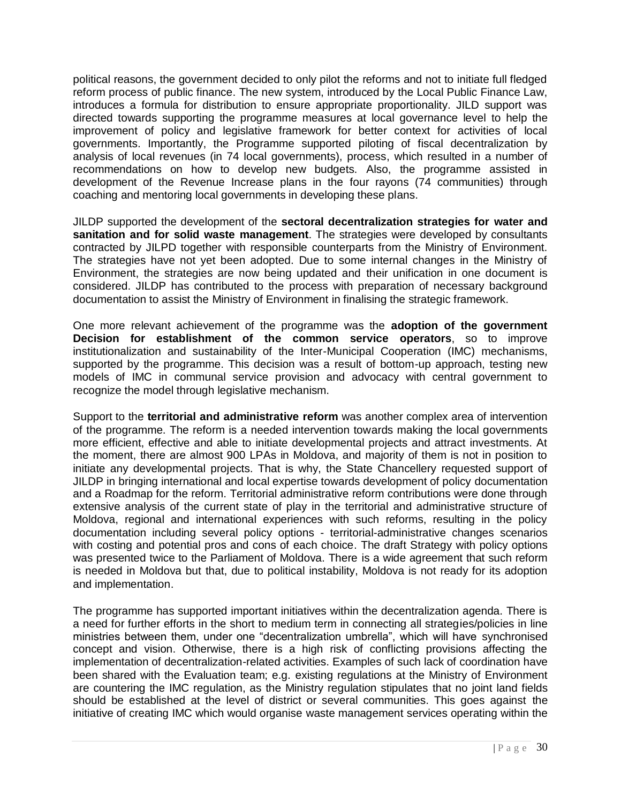political reasons, the government decided to only pilot the reforms and not to initiate full fledged reform process of public finance. The new system, introduced by the Local Public Finance Law, introduces a formula for distribution to ensure appropriate proportionality. JILD support was directed towards supporting the programme measures at local governance level to help the improvement of policy and legislative framework for better context for activities of local governments. Importantly, the Programme supported piloting of fiscal decentralization by analysis of local revenues (in 74 local governments), process, which resulted in a number of recommendations on how to develop new budgets. Also, the programme assisted in development of the Revenue Increase plans in the four rayons (74 communities) through coaching and mentoring local governments in developing these plans.

JILDP supported the development of the **sectoral decentralization strategies for water and sanitation and for solid waste management**. The strategies were developed by consultants contracted by JILPD together with responsible counterparts from the Ministry of Environment. The strategies have not yet been adopted. Due to some internal changes in the Ministry of Environment, the strategies are now being updated and their unification in one document is considered. JILDP has contributed to the process with preparation of necessary background documentation to assist the Ministry of Environment in finalising the strategic framework.

One more relevant achievement of the programme was the **adoption of the government Decision for establishment of the common service operators**, so to improve institutionalization and sustainability of the Inter-Municipal Cooperation (IMC) mechanisms, supported by the programme. This decision was a result of bottom-up approach, testing new models of IMC in communal service provision and advocacy with central government to recognize the model through legislative mechanism.

Support to the **territorial and administrative reform** was another complex area of intervention of the programme. The reform is a needed intervention towards making the local governments more efficient, effective and able to initiate developmental projects and attract investments. At the moment, there are almost 900 LPAs in Moldova, and majority of them is not in position to initiate any developmental projects. That is why, the State Chancellery requested support of JILDP in bringing international and local expertise towards development of policy documentation and a Roadmap for the reform. Territorial administrative reform contributions were done through extensive analysis of the current state of play in the territorial and administrative structure of Moldova, regional and international experiences with such reforms, resulting in the policy documentation including several policy options - territorial-administrative changes scenarios with costing and potential pros and cons of each choice. The draft Strategy with policy options was presented twice to the Parliament of Moldova. There is a wide agreement that such reform is needed in Moldova but that, due to political instability, Moldova is not ready for its adoption and implementation.

The programme has supported important initiatives within the decentralization agenda. There is a need for further efforts in the short to medium term in connecting all strategies/policies in line ministries between them, under one "decentralization umbrella", which will have synchronised concept and vision. Otherwise, there is a high risk of conflicting provisions affecting the implementation of decentralization-related activities. Examples of such lack of coordination have been shared with the Evaluation team; e.g. existing regulations at the Ministry of Environment are countering the IMC regulation, as the Ministry regulation stipulates that no joint land fields should be established at the level of district or several communities. This goes against the initiative of creating IMC which would organise waste management services operating within the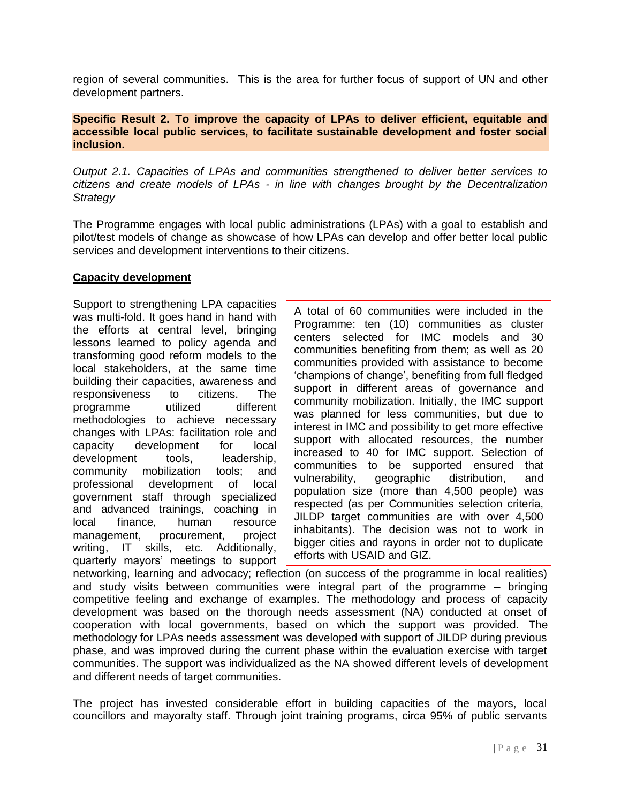region of several communities. This is the area for further focus of support of UN and other development partners.

#### **Specific Result 2. To improve the capacity of LPAs to deliver efficient, equitable and accessible local public services, to facilitate sustainable development and foster social inclusion.**

*Output 2.1. Capacities of LPAs and communities strengthened to deliver better services to citizens and create models of LPAs - in line with changes brought by the Decentralization Strategy*

The Programme engages with local public administrations (LPAs) with a goal to establish and pilot/test models of change as showcase of how LPAs can develop and offer better local public services and development interventions to their citizens.

## **Capacity development**

Support to strengthening LPA capacities was multi-fold. It goes hand in hand with the efforts at central level, bringing lessons learned to policy agenda and transforming good reform models to the local stakeholders, at the same time building their capacities, awareness and responsiveness to citizens. The programme utilized different methodologies to achieve necessary changes with LPAs: facilitation role and capacity development for local development tools, leadership, community mobilization tools; and professional development of local government staff through specialized and advanced trainings, coaching in local finance, human resource management, procurement, project writing, IT skills, etc. Additionally, quarterly mayors' meetings to support

A total of 60 communities were included in the Programme: ten (10) communities as cluster centers selected for IMC models and 30 communities benefiting from them; as well as 20 communities provided with assistance to become 'champions of change', benefiting from full fledged support in different areas of governance and community mobilization. Initially, the IMC support was planned for less communities, but due to interest in IMC and possibility to get more effective support with allocated resources, the number increased to 40 for IMC support. Selection of communities to be supported ensured that vulnerability, geographic distribution, and population size (more than 4,500 people) was respected (as per Communities selection criteria, JILDP target communities are with over 4,500 inhabitants). The decision was not to work in bigger cities and rayons in order not to duplicate efforts with USAID and GIZ.

networking, learning and advocacy; reflection (on success of the programme in local realities) and study visits between communities were integral part of the programme – bringing competitive feeling and exchange of examples. The methodology and process of capacity development was based on the thorough needs assessment (NA) conducted at onset of cooperation with local governments, based on which the support was provided. The methodology for LPAs needs assessment was developed with support of JILDP during previous phase, and was improved during the current phase within the evaluation exercise with target communities. The support was individualized as the NA showed different levels of development and different needs of target communities.

The project has invested considerable effort in building capacities of the mayors, local councillors and mayoralty staff. Through joint training programs, circa 95% of public servants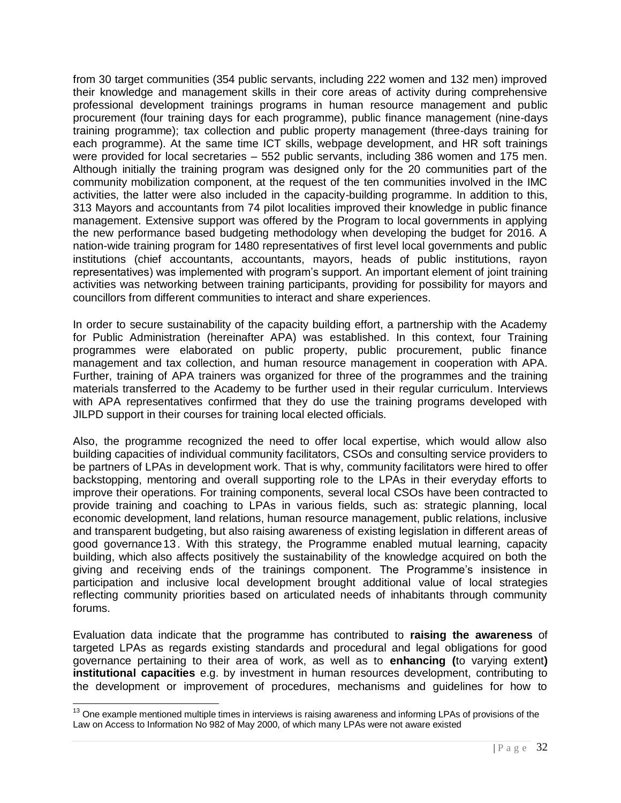from 30 target communities (354 public servants, including 222 women and 132 men) improved their knowledge and management skills in their core areas of activity during comprehensive professional development trainings programs in human resource management and public procurement (four training days for each programme), public finance management (nine-days training programme); tax collection and public property management (three-days training for each programme). At the same time ICT skills, webpage development, and HR soft trainings were provided for local secretaries – 552 public servants, including 386 women and 175 men. Although initially the training program was designed only for the 20 communities part of the community mobilization component, at the request of the ten communities involved in the IMC activities, the latter were also included in the capacity-building programme. In addition to this, 313 Mayors and accountants from 74 pilot localities improved their knowledge in public finance management. Extensive support was offered by the Program to local governments in applying the new performance based budgeting methodology when developing the budget for 2016. A nation-wide training program for 1480 representatives of first level local governments and public institutions (chief accountants, accountants, mayors, heads of public institutions, rayon representatives) was implemented with program's support. An important element of joint training activities was networking between training participants, providing for possibility for mayors and councillors from different communities to interact and share experiences.

In order to secure sustainability of the capacity building effort, a partnership with the Academy for Public Administration (hereinafter APA) was established. In this context, four Training programmes were elaborated on public property, public procurement, public finance management and tax collection, and human resource management in cooperation with APA. Further, training of APA trainers was organized for three of the programmes and the training materials transferred to the Academy to be further used in their regular curriculum. Interviews with APA representatives confirmed that they do use the training programs developed with JILPD support in their courses for training local elected officials.

Also, the programme recognized the need to offer local expertise, which would allow also building capacities of individual community facilitators, CSOs and consulting service providers to be partners of LPAs in development work. That is why, community facilitators were hired to offer backstopping, mentoring and overall supporting role to the LPAs in their everyday efforts to improve their operations. For training components, several local CSOs have been contracted to provide training and coaching to LPAs in various fields, such as: strategic planning, local economic development, land relations, human resource management, public relations, inclusive and transparent budgeting, but also raising awareness of existing legislation in different areas of good governance13. With this strategy, the Programme enabled mutual learning, capacity building, which also affects positively the sustainability of the knowledge acquired on both the giving and receiving ends of the trainings component. The Programme's insistence in participation and inclusive local development brought additional value of local strategies reflecting community priorities based on articulated needs of inhabitants through community forums.

Evaluation data indicate that the programme has contributed to **raising the awareness** of targeted LPAs as regards existing standards and procedural and legal obligations for good governance pertaining to their area of work, as well as to **enhancing (**to varying extent**) institutional capacities** e.g. by investment in human resources development, contributing to the development or improvement of procedures, mechanisms and guidelines for how to

l

<sup>&</sup>lt;sup>13</sup> One example mentioned multiple times in interviews is raising awareness and informing LPAs of provisions of the Law on Access to Information No 982 of May 2000, of which many LPAs were not aware existed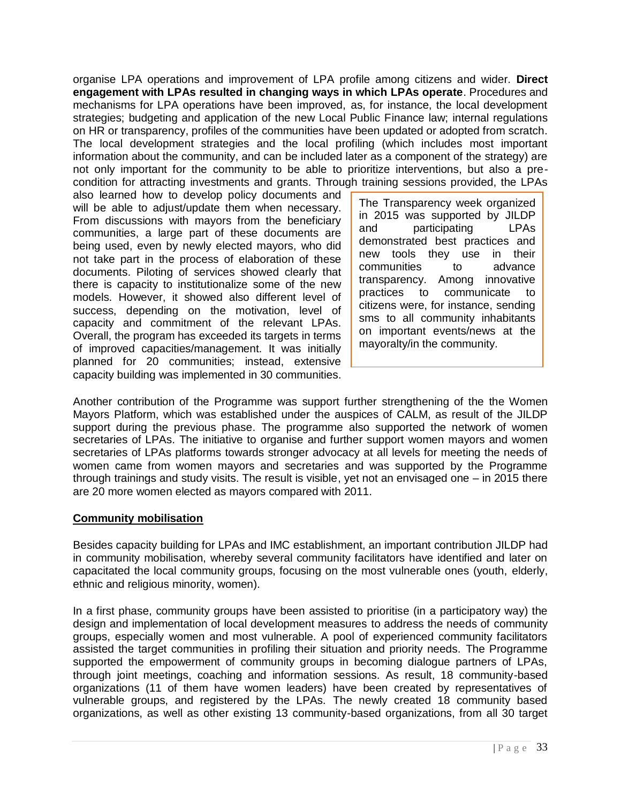organise LPA operations and improvement of LPA profile among citizens and wider. **Direct engagement with LPAs resulted in changing ways in which LPAs operate**. Procedures and mechanisms for LPA operations have been improved, as, for instance, the local development strategies; budgeting and application of the new Local Public Finance law; internal regulations on HR or transparency, profiles of the communities have been updated or adopted from scratch. The local development strategies and the local profiling (which includes most important information about the community, and can be included later as a component of the strategy) are not only important for the community to be able to prioritize interventions, but also a precondition for attracting investments and grants. Through training sessions provided, the LPAs

also learned how to develop policy documents and will be able to adjust/update them when necessary. From discussions with mayors from the beneficiary communities, a large part of these documents are being used, even by newly elected mayors, who did not take part in the process of elaboration of these documents. Piloting of services showed clearly that there is capacity to institutionalize some of the new models. However, it showed also different level of success, depending on the motivation, level of capacity and commitment of the relevant LPAs. Overall, the program has exceeded its targets in terms of improved capacities/management. It was initially planned for 20 communities; instead, extensive capacity building was implemented in 30 communities.

The Transparency week organized in 2015 was supported by JILDP and participating LPAs demonstrated best practices and new tools they use in their communities to advance transparency. Among innovative practices to communicate to citizens were, for instance, sending sms to all community inhabitants on important events/news at the mayoralty/in the community.

Another contribution of the Programme was support further strengthening of the the Women Mayors Platform, which was established under the auspices of CALM, as result of the JILDP support during the previous phase. The programme also supported the network of women secretaries of LPAs. The initiative to organise and further support women mayors and women secretaries of LPAs platforms towards stronger advocacy at all levels for meeting the needs of women came from women mayors and secretaries and was supported by the Programme through trainings and study visits. The result is visible, yet not an envisaged one – in 2015 there are 20 more women elected as mayors compared with 2011.

## **Community mobilisation**

Besides capacity building for LPAs and IMC establishment, an important contribution JILDP had in community mobilisation, whereby several community facilitators have identified and later on capacitated the local community groups, focusing on the most vulnerable ones (youth, elderly, ethnic and religious minority, women).

In a first phase, community groups have been assisted to prioritise (in a participatory way) the design and implementation of local development measures to address the needs of community groups, especially women and most vulnerable. A pool of experienced community facilitators assisted the target communities in profiling their situation and priority needs. The Programme supported the empowerment of community groups in becoming dialogue partners of LPAs, through joint meetings, coaching and information sessions. As result, 18 community-based organizations (11 of them have women leaders) have been created by representatives of vulnerable groups, and registered by the LPAs. The newly created 18 community based organizations, as well as other existing 13 community-based organizations, from all 30 target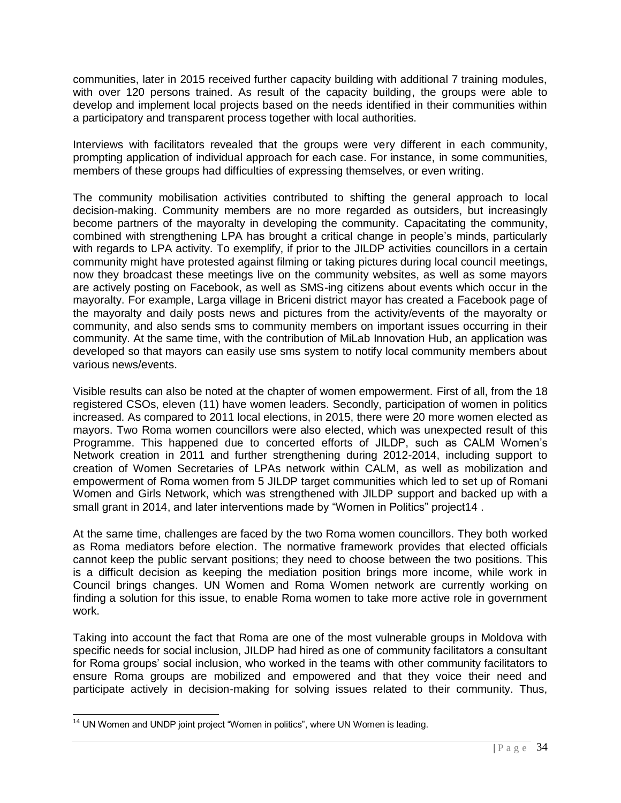communities, later in 2015 received further capacity building with additional 7 training modules, with over 120 persons trained. As result of the capacity building, the groups were able to develop and implement local projects based on the needs identified in their communities within a participatory and transparent process together with local authorities.

Interviews with facilitators revealed that the groups were very different in each community, prompting application of individual approach for each case. For instance, in some communities, members of these groups had difficulties of expressing themselves, or even writing.

The community mobilisation activities contributed to shifting the general approach to local decision-making. Community members are no more regarded as outsiders, but increasingly become partners of the mayoralty in developing the community. Capacitating the community, combined with strengthening LPA has brought a critical change in people's minds, particularly with regards to LPA activity. To exemplify, if prior to the JILDP activities councillors in a certain community might have protested against filming or taking pictures during local council meetings, now they broadcast these meetings live on the community websites, as well as some mayors are actively posting on Facebook, as well as SMS-ing citizens about events which occur in the mayoralty. For example, Larga village in Briceni district mayor has created a Facebook page of the mayoralty and daily posts news and pictures from the activity/events of the mayoralty or community, and also sends sms to community members on important issues occurring in their community. At the same time, with the contribution of MiLab Innovation Hub, an application was developed so that mayors can easily use sms system to notify local community members about various news/events.

Visible results can also be noted at the chapter of women empowerment. First of all, from the 18 registered CSOs, eleven (11) have women leaders. Secondly, participation of women in politics increased. As compared to 2011 local elections, in 2015, there were 20 more women elected as mayors. Two Roma women councillors were also elected, which was unexpected result of this Programme. This happened due to concerted efforts of JILDP, such as CALM Women's Network creation in 2011 and further strengthening during 2012-2014, including support to creation of Women Secretaries of LPAs network within CALM, as well as mobilization and empowerment of Roma women from 5 JILDP target communities which led to set up of Romani Women and Girls Network, which was strengthened with JILDP support and backed up with a small grant in 2014, and later interventions made by "Women in Politics" project14.

At the same time, challenges are faced by the two Roma women councillors. They both worked as Roma mediators before election. The normative framework provides that elected officials cannot keep the public servant positions; they need to choose between the two positions. This is a difficult decision as keeping the mediation position brings more income, while work in Council brings changes. UN Women and Roma Women network are currently working on finding a solution for this issue, to enable Roma women to take more active role in government work.

Taking into account the fact that Roma are one of the most vulnerable groups in Moldova with specific needs for social inclusion, JILDP had hired as one of community facilitators a consultant for Roma groups' social inclusion, who worked in the teams with other community facilitators to ensure Roma groups are mobilized and empowered and that they voice their need and participate actively in decision-making for solving issues related to their community. Thus,

 $\overline{a}$  $14$  UN Women and UNDP joint project "Women in politics", where UN Women is leading.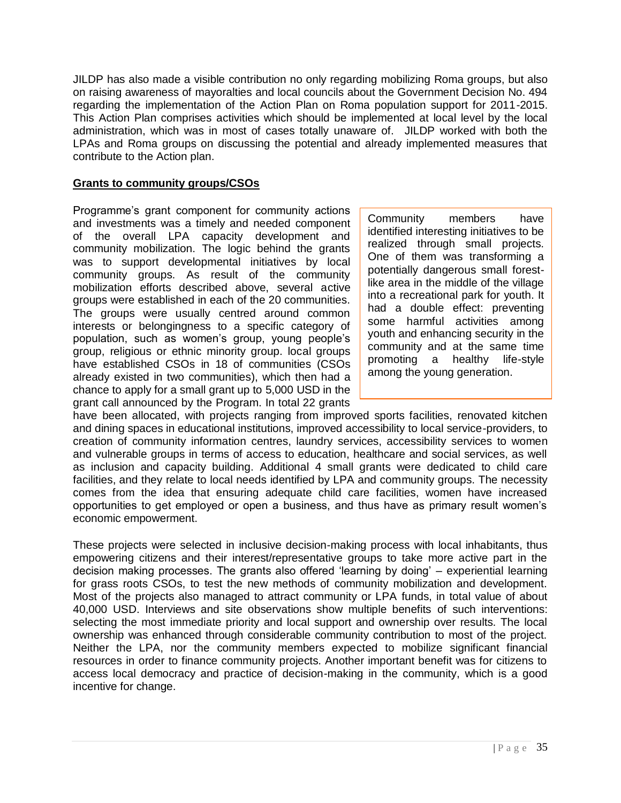JILDP has also made a visible contribution no only regarding mobilizing Roma groups, but also on raising awareness of mayoralties and local councils about the Government Decision No. 494 regarding the implementation of the Action Plan on Roma population support for 2011-2015. This Action Plan comprises activities which should be implemented at local level by the local administration, which was in most of cases totally unaware of. JILDP worked with both the LPAs and Roma groups on discussing the potential and already implemented measures that contribute to the Action plan.

## **Grants to community groups/CSOs**

Programme's grant component for community actions and investments was a timely and needed component of the overall LPA capacity development and community mobilization. The logic behind the grants was to support developmental initiatives by local community groups. As result of the community mobilization efforts described above, several active groups were established in each of the 20 communities. The groups were usually centred around common interests or belongingness to a specific category of population, such as women's group, young people's group, religious or ethnic minority group. local groups have established CSOs in 18 of communities (CSOs already existed in two communities), which then had a chance to apply for a small grant up to 5,000 USD in the grant call announced by the Program. In total 22 grants

Community members have identified interesting initiatives to be realized through small projects. One of them was transforming a potentially dangerous small forestlike area in the middle of the village into a recreational park for youth. It had a double effect: preventing some harmful activities among youth and enhancing security in the community and at the same time promoting a healthy life-style among the young generation.

have been allocated, with projects ranging from improved sports facilities, renovated kitchen and dining spaces in educational institutions, improved accessibility to local service-providers, to creation of community information centres, laundry services, accessibility services to women and vulnerable groups in terms of access to education, healthcare and social services, as well as inclusion and capacity building. Additional 4 small grants were dedicated to child care facilities, and they relate to local needs identified by LPA and community groups. The necessity comes from the idea that ensuring adequate child care facilities, women have increased opportunities to get employed or open a business, and thus have as primary result women's economic empowerment.

These projects were selected in inclusive decision-making process with local inhabitants, thus empowering citizens and their interest/representative groups to take more active part in the decision making processes. The grants also offered 'learning by doing' – experiential learning for grass roots CSOs, to test the new methods of community mobilization and development. Most of the projects also managed to attract community or LPA funds, in total value of about 40,000 USD. Interviews and site observations show multiple benefits of such interventions: selecting the most immediate priority and local support and ownership over results. The local ownership was enhanced through considerable community contribution to most of the project. Neither the LPA, nor the community members expected to mobilize significant financial resources in order to finance community projects. Another important benefit was for citizens to access local democracy and practice of decision-making in the community, which is a good incentive for change.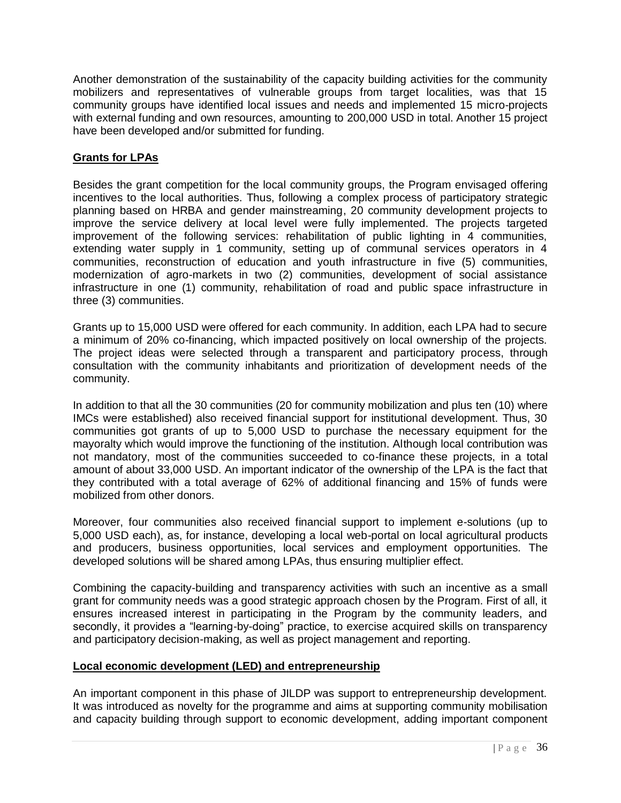Another demonstration of the sustainability of the capacity building activities for the community mobilizers and representatives of vulnerable groups from target localities, was that 15 community groups have identified local issues and needs and implemented 15 micro-projects with external funding and own resources, amounting to 200,000 USD in total. Another 15 project have been developed and/or submitted for funding.

## **Grants for LPAs**

Besides the grant competition for the local community groups, the Program envisaged offering incentives to the local authorities. Thus, following a complex process of participatory strategic planning based on HRBA and gender mainstreaming, 20 community development projects to improve the service delivery at local level were fully implemented. The projects targeted improvement of the following services: rehabilitation of public lighting in 4 communities, extending water supply in 1 community, setting up of communal services operators in 4 communities, reconstruction of education and youth infrastructure in five (5) communities, modernization of agro-markets in two (2) communities, development of social assistance infrastructure in one (1) community, rehabilitation of road and public space infrastructure in three (3) communities.

Grants up to 15,000 USD were offered for each community. In addition, each LPA had to secure a minimum of 20% co-financing, which impacted positively on local ownership of the projects. The project ideas were selected through a transparent and participatory process, through consultation with the community inhabitants and prioritization of development needs of the community.

In addition to that all the 30 communities (20 for community mobilization and plus ten (10) where IMCs were established) also received financial support for institutional development. Thus, 30 communities got grants of up to 5,000 USD to purchase the necessary equipment for the mayoralty which would improve the functioning of the institution. Although local contribution was not mandatory, most of the communities succeeded to co-finance these projects, in a total amount of about 33,000 USD. An important indicator of the ownership of the LPA is the fact that they contributed with a total average of 62% of additional financing and 15% of funds were mobilized from other donors.

Moreover, four communities also received financial support to implement e-solutions (up to 5,000 USD each), as, for instance, developing a local web-portal on local agricultural products and producers, business opportunities, local services and employment opportunities. The developed solutions will be shared among LPAs, thus ensuring multiplier effect.

Combining the capacity-building and transparency activities with such an incentive as a small grant for community needs was a good strategic approach chosen by the Program. First of all, it ensures increased interest in participating in the Program by the community leaders, and secondly, it provides a "learning-by-doing" practice, to exercise acquired skills on transparency and participatory decision-making, as well as project management and reporting.

## **Local economic development (LED) and entrepreneurship**

An important component in this phase of JILDP was support to entrepreneurship development. It was introduced as novelty for the programme and aims at supporting community mobilisation and capacity building through support to economic development, adding important component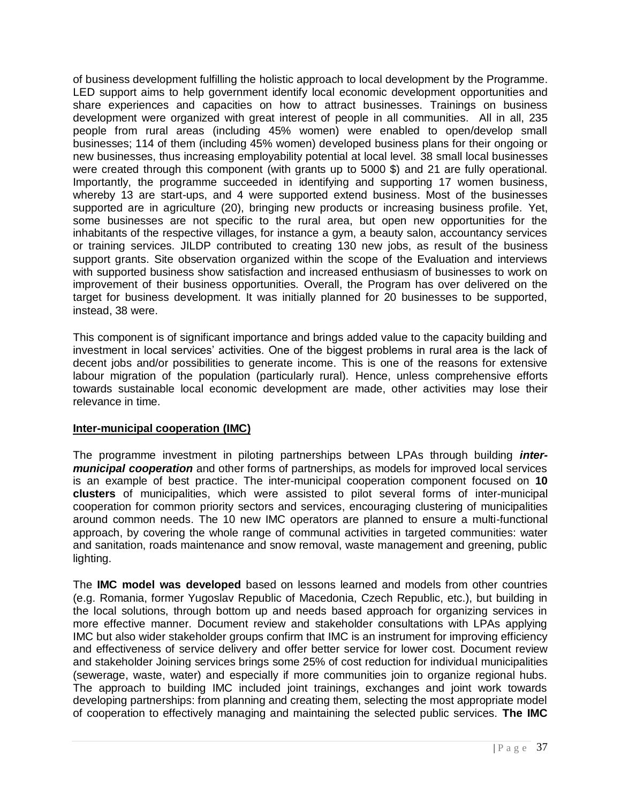of business development fulfilling the holistic approach to local development by the Programme. LED support aims to help government identify local economic development opportunities and share experiences and capacities on how to attract businesses. Trainings on business development were organized with great interest of people in all communities. All in all, 235 people from rural areas (including 45% women) were enabled to open/develop small businesses; 114 of them (including 45% women) developed business plans for their ongoing or new businesses, thus increasing employability potential at local level. 38 small local businesses were created through this component (with grants up to 5000 \$) and 21 are fully operational. Importantly, the programme succeeded in identifying and supporting 17 women business, whereby 13 are start-ups, and 4 were supported extend business. Most of the businesses supported are in agriculture (20), bringing new products or increasing business profile. Yet, some businesses are not specific to the rural area, but open new opportunities for the inhabitants of the respective villages, for instance a gym, a beauty salon, accountancy services or training services. JILDP contributed to creating 130 new jobs, as result of the business support grants. Site observation organized within the scope of the Evaluation and interviews with supported business show satisfaction and increased enthusiasm of businesses to work on improvement of their business opportunities. Overall, the Program has over delivered on the target for business development. It was initially planned for 20 businesses to be supported, instead, 38 were.

This component is of significant importance and brings added value to the capacity building and investment in local services' activities. One of the biggest problems in rural area is the lack of decent jobs and/or possibilities to generate income. This is one of the reasons for extensive labour migration of the population (particularly rural). Hence, unless comprehensive efforts towards sustainable local economic development are made, other activities may lose their relevance in time.

## **Inter-municipal cooperation (IMC)**

The programme investment in piloting partnerships between LPAs through building *intermunicipal cooperation* and other forms of partnerships, as models for improved local services is an example of best practice. The inter-municipal cooperation component focused on **10 clusters** of municipalities, which were assisted to pilot several forms of inter-municipal cooperation for common priority sectors and services, encouraging clustering of municipalities around common needs. The 10 new IMC operators are planned to ensure a multi-functional approach, by covering the whole range of communal activities in targeted communities: water and sanitation, roads maintenance and snow removal, waste management and greening, public lighting.

The **IMC model was developed** based on lessons learned and models from other countries (e.g. Romania, former Yugoslav Republic of Macedonia, Czech Republic, etc.), but building in the local solutions, through bottom up and needs based approach for organizing services in more effective manner. Document review and stakeholder consultations with LPAs applying IMC but also wider stakeholder groups confirm that IMC is an instrument for improving efficiency and effectiveness of service delivery and offer better service for lower cost. Document review and stakeholder Joining services brings some 25% of cost reduction for individual municipalities (sewerage, waste, water) and especially if more communities join to organize regional hubs. The approach to building IMC included joint trainings, exchanges and joint work towards developing partnerships: from planning and creating them, selecting the most appropriate model of cooperation to effectively managing and maintaining the selected public services. **The IMC**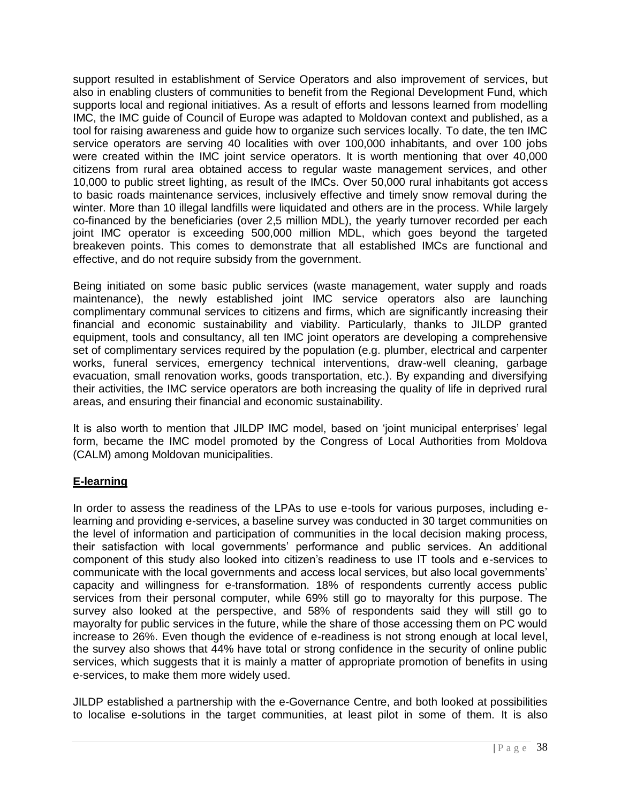support resulted in establishment of Service Operators and also improvement of services, but also in enabling clusters of communities to benefit from the Regional Development Fund, which supports local and regional initiatives. As a result of efforts and lessons learned from modelling IMC, the IMC guide of Council of Europe was adapted to Moldovan context and published, as a tool for raising awareness and guide how to organize such services locally. To date, the ten IMC service operators are serving 40 localities with over 100,000 inhabitants, and over 100 jobs were created within the IMC joint service operators. It is worth mentioning that over 40,000 citizens from rural area obtained access to regular waste management services, and other 10,000 to public street lighting, as result of the IMCs. Over 50,000 rural inhabitants got access to basic roads maintenance services, inclusively effective and timely snow removal during the winter. More than 10 illegal landfills were liquidated and others are in the process. While largely co-financed by the beneficiaries (over 2,5 million MDL), the yearly turnover recorded per each joint IMC operator is exceeding 500,000 million MDL, which goes beyond the targeted breakeven points. This comes to demonstrate that all established IMCs are functional and effective, and do not require subsidy from the government.

Being initiated on some basic public services (waste management, water supply and roads maintenance), the newly established joint IMC service operators also are launching complimentary communal services to citizens and firms, which are significantly increasing their financial and economic sustainability and viability. Particularly, thanks to JILDP granted equipment, tools and consultancy, all ten IMC joint operators are developing a comprehensive set of complimentary services required by the population (e.g. plumber, electrical and carpenter works, funeral services, emergency technical interventions, draw-well cleaning, garbage evacuation, small renovation works, goods transportation, etc.). By expanding and diversifying their activities, the IMC service operators are both increasing the quality of life in deprived rural areas, and ensuring their financial and economic sustainability.

It is also worth to mention that JILDP IMC model, based on 'joint municipal enterprises' legal form, became the IMC model promoted by the Congress of Local Authorities from Moldova (CALM) among Moldovan municipalities.

## **E-learning**

In order to assess the readiness of the LPAs to use e-tools for various purposes, including elearning and providing e-services, a baseline survey was conducted in 30 target communities on the level of information and participation of communities in the local decision making process, their satisfaction with local governments' performance and public services. An additional component of this study also looked into citizen's readiness to use IT tools and e-services to communicate with the local governments and access local services, but also local governments' capacity and willingness for e-transformation. 18% of respondents currently access public services from their personal computer, while 69% still go to mayoralty for this purpose. The survey also looked at the perspective, and 58% of respondents said they will still go to mayoralty for public services in the future, while the share of those accessing them on PC would increase to 26%. Even though the evidence of e-readiness is not strong enough at local level, the survey also shows that 44% have total or strong confidence in the security of online public services, which suggests that it is mainly a matter of appropriate promotion of benefits in using e-services, to make them more widely used.

JILDP established a partnership with the e-Governance Centre, and both looked at possibilities to localise e-solutions in the target communities, at least pilot in some of them. It is also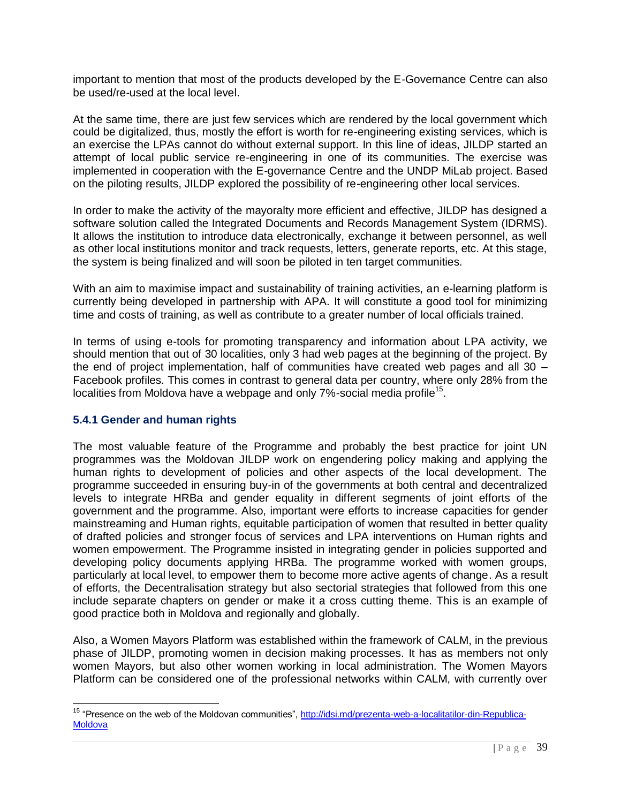important to mention that most of the products developed by the E-Governance Centre can also be used/re-used at the local level.

At the same time, there are just few services which are rendered by the local government which could be digitalized, thus, mostly the effort is worth for re-engineering existing services, which is an exercise the LPAs cannot do without external support. In this line of ideas, JILDP started an attempt of local public service re-engineering in one of its communities. The exercise was implemented in cooperation with the E-governance Centre and the UNDP MiLab project. Based on the piloting results, JILDP explored the possibility of re-engineering other local services.

In order to make the activity of the mayoralty more efficient and effective, JILDP has designed a software solution called the Integrated Documents and Records Management System (IDRMS). It allows the institution to introduce data electronically, exchange it between personnel, as well as other local institutions monitor and track requests, letters, generate reports, etc. At this stage, the system is being finalized and will soon be piloted in ten target communities.

With an aim to maximise impact and sustainability of training activities, an e-learning platform is currently being developed in partnership with APA. It will constitute a good tool for minimizing time and costs of training, as well as contribute to a greater number of local officials trained.

In terms of using e-tools for promoting transparency and information about LPA activity, we should mention that out of 30 localities, only 3 had web pages at the beginning of the project. By the end of project implementation, half of communities have created web pages and all 30 – Facebook profiles. This comes in contrast to general data per country, where only 28% from the localities from Moldova have a webpage and only 7%-social media profile<sup>15</sup>.

## <span id="page-38-0"></span>**5.4.1 Gender and human rights**

l

The most valuable feature of the Programme and probably the best practice for joint UN programmes was the Moldovan JILDP work on engendering policy making and applying the human rights to development of policies and other aspects of the local development. The programme succeeded in ensuring buy-in of the governments at both central and decentralized levels to integrate HRBa and gender equality in different segments of joint efforts of the government and the programme. Also, important were efforts to increase capacities for gender mainstreaming and Human rights, equitable participation of women that resulted in better quality of drafted policies and stronger focus of services and LPA interventions on Human rights and women empowerment. The Programme insisted in integrating gender in policies supported and developing policy documents applying HRBa. The programme worked with women groups, particularly at local level, to empower them to become more active agents of change. As a result of efforts, the Decentralisation strategy but also sectorial strategies that followed from this one include separate chapters on gender or make it a cross cutting theme. This is an example of good practice both in Moldova and regionally and globally.

Also, a Women Mayors Platform was established within the framework of CALM, in the previous phase of JILDP, promoting women in decision making processes. It has as members not only women Mayors, but also other women working in local administration. The Women Mayors Platform can be considered one of the professional networks within CALM, with currently over

<sup>&</sup>lt;sup>15</sup> "Presence on the web of the Moldovan communities", [http://idsi.md/prezenta-web-a-localitatilor-din-Republica-](http://idsi.md/prezenta-web-a-localitatilor-din-Republica-Moldova)**[Moldova](http://idsi.md/prezenta-web-a-localitatilor-din-Republica-Moldova)**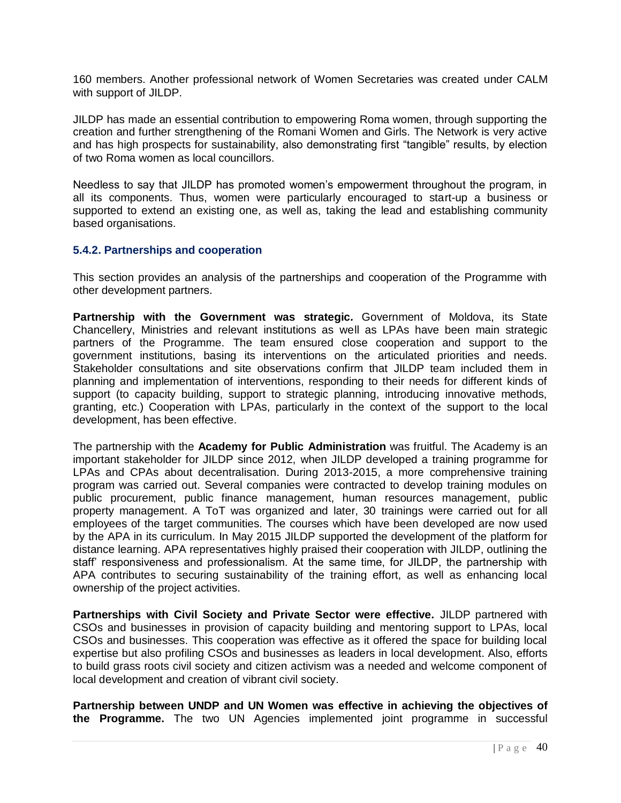160 members. Another professional network of Women Secretaries was created under CALM with support of JILDP.

JILDP has made an essential contribution to empowering Roma women, through supporting the creation and further strengthening of the Romani Women and Girls. The Network is very active and has high prospects for sustainability, also demonstrating first "tangible" results, by election of two Roma women as local councillors.

Needless to say that JILDP has promoted women's empowerment throughout the program, in all its components. Thus, women were particularly encouraged to start-up a business or supported to extend an existing one, as well as, taking the lead and establishing community based organisations.

## <span id="page-39-0"></span>**5.4.2. Partnerships and cooperation**

This section provides an analysis of the partnerships and cooperation of the Programme with other development partners.

**Partnership with the Government was strategic***.* Government of Moldova, its State Chancellery, Ministries and relevant institutions as well as LPAs have been main strategic partners of the Programme. The team ensured close cooperation and support to the government institutions, basing its interventions on the articulated priorities and needs. Stakeholder consultations and site observations confirm that JILDP team included them in planning and implementation of interventions, responding to their needs for different kinds of support (to capacity building, support to strategic planning, introducing innovative methods, granting, etc.) Cooperation with LPAs, particularly in the context of the support to the local development, has been effective.

The partnership with the **Academy for Public Administration** was fruitful. The Academy is an important stakeholder for JILDP since 2012, when JILDP developed a training programme for LPAs and CPAs about decentralisation. During 2013-2015, a more comprehensive training program was carried out. Several companies were contracted to develop training modules on public procurement, public finance management, human resources management, public property management. A ToT was organized and later, 30 trainings were carried out for all employees of the target communities. The courses which have been developed are now used by the APA in its curriculum. In May 2015 JILDP supported the development of the platform for distance learning. APA representatives highly praised their cooperation with JILDP, outlining the staff' responsiveness and professionalism. At the same time, for JILDP, the partnership with APA contributes to securing sustainability of the training effort, as well as enhancing local ownership of the project activities.

**Partnerships with Civil Society and Private Sector were effective***.* JILDP partnered with CSOs and businesses in provision of capacity building and mentoring support to LPAs, local CSOs and businesses. This cooperation was effective as it offered the space for building local expertise but also profiling CSOs and businesses as leaders in local development. Also, efforts to build grass roots civil society and citizen activism was a needed and welcome component of local development and creation of vibrant civil society.

**Partnership between UNDP and UN Women was effective in achieving the objectives of the Programme.** The two UN Agencies implemented joint programme in successful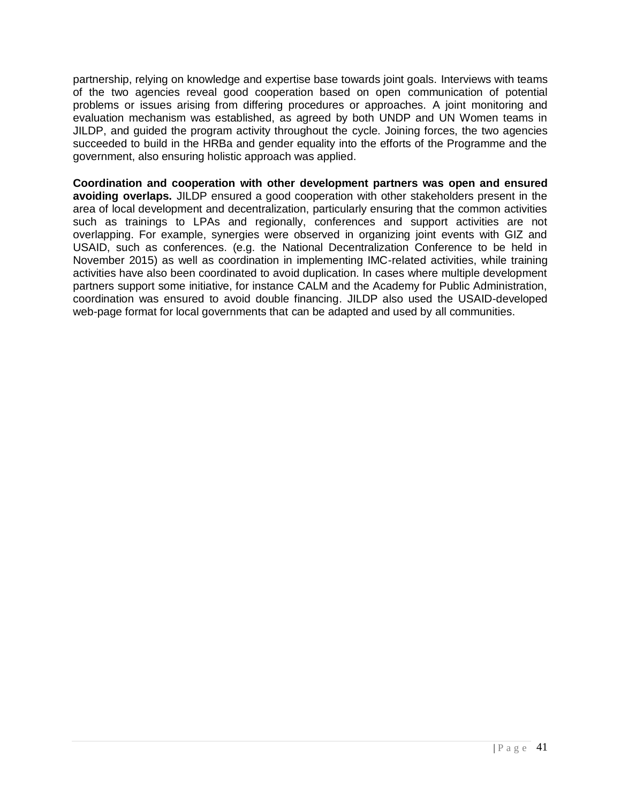partnership, relying on knowledge and expertise base towards joint goals. Interviews with teams of the two agencies reveal good cooperation based on open communication of potential problems or issues arising from differing procedures or approaches. A joint monitoring and evaluation mechanism was established, as agreed by both UNDP and UN Women teams in JILDP, and guided the program activity throughout the cycle. Joining forces, the two agencies succeeded to build in the HRBa and gender equality into the efforts of the Programme and the government, also ensuring holistic approach was applied.

**Coordination and cooperation with other development partners was open and ensured avoiding overlaps.** JILDP ensured a good cooperation with other stakeholders present in the area of local development and decentralization, particularly ensuring that the common activities such as trainings to LPAs and regionally, conferences and support activities are not overlapping. For example, synergies were observed in organizing joint events with GIZ and USAID, such as conferences. (e.g. the National Decentralization Conference to be held in November 2015) as well as coordination in implementing IMC-related activities, while training activities have also been coordinated to avoid duplication. In cases where multiple development partners support some initiative, for instance CALM and the Academy for Public Administration, coordination was ensured to avoid double financing. JILDP also used the USAID-developed web-page format for local governments that can be adapted and used by all communities.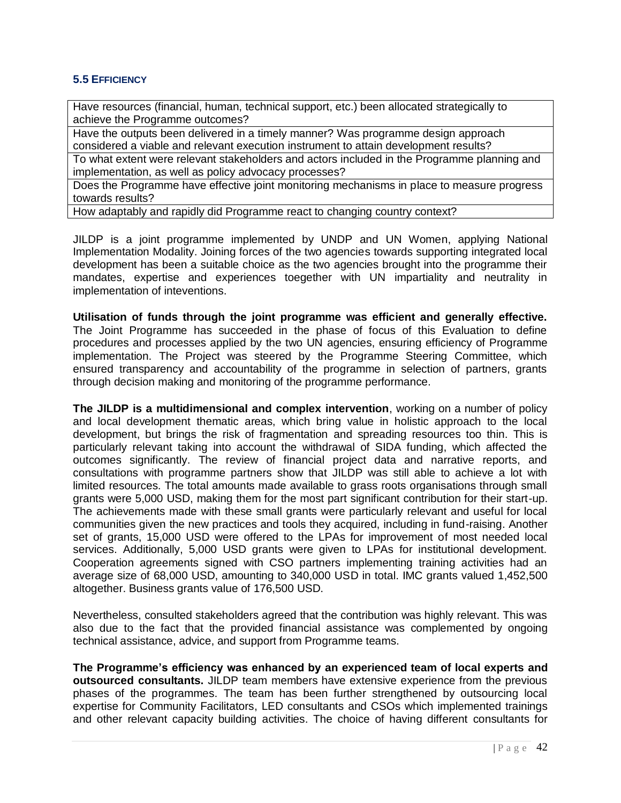## <span id="page-41-0"></span>**5.5 EFFICIENCY**

Have resources (financial, human, technical support, etc.) been allocated strategically to achieve the Programme outcomes?

Have the outputs been delivered in a timely manner? Was programme design approach considered a viable and relevant execution instrument to attain development results?

To what extent were relevant stakeholders and actors included in the Programme planning and implementation, as well as policy advocacy processes?

Does the Programme have effective joint monitoring mechanisms in place to measure progress towards results?

How adaptably and rapidly did Programme react to changing country context?

JILDP is a joint programme implemented by UNDP and UN Women, applying National Implementation Modality. Joining forces of the two agencies towards supporting integrated local development has been a suitable choice as the two agencies brought into the programme their mandates, expertise and experiences toegether with UN impartiality and neutrality in implementation of inteventions.

**Utilisation of funds through the joint programme was efficient and generally effective.**  The Joint Programme has succeeded in the phase of focus of this Evaluation to define procedures and processes applied by the two UN agencies, ensuring efficiency of Programme implementation. The Project was steered by the Programme Steering Committee, which ensured transparency and accountability of the programme in selection of partners, grants through decision making and monitoring of the programme performance.

**The JILDP is a multidimensional and complex intervention**, working on a number of policy and local development thematic areas, which bring value in holistic approach to the local development, but brings the risk of fragmentation and spreading resources too thin. This is particularly relevant taking into account the withdrawal of SIDA funding, which affected the outcomes significantly. The review of financial project data and narrative reports, and consultations with programme partners show that JILDP was still able to achieve a lot with limited resources. The total amounts made available to grass roots organisations through small grants were 5,000 USD, making them for the most part significant contribution for their start-up. The achievements made with these small grants were particularly relevant and useful for local communities given the new practices and tools they acquired, including in fund-raising. Another set of grants, 15,000 USD were offered to the LPAs for improvement of most needed local services. Additionally, 5,000 USD grants were given to LPAs for institutional development. Cooperation agreements signed with CSO partners implementing training activities had an average size of 68,000 USD, amounting to 340,000 USD in total. IMC grants valued 1,452,500 altogether. Business grants value of 176,500 USD.

Nevertheless, consulted stakeholders agreed that the contribution was highly relevant. This was also due to the fact that the provided financial assistance was complemented by ongoing technical assistance, advice, and support from Programme teams.

**The Programme's efficiency was enhanced by an experienced team of local experts and outsourced consultants.** JILDP team members have extensive experience from the previous phases of the programmes. The team has been further strengthened by outsourcing local expertise for Community Facilitators, LED consultants and CSOs which implemented trainings and other relevant capacity building activities. The choice of having different consultants for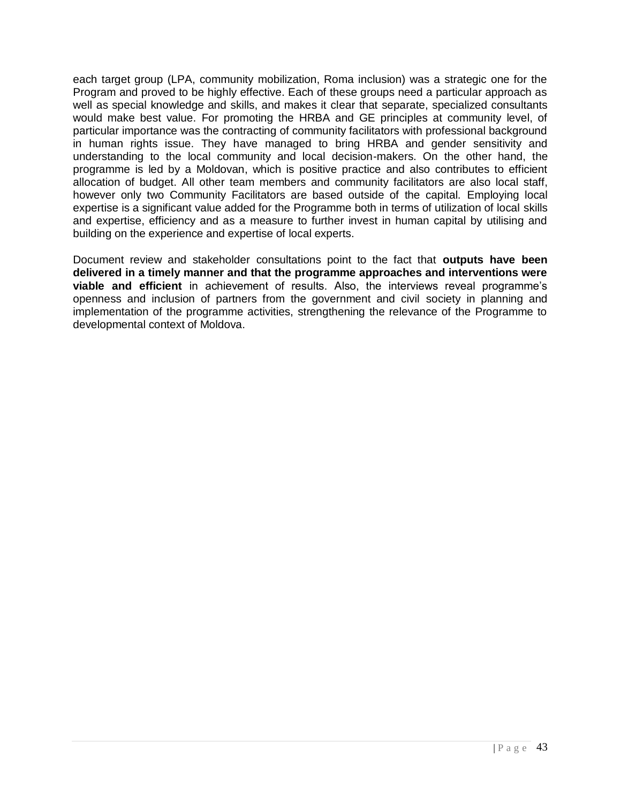each target group (LPA, community mobilization, Roma inclusion) was a strategic one for the Program and proved to be highly effective. Each of these groups need a particular approach as well as special knowledge and skills, and makes it clear that separate, specialized consultants would make best value. For promoting the HRBA and GE principles at community level, of particular importance was the contracting of community facilitators with professional background in human rights issue. They have managed to bring HRBA and gender sensitivity and understanding to the local community and local decision-makers. On the other hand, the programme is led by a Moldovan, which is positive practice and also contributes to efficient allocation of budget. All other team members and community facilitators are also local staff, however only two Community Facilitators are based outside of the capital. Employing local expertise is a significant value added for the Programme both in terms of utilization of local skills and expertise, efficiency and as a measure to further invest in human capital by utilising and building on the experience and expertise of local experts.

Document review and stakeholder consultations point to the fact that **outputs have been delivered in a timely manner and that the programme approaches and interventions were viable and efficient** in achievement of results. Also, the interviews reveal programme's openness and inclusion of partners from the government and civil society in planning and implementation of the programme activities, strengthening the relevance of the Programme to developmental context of Moldova.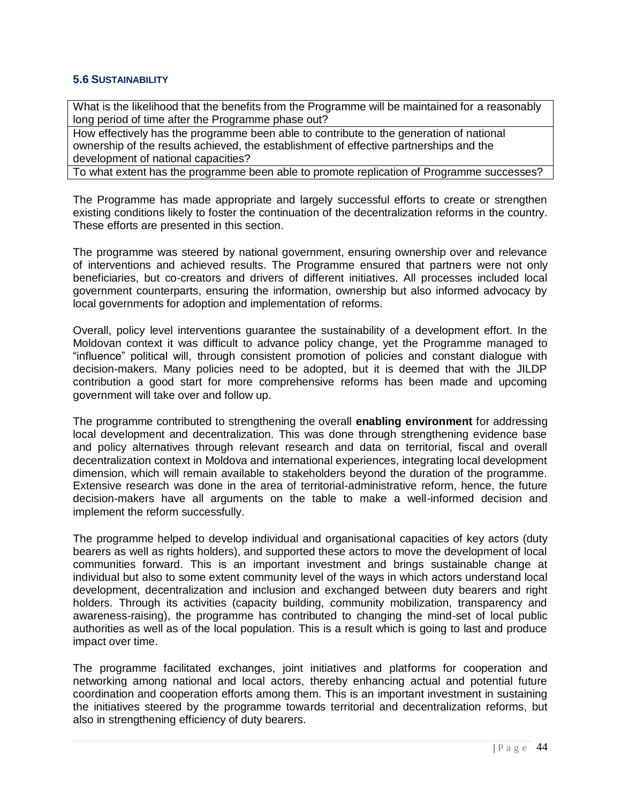#### <span id="page-43-0"></span>**5.6 SUSTAINABILITY**

What is the likelihood that the benefits from the Programme will be maintained for a reasonably long period of time after the Programme phase out?

How effectively has the programme been able to contribute to the generation of national ownership of the results achieved, the establishment of effective partnerships and the development of national capacities?

To what extent has the programme been able to promote replication of Programme successes?

The Programme has made appropriate and largely successful efforts to create or strengthen existing conditions likely to foster the continuation of the decentralization reforms in the country. These efforts are presented in this section.

The programme was steered by national government, ensuring ownership over and relevance of interventions and achieved results. The Programme ensured that partners were not only beneficiaries, but co-creators and drivers of different initiatives. All processes included local government counterparts, ensuring the information, ownership but also informed advocacy by local governments for adoption and implementation of reforms.

Overall, policy level interventions guarantee the sustainability of a development effort. In the Moldovan context it was difficult to advance policy change, yet the Programme managed to "influence" political will, through consistent promotion of policies and constant dialogue with decision-makers. Many policies need to be adopted, but it is deemed that with the JILDP contribution a good start for more comprehensive reforms has been made and upcoming government will take over and follow up.

The programme contributed to strengthening the overall **enabling environment** for addressing local development and decentralization. This was done through strengthening evidence base and policy alternatives through relevant research and data on territorial, fiscal and overall decentralization context in Moldova and international experiences, integrating local development dimension, which will remain available to stakeholders beyond the duration of the programme. Extensive research was done in the area of territorial-administrative reform, hence, the future decision-makers have all arguments on the table to make a well-informed decision and implement the reform successfully.

The programme helped to develop individual and organisational capacities of key actors (duty bearers as well as rights holders), and supported these actors to move the development of local communities forward. This is an important investment and brings sustainable change at individual but also to some extent community level of the ways in which actors understand local development, decentralization and inclusion and exchanged between duty bearers and right holders. Through its activities (capacity building, community mobilization, transparency and awareness-raising), the programme has contributed to changing the mind-set of local public authorities as well as of the local population. This is a result which is going to last and produce impact over time.

The programme facilitated exchanges, joint initiatives and platforms for cooperation and networking among national and local actors, thereby enhancing actual and potential future coordination and cooperation efforts among them. This is an important investment in sustaining the initiatives steered by the programme towards territorial and decentralization reforms, but also in strengthening efficiency of duty bearers.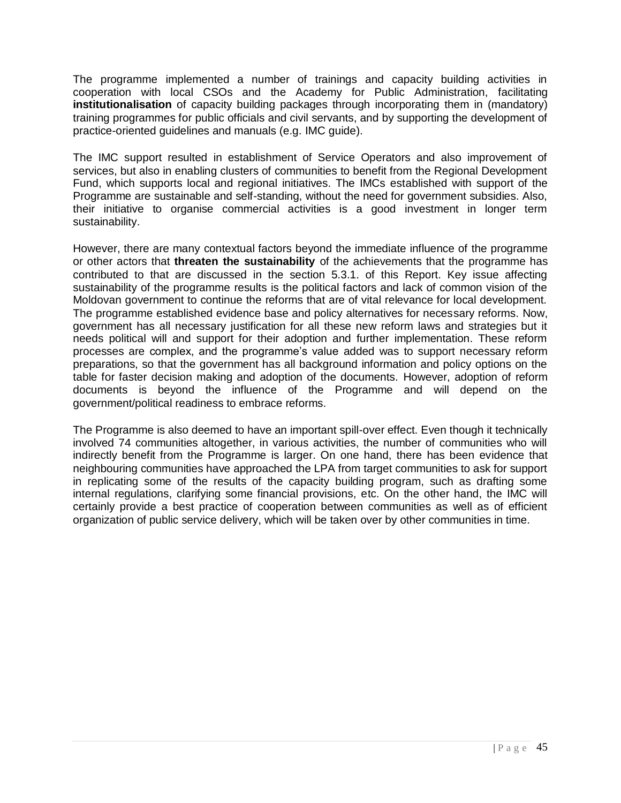The programme implemented a number of trainings and capacity building activities in cooperation with local CSOs and the Academy for Public Administration, facilitating **institutionalisation** of capacity building packages through incorporating them in (mandatory) training programmes for public officials and civil servants, and by supporting the development of practice-oriented guidelines and manuals (e.g. IMC guide).

The IMC support resulted in establishment of Service Operators and also improvement of services, but also in enabling clusters of communities to benefit from the Regional Development Fund, which supports local and regional initiatives. The IMCs established with support of the Programme are sustainable and self-standing, without the need for government subsidies. Also, their initiative to organise commercial activities is a good investment in longer term sustainability.

However, there are many contextual factors beyond the immediate influence of the programme or other actors that **threaten the sustainability** of the achievements that the programme has contributed to that are discussed in the section 5.3.1. of this Report. Key issue affecting sustainability of the programme results is the political factors and lack of common vision of the Moldovan government to continue the reforms that are of vital relevance for local development. The programme established evidence base and policy alternatives for necessary reforms. Now, government has all necessary justification for all these new reform laws and strategies but it needs political will and support for their adoption and further implementation. These reform processes are complex, and the programme's value added was to support necessary reform preparations, so that the government has all background information and policy options on the table for faster decision making and adoption of the documents. However, adoption of reform documents is beyond the influence of the Programme and will depend on the government/political readiness to embrace reforms.

The Programme is also deemed to have an important spill-over effect. Even though it technically involved 74 communities altogether, in various activities, the number of communities who will indirectly benefit from the Programme is larger. On one hand, there has been evidence that neighbouring communities have approached the LPA from target communities to ask for support in replicating some of the results of the capacity building program, such as drafting some internal regulations, clarifying some financial provisions, etc. On the other hand, the IMC will certainly provide a best practice of cooperation between communities as well as of efficient organization of public service delivery, which will be taken over by other communities in time.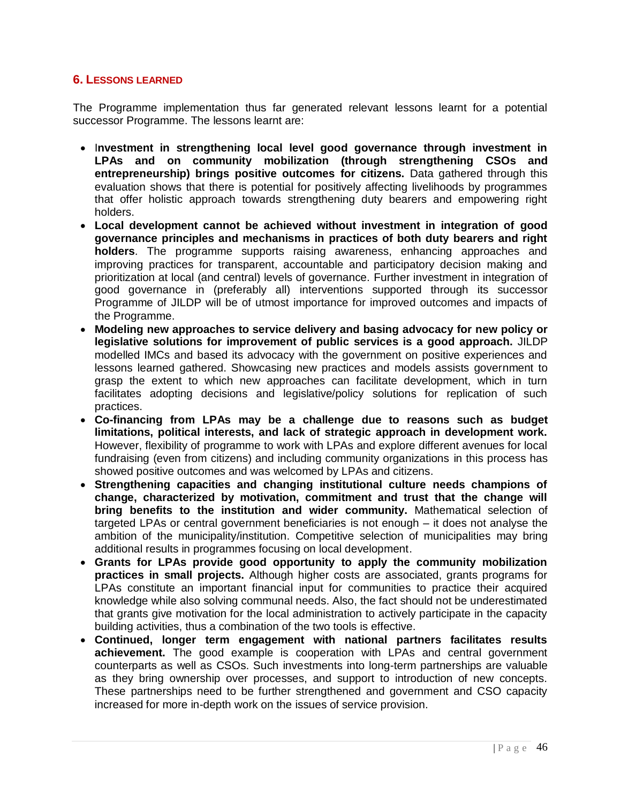## <span id="page-45-0"></span>**6. LESSONS LEARNED**

The Programme implementation thus far generated relevant lessons learnt for a potential successor Programme. The lessons learnt are:

- Investment in strengthening local level good governance through investment in **LPAs and on community mobilization (through strengthening CSOs and entrepreneurship) brings positive outcomes for citizens.** Data gathered through this evaluation shows that there is potential for positively affecting livelihoods by programmes that offer holistic approach towards strengthening duty bearers and empowering right holders.
- **Local development cannot be achieved without investment in integration of good governance principles and mechanisms in practices of both duty bearers and right holders**. The programme supports raising awareness, enhancing approaches and improving practices for transparent, accountable and participatory decision making and prioritization at local (and central) levels of governance. Further investment in integration of good governance in (preferably all) interventions supported through its successor Programme of JILDP will be of utmost importance for improved outcomes and impacts of the Programme.
- **Modeling new approaches to service delivery and basing advocacy for new policy or legislative solutions for improvement of public services is a good approach.** JILDP modelled IMCs and based its advocacy with the government on positive experiences and lessons learned gathered. Showcasing new practices and models assists government to grasp the extent to which new approaches can facilitate development, which in turn facilitates adopting decisions and legislative/policy solutions for replication of such practices.
- **Co-financing from LPAs may be a challenge due to reasons such as budget limitations, political interests, and lack of strategic approach in development work.** However, flexibility of programme to work with LPAs and explore different avenues for local fundraising (even from citizens) and including community organizations in this process has showed positive outcomes and was welcomed by LPAs and citizens.
- **Strengthening capacities and changing institutional culture needs champions of change, characterized by motivation, commitment and trust that the change will bring benefits to the institution and wider community.** Mathematical selection of targeted LPAs or central government beneficiaries is not enough – it does not analyse the ambition of the municipality/institution. Competitive selection of municipalities may bring additional results in programmes focusing on local development.
- **Grants for LPAs provide good opportunity to apply the community mobilization practices in small projects.** Although higher costs are associated, grants programs for LPAs constitute an important financial input for communities to practice their acquired knowledge while also solving communal needs. Also, the fact should not be underestimated that grants give motivation for the local administration to actively participate in the capacity building activities, thus a combination of the two tools is effective.
- **Continued, longer term engagement with national partners facilitates results achievement.** The good example is cooperation with LPAs and central government counterparts as well as CSOs. Such investments into long-term partnerships are valuable as they bring ownership over processes, and support to introduction of new concepts. These partnerships need to be further strengthened and government and CSO capacity increased for more in-depth work on the issues of service provision.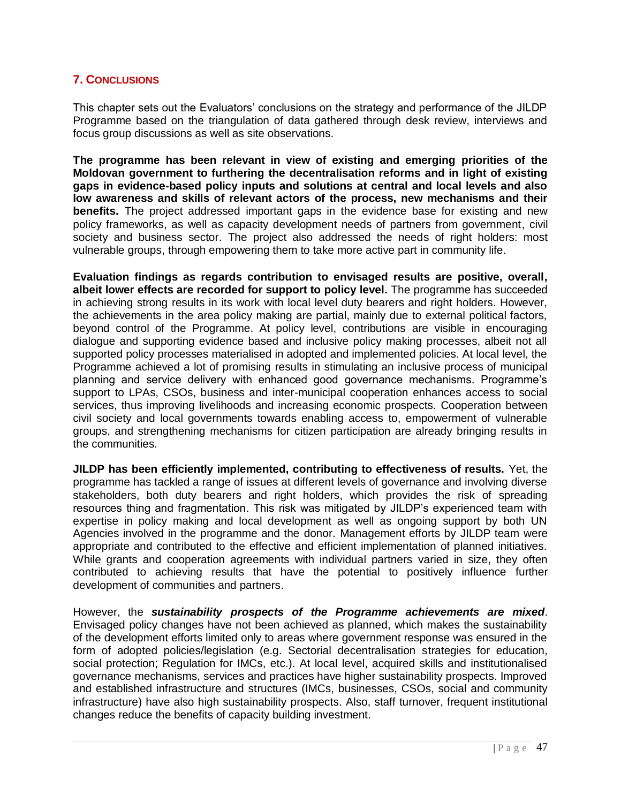## <span id="page-46-0"></span>**7. CONCLUSIONS**

This chapter sets out the Evaluators' conclusions on the strategy and performance of the JILDP Programme based on the triangulation of data gathered through desk review, interviews and focus group discussions as well as site observations.

**The programme has been relevant in view of existing and emerging priorities of the Moldovan government to furthering the decentralisation reforms and in light of existing gaps in evidence-based policy inputs and solutions at central and local levels and also low awareness and skills of relevant actors of the process, new mechanisms and their benefits.** The project addressed important gaps in the evidence base for existing and new policy frameworks, as well as capacity development needs of partners from government, civil society and business sector. The project also addressed the needs of right holders: most vulnerable groups, through empowering them to take more active part in community life.

**Evaluation findings as regards contribution to envisaged results are positive, overall, albeit lower effects are recorded for support to policy level.** The programme has succeeded in achieving strong results in its work with local level duty bearers and right holders. However, the achievements in the area policy making are partial, mainly due to external political factors, beyond control of the Programme. At policy level, contributions are visible in encouraging dialogue and supporting evidence based and inclusive policy making processes, albeit not all supported policy processes materialised in adopted and implemented policies. At local level, the Programme achieved a lot of promising results in stimulating an inclusive process of municipal planning and service delivery with enhanced good governance mechanisms. Programme's support to LPAs, CSOs, business and inter-municipal cooperation enhances access to social services, thus improving livelihoods and increasing economic prospects. Cooperation between civil society and local governments towards enabling access to, empowerment of vulnerable groups, and strengthening mechanisms for citizen participation are already bringing results in the communities.

**JILDP has been efficiently implemented, contributing to effectiveness of results.** Yet, the programme has tackled a range of issues at different levels of governance and involving diverse stakeholders, both duty bearers and right holders, which provides the risk of spreading resources thing and fragmentation. This risk was mitigated by JILDP's experienced team with expertise in policy making and local development as well as ongoing support by both UN Agencies involved in the programme and the donor. Management efforts by JILDP team were appropriate and contributed to the effective and efficient implementation of planned initiatives. While grants and cooperation agreements with individual partners varied in size, they often contributed to achieving results that have the potential to positively influence further development of communities and partners.

However, the *sustainability prospects of the Programme achievements are mixed*. Envisaged policy changes have not been achieved as planned, which makes the sustainability of the development efforts limited only to areas where government response was ensured in the form of adopted policies/legislation (e.g. Sectorial decentralisation strategies for education, social protection; Regulation for IMCs, etc.). At local level, acquired skills and institutionalised governance mechanisms, services and practices have higher sustainability prospects. Improved and established infrastructure and structures (IMCs, businesses, CSOs, social and community infrastructure) have also high sustainability prospects. Also, staff turnover, frequent institutional changes reduce the benefits of capacity building investment.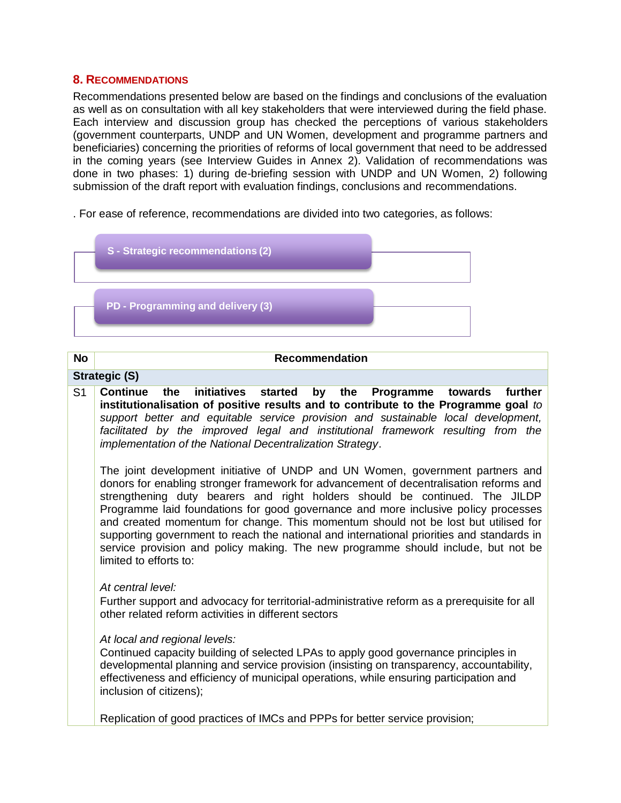#### <span id="page-47-0"></span>**8. RECOMMENDATIONS**

Recommendations presented below are based on the findings and conclusions of the evaluation as well as on consultation with all key stakeholders that were interviewed during the field phase. Each interview and discussion group has checked the perceptions of various stakeholders (government counterparts, UNDP and UN Women, development and programme partners and beneficiaries) concerning the priorities of reforms of local government that need to be addressed in the coming years (see Interview Guides in Annex 2). Validation of recommendations was done in two phases: 1) during de-briefing session with UNDP and UN Women, 2) following submission of the draft report with evaluation findings, conclusions and recommendations.

. For ease of reference, recommendations are divided into two categories, as follows:



#### **No Recommendation**

#### **Strategic (S)**

S1 **Continue the initiatives started by the Programme towards further institutionalisation of positive results and to contribute to the Programme goal** *to support better and equitable service provision and sustainable local development,*  facilitated by the improved legal and institutional framework resulting from the *implementation of the National Decentralization Strategy*.

The joint development initiative of UNDP and UN Women, government partners and donors for enabling stronger framework for advancement of decentralisation reforms and strengthening duty bearers and right holders should be continued. The JILDP Programme laid foundations for good governance and more inclusive policy processes and created momentum for change. This momentum should not be lost but utilised for supporting government to reach the national and international priorities and standards in service provision and policy making. The new programme should include, but not be limited to efforts to:

#### *At central level:*

 Further support and advocacy for territorial-administrative reform as a prerequisite for all other related reform activities in different sectors

#### *At local and regional levels:*

Continued capacity building of selected LPAs to apply good governance principles in developmental planning and service provision (insisting on transparency, accountability, effectiveness and efficiency of municipal operations, while ensuring participation and inclusion of citizens);

Replication of good practices of IMCs and PPPs for better service provision;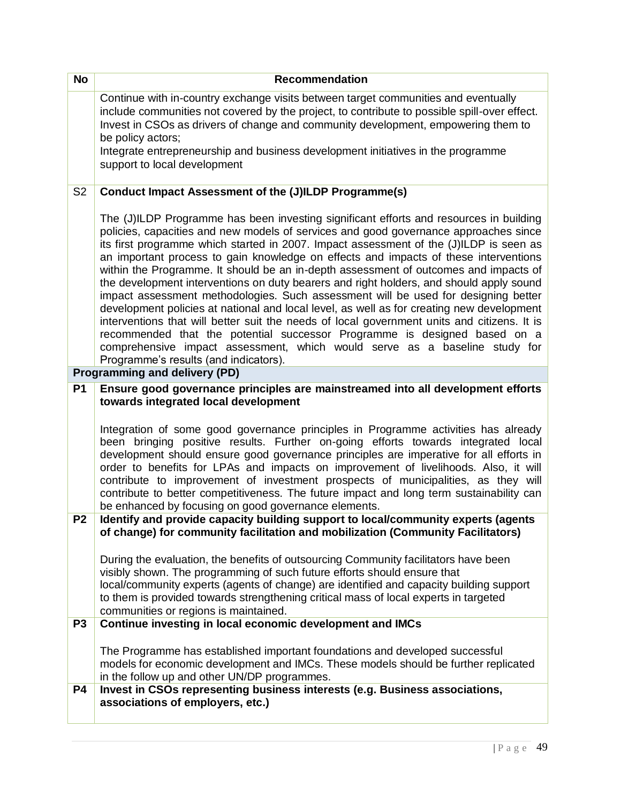| <b>No</b>      | <b>Recommendation</b>                                                                                                                                                                                                                                                                                                                                                                                                                                                                                                                                                                                                                                                                                                                                                                                                                                                                                                                                                                                                                     |
|----------------|-------------------------------------------------------------------------------------------------------------------------------------------------------------------------------------------------------------------------------------------------------------------------------------------------------------------------------------------------------------------------------------------------------------------------------------------------------------------------------------------------------------------------------------------------------------------------------------------------------------------------------------------------------------------------------------------------------------------------------------------------------------------------------------------------------------------------------------------------------------------------------------------------------------------------------------------------------------------------------------------------------------------------------------------|
|                | Continue with in-country exchange visits between target communities and eventually<br>include communities not covered by the project, to contribute to possible spill-over effect.<br>Invest in CSOs as drivers of change and community development, empowering them to<br>be policy actors;                                                                                                                                                                                                                                                                                                                                                                                                                                                                                                                                                                                                                                                                                                                                              |
|                | Integrate entrepreneurship and business development initiatives in the programme<br>support to local development                                                                                                                                                                                                                                                                                                                                                                                                                                                                                                                                                                                                                                                                                                                                                                                                                                                                                                                          |
| S <sub>2</sub> | Conduct Impact Assessment of the (J)ILDP Programme(s)                                                                                                                                                                                                                                                                                                                                                                                                                                                                                                                                                                                                                                                                                                                                                                                                                                                                                                                                                                                     |
|                | The (J)ILDP Programme has been investing significant efforts and resources in building<br>policies, capacities and new models of services and good governance approaches since<br>its first programme which started in 2007. Impact assessment of the (J)ILDP is seen as<br>an important process to gain knowledge on effects and impacts of these interventions<br>within the Programme. It should be an in-depth assessment of outcomes and impacts of<br>the development interventions on duty bearers and right holders, and should apply sound<br>impact assessment methodologies. Such assessment will be used for designing better<br>development policies at national and local level, as well as for creating new development<br>interventions that will better suit the needs of local government units and citizens. It is<br>recommended that the potential successor Programme is designed based on a<br>comprehensive impact assessment, which would serve as a baseline study for<br>Programme's results (and indicators). |
|                | <b>Programming and delivery (PD)</b>                                                                                                                                                                                                                                                                                                                                                                                                                                                                                                                                                                                                                                                                                                                                                                                                                                                                                                                                                                                                      |
| <b>P1</b>      | Ensure good governance principles are mainstreamed into all development efforts<br>towards integrated local development                                                                                                                                                                                                                                                                                                                                                                                                                                                                                                                                                                                                                                                                                                                                                                                                                                                                                                                   |
|                | Integration of some good governance principles in Programme activities has already<br>been bringing positive results. Further on-going efforts towards integrated local<br>development should ensure good governance principles are imperative for all efforts in<br>order to benefits for LPAs and impacts on improvement of livelihoods. Also, it will<br>contribute to improvement of investment prospects of municipalities, as they will<br>contribute to better competitiveness. The future impact and long term sustainability can<br>be enhanced by focusing on good governance elements.                                                                                                                                                                                                                                                                                                                                                                                                                                         |
| P <sub>2</sub> | Identify and provide capacity building support to local/community experts (agents<br>of change) for community facilitation and mobilization (Community Facilitators)                                                                                                                                                                                                                                                                                                                                                                                                                                                                                                                                                                                                                                                                                                                                                                                                                                                                      |
|                | During the evaluation, the benefits of outsourcing Community facilitators have been<br>visibly shown. The programming of such future efforts should ensure that<br>local/community experts (agents of change) are identified and capacity building support<br>to them is provided towards strengthening critical mass of local experts in targeted<br>communities or regions is maintained.                                                                                                                                                                                                                                                                                                                                                                                                                                                                                                                                                                                                                                               |
| P <sub>3</sub> | Continue investing in local economic development and IMCs                                                                                                                                                                                                                                                                                                                                                                                                                                                                                                                                                                                                                                                                                                                                                                                                                                                                                                                                                                                 |
|                | The Programme has established important foundations and developed successful<br>models for economic development and IMCs. These models should be further replicated<br>in the follow up and other UN/DP programmes.                                                                                                                                                                                                                                                                                                                                                                                                                                                                                                                                                                                                                                                                                                                                                                                                                       |
| P4             | Invest in CSOs representing business interests (e.g. Business associations,<br>associations of employers, etc.)                                                                                                                                                                                                                                                                                                                                                                                                                                                                                                                                                                                                                                                                                                                                                                                                                                                                                                                           |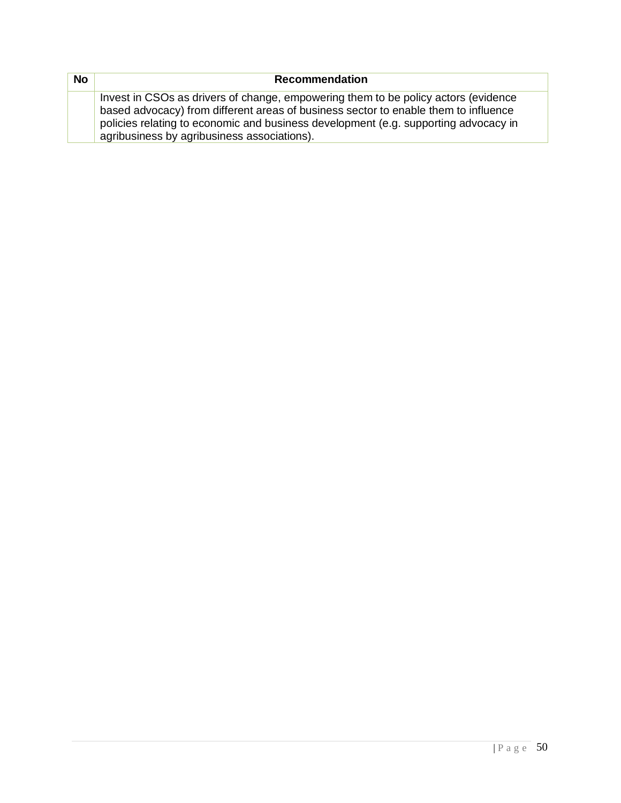| <b>No</b> | <b>Recommendation</b>                                                               |
|-----------|-------------------------------------------------------------------------------------|
|           | Invest in CSOs as drivers of change, empowering them to be policy actors (evidence  |
|           | based advocacy) from different areas of business sector to enable them to influence |
|           | policies relating to economic and business development (e.g. supporting advocacy in |
|           | agribusiness by agribusiness associations).                                         |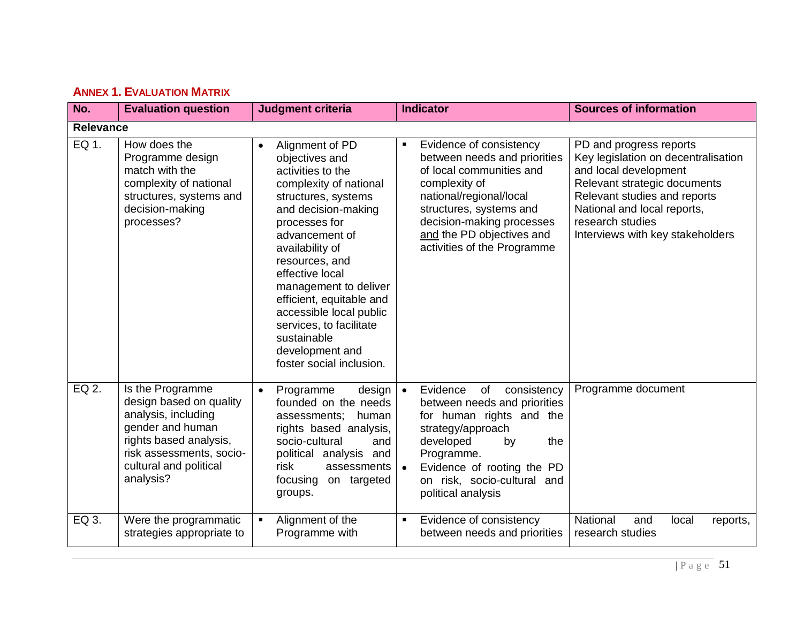<span id="page-50-0"></span>

| No.              | <b>Evaluation question</b>                                                                                                                                                          | <b>Judgment criteria</b>                                                                                                                                                                                                                                                                                                                                                                                        | <b>Indicator</b>                                                                                                                                                                                                                                                      | <b>Sources of information</b>                                                                                                                                                                                                                  |
|------------------|-------------------------------------------------------------------------------------------------------------------------------------------------------------------------------------|-----------------------------------------------------------------------------------------------------------------------------------------------------------------------------------------------------------------------------------------------------------------------------------------------------------------------------------------------------------------------------------------------------------------|-----------------------------------------------------------------------------------------------------------------------------------------------------------------------------------------------------------------------------------------------------------------------|------------------------------------------------------------------------------------------------------------------------------------------------------------------------------------------------------------------------------------------------|
| <b>Relevance</b> |                                                                                                                                                                                     |                                                                                                                                                                                                                                                                                                                                                                                                                 |                                                                                                                                                                                                                                                                       |                                                                                                                                                                                                                                                |
| EQ 1.            | How does the<br>Programme design<br>match with the<br>complexity of national<br>structures, systems and<br>decision-making<br>processes?                                            | Alignment of PD<br>$\bullet$<br>objectives and<br>activities to the<br>complexity of national<br>structures, systems<br>and decision-making<br>processes for<br>advancement of<br>availability of<br>resources, and<br>effective local<br>management to deliver<br>efficient, equitable and<br>accessible local public<br>services, to facilitate<br>sustainable<br>development and<br>foster social inclusion. | Evidence of consistency<br>$\blacksquare$<br>between needs and priorities<br>of local communities and<br>complexity of<br>national/regional/local<br>structures, systems and<br>decision-making processes<br>and the PD objectives and<br>activities of the Programme | PD and progress reports<br>Key legislation on decentralisation<br>and local development<br>Relevant strategic documents<br>Relevant studies and reports<br>National and local reports,<br>research studies<br>Interviews with key stakeholders |
| EQ 2.            | Is the Programme<br>design based on quality<br>analysis, including<br>gender and human<br>rights based analysis,<br>risk assessments, socio-<br>cultural and political<br>analysis? | Programme<br>design<br>$\bullet$<br>founded on the needs<br>assessments;<br>human<br>rights based analysis,<br>socio-cultural<br>and<br>political analysis and<br>risk<br>assessments<br>focusing<br>on targeted<br>groups.                                                                                                                                                                                     | consistency<br>Evidence<br>of<br>$\bullet$<br>between needs and priorities<br>for human rights and the<br>strategy/approach<br>developed<br>the<br>by<br>Programme.<br>Evidence of rooting the PD<br>on risk, socio-cultural and<br>political analysis                | Programme document                                                                                                                                                                                                                             |
| EQ 3.            | Were the programmatic<br>strategies appropriate to                                                                                                                                  | Alignment of the<br>Programme with                                                                                                                                                                                                                                                                                                                                                                              | Evidence of consistency<br>$\blacksquare$<br>between needs and priorities                                                                                                                                                                                             | National<br>and<br>local<br>reports,<br>research studies                                                                                                                                                                                       |

# **ANNEX 1. EVALUATION MATRIX**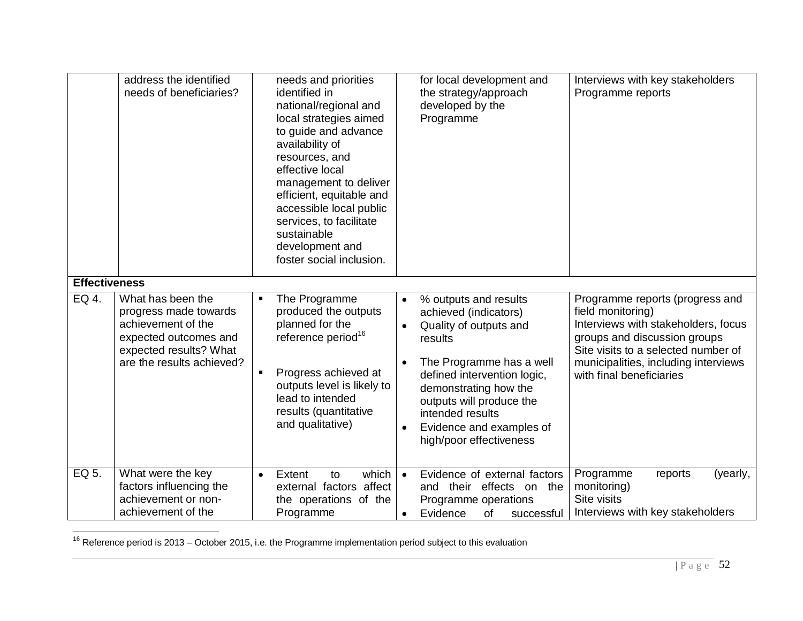|                      | address the identified<br>needs of beneficiaries?                                                                                                | needs and priorities<br>identified in<br>national/regional and<br>local strategies aimed<br>to guide and advance<br>availability of<br>resources, and<br>effective local<br>management to deliver<br>efficient, equitable and<br>accessible local public<br>services, to facilitate<br>sustainable<br>development and<br>foster social inclusion. | Interviews with key stakeholders<br>for local development and<br>the strategy/approach<br>Programme reports<br>developed by the<br>Programme                                                                                                                                                                                                                                                                                                                                                                                                                                 |  |
|----------------------|--------------------------------------------------------------------------------------------------------------------------------------------------|---------------------------------------------------------------------------------------------------------------------------------------------------------------------------------------------------------------------------------------------------------------------------------------------------------------------------------------------------|------------------------------------------------------------------------------------------------------------------------------------------------------------------------------------------------------------------------------------------------------------------------------------------------------------------------------------------------------------------------------------------------------------------------------------------------------------------------------------------------------------------------------------------------------------------------------|--|
| <b>Effectiveness</b> |                                                                                                                                                  |                                                                                                                                                                                                                                                                                                                                                   |                                                                                                                                                                                                                                                                                                                                                                                                                                                                                                                                                                              |  |
| EQ 4.                | What has been the<br>progress made towards<br>achievement of the<br>expected outcomes and<br>expected results? What<br>are the results achieved? | The Programme<br>$\blacksquare$<br>produced the outputs<br>planned for the<br>reference period <sup>16</sup><br>Progress achieved at<br>outputs level is likely to<br>lead to intended<br>results (quantitative<br>and qualitative)                                                                                                               | Programme reports (progress and<br>% outputs and results<br>$\bullet$<br>field monitoring)<br>achieved (indicators)<br>Interviews with stakeholders, focus<br>Quality of outputs and<br>$\bullet$<br>groups and discussion groups<br>results<br>Site visits to a selected number of<br>The Programme has a well<br>municipalities, including interviews<br>$\bullet$<br>defined intervention logic,<br>with final beneficiaries<br>demonstrating how the<br>outputs will produce the<br>intended results<br>Evidence and examples of<br>$\bullet$<br>high/poor effectiveness |  |
| EQ 5.                | What were the key<br>factors influencing the<br>achievement or non-<br>achievement of the                                                        | which<br>Extent<br>to<br>$\bullet$<br>external factors affect<br>the operations of the<br>Programme                                                                                                                                                                                                                                               | Programme<br>Evidence of external factors<br>reports<br>(yearly,<br>$\bullet$<br>monitoring)<br>and their effects on the<br>Site visits<br>Programme operations<br>Interviews with key stakeholders<br>Evidence<br>0f<br>successful<br>$\bullet$                                                                                                                                                                                                                                                                                                                             |  |

 $\overline{a}$ <sup>16</sup> Reference period is 2013 – October 2015, i.e. the Programme implementation period subject to this evaluation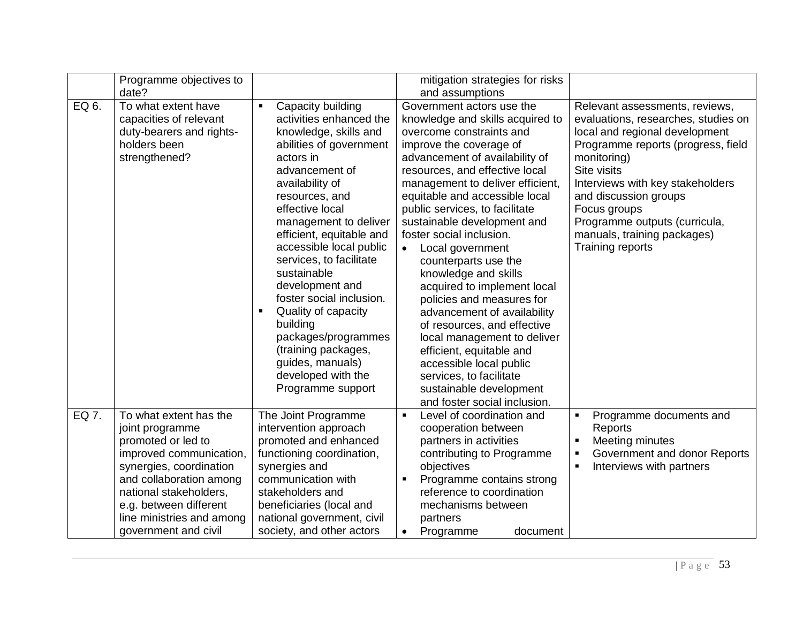|       | Programme objectives to                                                                                                                                                                                                                                   |                                                                                                                                                                                                                                                                                                                                                                                                                                                                                                                                    | mitigation strategies for risks                                                                                                                                                                                                                                                                                                                                                                                                                                                                                                                                                                                                                                                                                                                    |                                                                                                                                                                                                                                                                                                                                              |
|-------|-----------------------------------------------------------------------------------------------------------------------------------------------------------------------------------------------------------------------------------------------------------|------------------------------------------------------------------------------------------------------------------------------------------------------------------------------------------------------------------------------------------------------------------------------------------------------------------------------------------------------------------------------------------------------------------------------------------------------------------------------------------------------------------------------------|----------------------------------------------------------------------------------------------------------------------------------------------------------------------------------------------------------------------------------------------------------------------------------------------------------------------------------------------------------------------------------------------------------------------------------------------------------------------------------------------------------------------------------------------------------------------------------------------------------------------------------------------------------------------------------------------------------------------------------------------------|----------------------------------------------------------------------------------------------------------------------------------------------------------------------------------------------------------------------------------------------------------------------------------------------------------------------------------------------|
|       | date?                                                                                                                                                                                                                                                     |                                                                                                                                                                                                                                                                                                                                                                                                                                                                                                                                    | and assumptions                                                                                                                                                                                                                                                                                                                                                                                                                                                                                                                                                                                                                                                                                                                                    |                                                                                                                                                                                                                                                                                                                                              |
| EQ 6. | To what extent have<br>capacities of relevant<br>duty-bearers and rights-<br>holders been<br>strengthened?                                                                                                                                                | Capacity building<br>$\blacksquare$<br>activities enhanced the<br>knowledge, skills and<br>abilities of government<br>actors in<br>advancement of<br>availability of<br>resources, and<br>effective local<br>management to deliver<br>efficient, equitable and<br>accessible local public<br>services, to facilitate<br>sustainable<br>development and<br>foster social inclusion.<br>Quality of capacity<br>building<br>packages/programmes<br>(training packages,<br>guides, manuals)<br>developed with the<br>Programme support | Government actors use the<br>knowledge and skills acquired to<br>overcome constraints and<br>improve the coverage of<br>advancement of availability of<br>resources, and effective local<br>management to deliver efficient,<br>equitable and accessible local<br>public services, to facilitate<br>sustainable development and<br>foster social inclusion.<br>Local government<br>$\bullet$<br>counterparts use the<br>knowledge and skills<br>acquired to implement local<br>policies and measures for<br>advancement of availability<br>of resources, and effective<br>local management to deliver<br>efficient, equitable and<br>accessible local public<br>services, to facilitate<br>sustainable development<br>and foster social inclusion. | Relevant assessments, reviews,<br>evaluations, researches, studies on<br>local and regional development<br>Programme reports (progress, field<br>monitoring)<br>Site visits<br>Interviews with key stakeholders<br>and discussion groups<br>Focus groups<br>Programme outputs (curricula,<br>manuals, training packages)<br>Training reports |
| EQ 7. | To what extent has the<br>joint programme<br>promoted or led to<br>improved communication,<br>synergies, coordination<br>and collaboration among<br>national stakeholders,<br>e.g. between different<br>line ministries and among<br>government and civil | The Joint Programme<br>intervention approach<br>promoted and enhanced<br>functioning coordination,<br>synergies and<br>communication with<br>stakeholders and<br>beneficiaries (local and<br>national government, civil<br>society, and other actors                                                                                                                                                                                                                                                                               | Level of coordination and<br>$\blacksquare$<br>cooperation between<br>partners in activities<br>contributing to Programme<br>objectives<br>Programme contains strong<br>$\blacksquare$<br>reference to coordination<br>mechanisms between<br>partners<br>Programme<br>document<br>$\bullet$                                                                                                                                                                                                                                                                                                                                                                                                                                                        | Programme documents and<br>Reports<br>Meeting minutes<br>Government and donor Reports<br>Interviews with partners                                                                                                                                                                                                                            |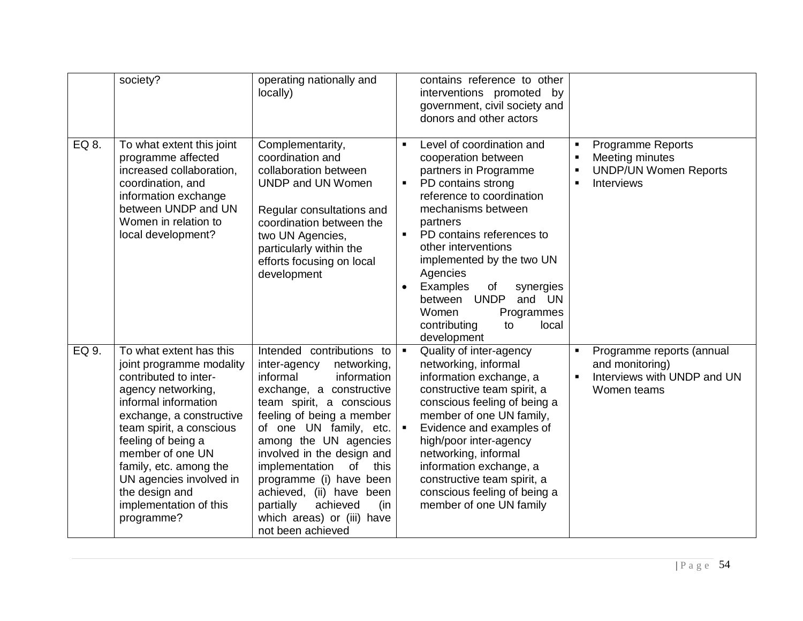|       | society?                                                                                                                                                                                                                                                                                                                                    | operating nationally and<br>locally)                                                                                                                                                                                                                                                                                                                                                                                                   |                             | contains reference to other<br>interventions promoted by<br>government, civil society and<br>donors and other actors                                                                                                                                                                                                                                                                      |                                  |                                                                                                  |
|-------|---------------------------------------------------------------------------------------------------------------------------------------------------------------------------------------------------------------------------------------------------------------------------------------------------------------------------------------------|----------------------------------------------------------------------------------------------------------------------------------------------------------------------------------------------------------------------------------------------------------------------------------------------------------------------------------------------------------------------------------------------------------------------------------------|-----------------------------|-------------------------------------------------------------------------------------------------------------------------------------------------------------------------------------------------------------------------------------------------------------------------------------------------------------------------------------------------------------------------------------------|----------------------------------|--------------------------------------------------------------------------------------------------|
| EQ 8. | To what extent this joint<br>programme affected<br>increased collaboration,<br>coordination, and<br>information exchange<br>between UNDP and UN<br>Women in relation to<br>local development?                                                                                                                                               | Complementarity,<br>coordination and<br>collaboration between<br><b>UNDP and UN Women</b><br>Regular consultations and<br>coordination between the<br>two UN Agencies,<br>particularly within the<br>efforts focusing on local<br>development                                                                                                                                                                                          | $\blacksquare$<br>$\bullet$ | Level of coordination and<br>cooperation between<br>partners in Programme<br>PD contains strong<br>reference to coordination<br>mechanisms between<br>partners<br>PD contains references to<br>other interventions<br>implemented by the two UN<br>Agencies<br>Examples<br>of<br>synergies<br>between UNDP<br>and UN<br>Women<br>Programmes<br>contributing<br>local<br>to<br>development | $\blacksquare$<br>$\blacksquare$ | <b>Programme Reports</b><br>Meeting minutes<br><b>UNDP/UN Women Reports</b><br><b>Interviews</b> |
| EQ 9. | To what extent has this<br>joint programme modality<br>contributed to inter-<br>agency networking,<br>informal information<br>exchange, a constructive<br>team spirit, a conscious<br>feeling of being a<br>member of one UN<br>family, etc. among the<br>UN agencies involved in<br>the design and<br>implementation of this<br>programme? | Intended contributions to<br>inter-agency<br>networking,<br>informal<br>information<br>exchange, a constructive<br>team spirit, a conscious<br>feeling of being a member<br>of one UN family, etc.<br>among the UN agencies<br>involved in the design and<br>implementation<br>of<br>this<br>programme (i) have been<br>achieved, (ii) have<br>been<br>partially<br>achieved<br>(in<br>which areas) or (iii) have<br>not been achieved |                             | Quality of inter-agency<br>networking, informal<br>information exchange, a<br>constructive team spirit, a<br>conscious feeling of being a<br>member of one UN family,<br>Evidence and examples of<br>high/poor inter-agency<br>networking, informal<br>information exchange, a<br>constructive team spirit, a<br>conscious feeling of being a<br>member of one UN family                  | $\blacksquare$                   | Programme reports (annual<br>and monitoring)<br>Interviews with UNDP and UN<br>Women teams       |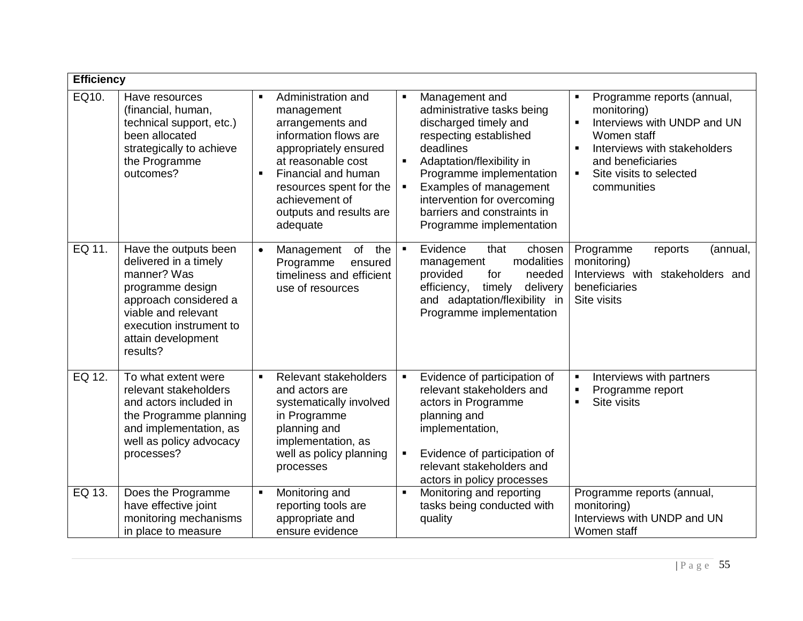|        | <b>Efficiency</b>                                                                                                                                                                              |                                                                                                                                                                                                                                                                                                                                                                                                                                                                                                                                                                                                                                                                                                           |                                                                                           |  |
|--------|------------------------------------------------------------------------------------------------------------------------------------------------------------------------------------------------|-----------------------------------------------------------------------------------------------------------------------------------------------------------------------------------------------------------------------------------------------------------------------------------------------------------------------------------------------------------------------------------------------------------------------------------------------------------------------------------------------------------------------------------------------------------------------------------------------------------------------------------------------------------------------------------------------------------|-------------------------------------------------------------------------------------------|--|
| EQ10.  | Have resources<br>(financial, human,<br>technical support, etc.)<br>been allocated<br>strategically to achieve<br>the Programme<br>outcomes?                                                   | Administration and<br>Management and<br>$\blacksquare$<br>administrative tasks being<br>monitoring)<br>management<br>discharged timely and<br>arrangements and<br>information flows are<br>respecting established<br>Women staff<br>deadlines<br>appropriately ensured<br>Adaptation/flexibility in<br>at reasonable cost<br>and beneficiaries<br>$\blacksquare$<br>Financial and human<br>Programme implementation<br>Site visits to selected<br>$\blacksquare$<br>Examples of management<br>resources spent for the<br>communities<br>$\blacksquare$<br>achievement of<br>intervention for overcoming<br>barriers and constraints in<br>outputs and results are<br>Programme implementation<br>adequate | Programme reports (annual,<br>Interviews with UNDP and UN<br>Interviews with stakeholders |  |
| EQ 11. | Have the outputs been<br>delivered in a timely<br>manner? Was<br>programme design<br>approach considered a<br>viable and relevant<br>execution instrument to<br>attain development<br>results? | Evidence<br>that<br>chosen<br>Programme<br>of<br>the<br>$\blacksquare$<br>Management<br>modalities<br>monitoring)<br>Programme<br>management<br>ensured<br>timeliness and efficient<br>provided<br>for<br>needed<br>beneficiaries<br>efficiency,<br>timely<br>delivery<br>use of resources<br>and adaptation/flexibility in<br>Site visits<br>Programme implementation                                                                                                                                                                                                                                                                                                                                    | reports<br>(annual,<br>Interviews with stakeholders and                                   |  |
| EQ 12. | To what extent were<br>relevant stakeholders<br>and actors included in<br>the Programme planning<br>and implementation, as<br>well as policy advocacy<br>processes?                            | Relevant stakeholders<br>Evidence of participation of<br>Interviews with partners<br>$\blacksquare$<br>$\blacksquare$<br>relevant stakeholders and<br>Programme report<br>and actors are<br>$\blacksquare$<br>Site visits<br>actors in Programme<br>systematically involved<br>planning and<br>in Programme<br>planning and<br>implementation,<br>implementation, as<br>well as policy planning<br>Evidence of participation of<br>$\blacksquare$<br>relevant stakeholders and<br>processes<br>actors in policy processes                                                                                                                                                                                 |                                                                                           |  |
| EQ 13. | Does the Programme<br>have effective joint<br>monitoring mechanisms<br>in place to measure                                                                                                     | Monitoring and<br>Monitoring and reporting<br>Programme reports (annual,<br>$\blacksquare$<br>monitoring)<br>reporting tools are<br>tasks being conducted with<br>Interviews with UNDP and UN<br>appropriate and<br>quality<br>ensure evidence<br>Women staff                                                                                                                                                                                                                                                                                                                                                                                                                                             |                                                                                           |  |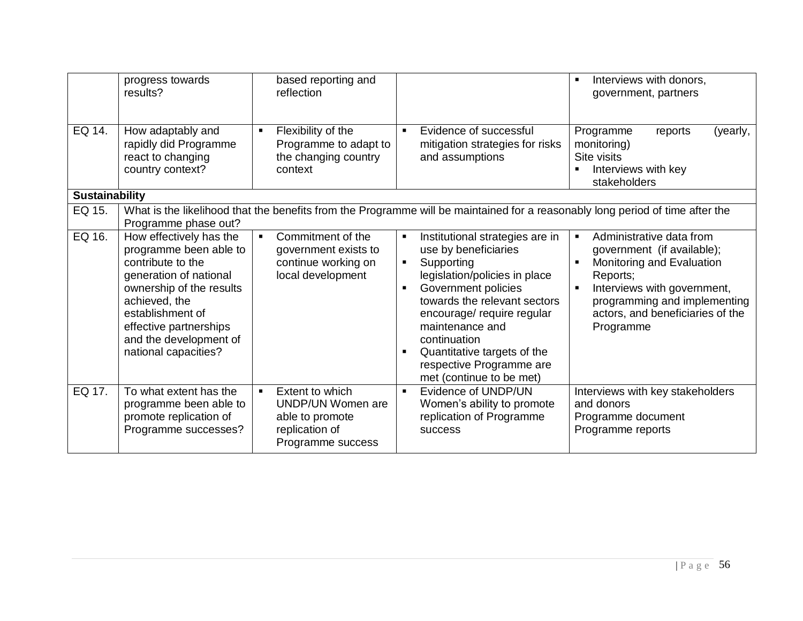|                       | progress towards<br>results?                                                                                                                                                                                                                  | based reporting and<br>reflection                                                                                |                                                                                                                                                                                                                                                                                                                                                                                  | Interviews with donors,<br>government, partners                                                                                                                                                                                   |
|-----------------------|-----------------------------------------------------------------------------------------------------------------------------------------------------------------------------------------------------------------------------------------------|------------------------------------------------------------------------------------------------------------------|----------------------------------------------------------------------------------------------------------------------------------------------------------------------------------------------------------------------------------------------------------------------------------------------------------------------------------------------------------------------------------|-----------------------------------------------------------------------------------------------------------------------------------------------------------------------------------------------------------------------------------|
| EQ 14.                | How adaptably and<br>rapidly did Programme<br>react to changing<br>country context?                                                                                                                                                           | Flexibility of the<br>$\blacksquare$<br>Programme to adapt to<br>the changing country<br>context                 | Evidence of successful<br>$\blacksquare$<br>mitigation strategies for risks<br>and assumptions                                                                                                                                                                                                                                                                                   | Programme<br>reports<br>(yearly,<br>monitoring)<br>Site visits<br>Interviews with key<br>stakeholders                                                                                                                             |
| <b>Sustainability</b> |                                                                                                                                                                                                                                               |                                                                                                                  |                                                                                                                                                                                                                                                                                                                                                                                  |                                                                                                                                                                                                                                   |
| EQ 15.                | Programme phase out?                                                                                                                                                                                                                          |                                                                                                                  | What is the likelihood that the benefits from the Programme will be maintained for a reasonably long period of time after the                                                                                                                                                                                                                                                    |                                                                                                                                                                                                                                   |
| EQ 16.                | How effectively has the<br>programme been able to<br>contribute to the<br>generation of national<br>ownership of the results<br>achieved, the<br>establishment of<br>effective partnerships<br>and the development of<br>national capacities? | Commitment of the<br>$\blacksquare$<br>government exists to<br>continue working on<br>local development          | Institutional strategies are in<br>$\blacksquare$<br>use by beneficiaries<br>Supporting<br>$\blacksquare$<br>legislation/policies in place<br>Government policies<br>$\blacksquare$<br>towards the relevant sectors<br>encourage/ require regular<br>maintenance and<br>continuation<br>Quantitative targets of the<br>٠<br>respective Programme are<br>met (continue to be met) | Administrative data from<br>$\blacksquare$<br>government (if available);<br>Monitoring and Evaluation<br>Reports;<br>Interviews with government,<br>programming and implementing<br>actors, and beneficiaries of the<br>Programme |
| EQ 17.                | To what extent has the<br>programme been able to<br>promote replication of<br>Programme successes?                                                                                                                                            | Extent to which<br>$\blacksquare$<br>UNDP/UN Women are<br>able to promote<br>replication of<br>Programme success | Evidence of UNDP/UN<br>$\blacksquare$<br>Women's ability to promote<br>replication of Programme<br><b>SUCCESS</b>                                                                                                                                                                                                                                                                | Interviews with key stakeholders<br>and donors<br>Programme document<br>Programme reports                                                                                                                                         |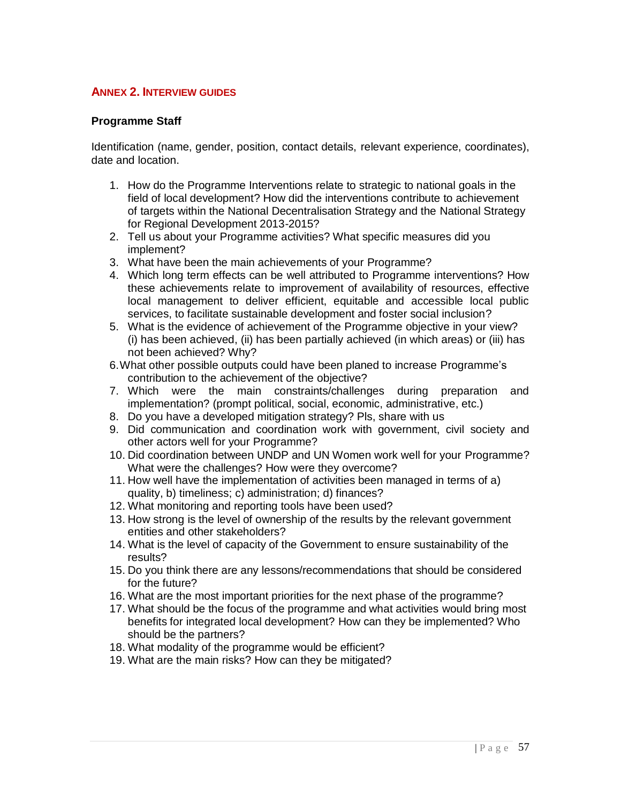## <span id="page-56-0"></span>**ANNEX 2. INTERVIEW GUIDES**

## **Programme Staff**

Identification (name, gender, position, contact details, relevant experience, coordinates), date and location.

- 1. How do the Programme Interventions relate to strategic to national goals in the field of local development? How did the interventions contribute to achievement of targets within the National Decentralisation Strategy and the National Strategy for Regional Development 2013-2015?
- 2. Tell us about your Programme activities? What specific measures did you implement?
- 3. What have been the main achievements of your Programme?
- 4. Which long term effects can be well attributed to Programme interventions? How these achievements relate to improvement of availability of resources, effective local management to deliver efficient, equitable and accessible local public services, to facilitate sustainable development and foster social inclusion?
- 5. What is the evidence of achievement of the Programme objective in your view? (i) has been achieved, (ii) has been partially achieved (in which areas) or (iii) has not been achieved? Why?
- 6.What other possible outputs could have been planed to increase Programme's contribution to the achievement of the objective?
- 7. Which were the main constraints/challenges during preparation and implementation? (prompt political, social, economic, administrative, etc.)
- 8. Do you have a developed mitigation strategy? Pls, share with us
- 9. Did communication and coordination work with government, civil society and other actors well for your Programme?
- 10. Did coordination between UNDP and UN Women work well for your Programme? What were the challenges? How were they overcome?
- 11. How well have the implementation of activities been managed in terms of a) quality, b) timeliness; c) administration; d) finances?
- 12. What monitoring and reporting tools have been used?
- 13. How strong is the level of ownership of the results by the relevant government entities and other stakeholders?
- 14. What is the level of capacity of the Government to ensure sustainability of the results?
- 15. Do you think there are any lessons/recommendations that should be considered for the future?
- 16. What are the most important priorities for the next phase of the programme?
- 17. What should be the focus of the programme and what activities would bring most benefits for integrated local development? How can they be implemented? Who should be the partners?
- 18. What modality of the programme would be efficient?
- 19. What are the main risks? How can they be mitigated?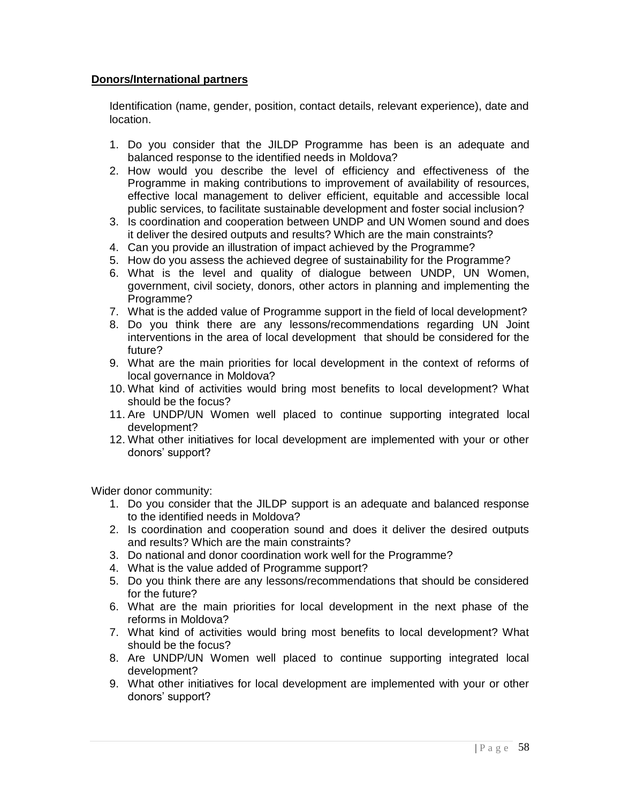## **Donors/International partners**

Identification (name, gender, position, contact details, relevant experience), date and location.

- 1. Do you consider that the JILDP Programme has been is an adequate and balanced response to the identified needs in Moldova?
- 2. How would you describe the level of efficiency and effectiveness of the Programme in making contributions to improvement of availability of resources, effective local management to deliver efficient, equitable and accessible local public services, to facilitate sustainable development and foster social inclusion?
- 3. Is coordination and cooperation between UNDP and UN Women sound and does it deliver the desired outputs and results? Which are the main constraints?
- 4. Can you provide an illustration of impact achieved by the Programme?
- 5. How do you assess the achieved degree of sustainability for the Programme?
- 6. What is the level and quality of dialogue between UNDP, UN Women, government, civil society, donors, other actors in planning and implementing the Programme?
- 7. What is the added value of Programme support in the field of local development?
- 8. Do you think there are any lessons/recommendations regarding UN Joint interventions in the area of local development that should be considered for the future?
- 9. What are the main priorities for local development in the context of reforms of local governance in Moldova?
- 10. What kind of activities would bring most benefits to local development? What should be the focus?
- 11. Are UNDP/UN Women well placed to continue supporting integrated local development?
- 12. What other initiatives for local development are implemented with your or other donors' support?

Wider donor community:

- 1. Do you consider that the JILDP support is an adequate and balanced response to the identified needs in Moldova?
- 2. Is coordination and cooperation sound and does it deliver the desired outputs and results? Which are the main constraints?
- 3. Do national and donor coordination work well for the Programme?
- 4. What is the value added of Programme support?
- 5. Do you think there are any lessons/recommendations that should be considered for the future?
- 6. What are the main priorities for local development in the next phase of the reforms in Moldova?
- 7. What kind of activities would bring most benefits to local development? What should be the focus?
- 8. Are UNDP/UN Women well placed to continue supporting integrated local development?
- 9. What other initiatives for local development are implemented with your or other donors' support?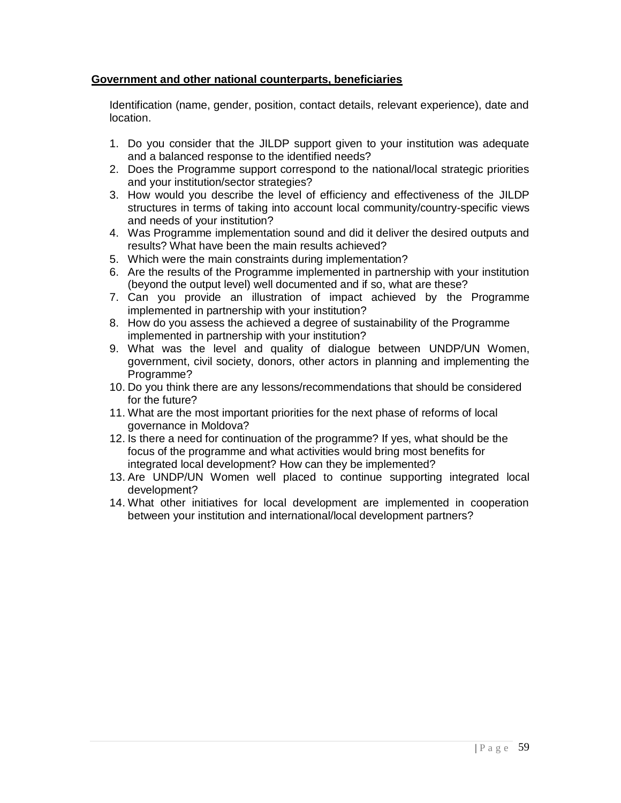## **Government and other national counterparts, beneficiaries**

Identification (name, gender, position, contact details, relevant experience), date and location.

- 1. Do you consider that the JILDP support given to your institution was adequate and a balanced response to the identified needs?
- 2. Does the Programme support correspond to the national/local strategic priorities and your institution/sector strategies?
- 3. How would you describe the level of efficiency and effectiveness of the JILDP structures in terms of taking into account local community/country-specific views and needs of your institution?
- 4. Was Programme implementation sound and did it deliver the desired outputs and results? What have been the main results achieved?
- 5. Which were the main constraints during implementation?
- 6. Are the results of the Programme implemented in partnership with your institution (beyond the output level) well documented and if so, what are these?
- 7. Can you provide an illustration of impact achieved by the Programme implemented in partnership with your institution?
- 8. How do you assess the achieved a degree of sustainability of the Programme implemented in partnership with your institution?
- 9. What was the level and quality of dialogue between UNDP/UN Women, government, civil society, donors, other actors in planning and implementing the Programme?
- 10. Do you think there are any lessons/recommendations that should be considered for the future?
- 11. What are the most important priorities for the next phase of reforms of local governance in Moldova?
- 12. Is there a need for continuation of the programme? If yes, what should be the focus of the programme and what activities would bring most benefits for integrated local development? How can they be implemented?
- 13. Are UNDP/UN Women well placed to continue supporting integrated local development?
- 14. What other initiatives for local development are implemented in cooperation between your institution and international/local development partners?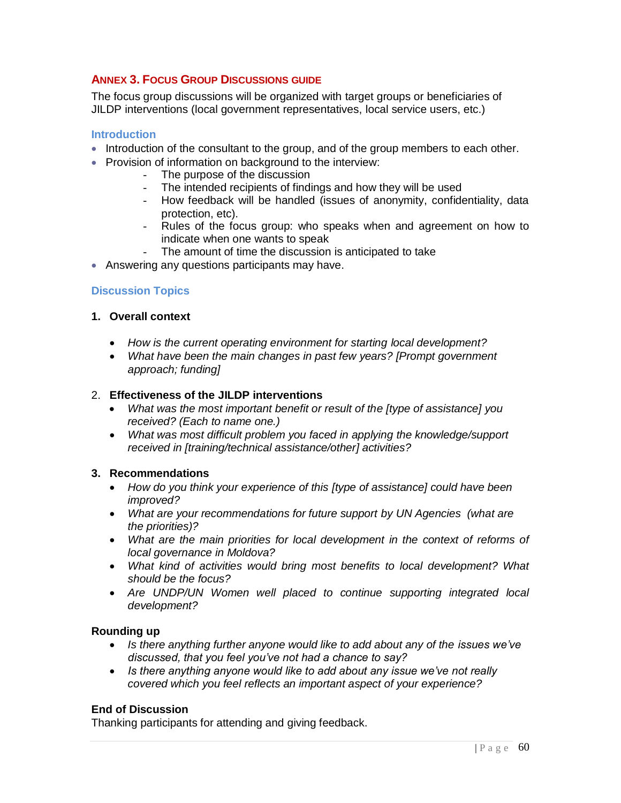## <span id="page-59-0"></span>**ANNEX 3. FOCUS GROUP DISCUSSIONS GUIDE**

The focus group discussions will be organized with target groups or beneficiaries of JILDP interventions (local government representatives, local service users, etc.)

#### **Introduction**

- Introduction of the consultant to the group, and of the group members to each other.
- Provision of information on background to the interview:
	- The purpose of the discussion
	- The intended recipients of findings and how they will be used
	- How feedback will be handled (issues of anonymity, confidentiality, data protection, etc).
	- Rules of the focus group: who speaks when and agreement on how to indicate when one wants to speak
	- The amount of time the discussion is anticipated to take
- Answering any questions participants may have.

## **Discussion Topics**

#### **1. Overall context**

- *How is the current operating environment for starting local development?*
- *What have been the main changes in past few years? [Prompt government approach; funding]*

#### 2. **Effectiveness of the JILDP interventions**

- *What was the most important benefit or result of the [type of assistance] you received? (Each to name one.)*
- *What was most difficult problem you faced in applying the knowledge/support received in [training/technical assistance/other] activities?*

#### **3. Recommendations**

- *How do you think your experience of this [type of assistance] could have been improved?*
- *What are your recommendations for future support by UN Agencies (what are the priorities)?*
- What are the main priorities for local development in the context of reforms of *local governance in Moldova?*
- *What kind of activities would bring most benefits to local development? What should be the focus?*
- *Are UNDP/UN Women well placed to continue supporting integrated local development?*

#### **Rounding up**

- Is there anything further anyone would like to add about any of the *issues* we've *discussed, that you feel you've not had a chance to say?*
- *Is there anything anyone would like to add about any issue we've not really covered which you feel reflects an important aspect of your experience?*

## **End of Discussion**

Thanking participants for attending and giving feedback.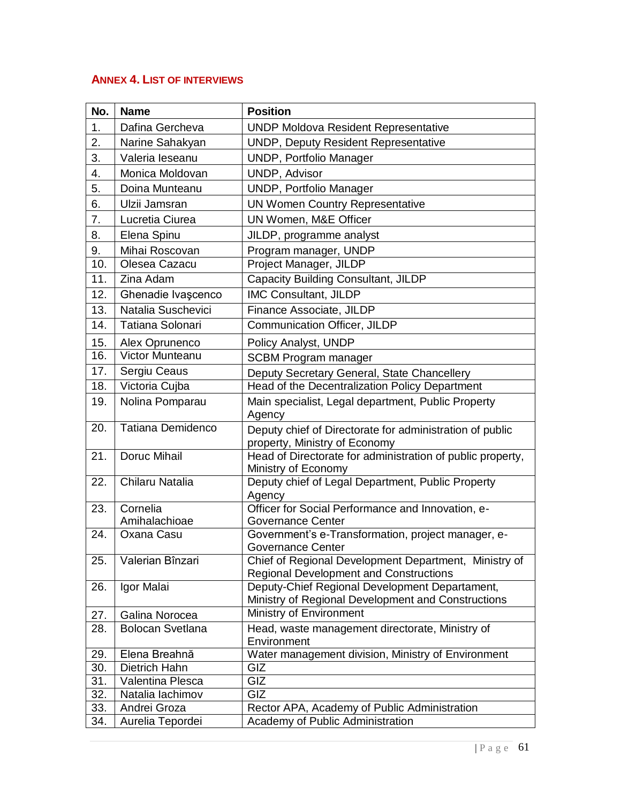## <span id="page-60-0"></span>**ANNEX 4. LIST OF INTERVIEWS**

| No. | <b>Name</b>             | <b>Position</b>                                                                                        |
|-----|-------------------------|--------------------------------------------------------------------------------------------------------|
| 1.  | Dafina Gercheva         | <b>UNDP Moldova Resident Representative</b>                                                            |
| 2.  | Narine Sahakyan         | <b>UNDP, Deputy Resident Representative</b>                                                            |
| 3.  | Valeria leseanu         | UNDP, Portfolio Manager                                                                                |
| 4.  | Monica Moldovan         | <b>UNDP, Advisor</b>                                                                                   |
| 5.  | Doina Munteanu          | UNDP, Portfolio Manager                                                                                |
| 6.  | Ulzii Jamsran           | <b>UN Women Country Representative</b>                                                                 |
| 7.  | Lucretia Ciurea         | UN Women, M&E Officer                                                                                  |
| 8.  | Elena Spinu             | JILDP, programme analyst                                                                               |
| 9.  | Mihai Roscovan          | Program manager, UNDP                                                                                  |
| 10. | Olesea Cazacu           | Project Manager, JILDP                                                                                 |
| 11. | Zina Adam               | Capacity Building Consultant, JILDP                                                                    |
| 12. | Ghenadie Ivașcenco      | <b>IMC Consultant, JILDP</b>                                                                           |
| 13. | Natalia Suschevici      | Finance Associate, JILDP                                                                               |
| 14. | Tatiana Solonari        | Communication Officer, JILDP                                                                           |
| 15. | Alex Oprunenco          | Policy Analyst, UNDP                                                                                   |
| 16. | Victor Munteanu         | <b>SCBM Program manager</b>                                                                            |
| 17. | Sergiu Ceaus            | Deputy Secretary General, State Chancellery                                                            |
| 18. | Victoria Cujba          | Head of the Decentralization Policy Department                                                         |
| 19. | Nolina Pomparau         | Main specialist, Legal department, Public Property<br>Agency                                           |
| 20. | Tatiana Demidenco       | Deputy chief of Directorate for administration of public<br>property, Ministry of Economy              |
| 21. | Doruc Mihail            | Head of Directorate for administration of public property,<br>Ministry of Economy                      |
| 22. | Chilaru Natalia         | Deputy chief of Legal Department, Public Property<br>Agency                                            |
| 23. | Cornelia                | Officer for Social Performance and Innovation, e-                                                      |
|     | Amihalachioae           | <b>Governance Center</b>                                                                               |
| 24. | Oxana Casu              | Government's e-Transformation, project manager, e-<br>Governance Center                                |
| 25. | Valerian Bînzari        | Chief of Regional Development Department, Ministry of<br><b>Regional Development and Constructions</b> |
| 26. | Igor Malai              | Deputy-Chief Regional Development Departament,<br>Ministry of Regional Development and Constructions   |
| 27. | Galina Norocea          | Ministry of Environment                                                                                |
| 28. | <b>Bolocan Svetlana</b> | Head, waste management directorate, Ministry of<br>Environment                                         |
| 29. | Elena Breahnă           | Water management division, Ministry of Environment                                                     |
| 30. | Dietrich Hahn           | GIZ                                                                                                    |
| 31. | Valentina Plesca        | GIZ                                                                                                    |
| 32. | Natalia lachimov        | GIZ                                                                                                    |
| 33. | Andrei Groza            | Rector APA, Academy of Public Administration                                                           |
| 34. | Aurelia Tepordei        | Academy of Public Administration                                                                       |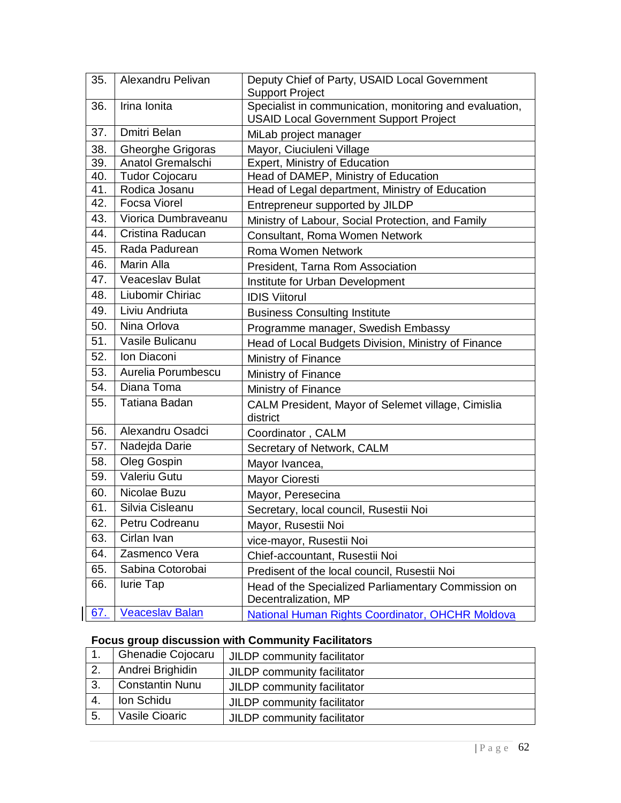| 35. | Alexandru Pelivan      | Deputy Chief of Party, USAID Local Government<br><b>Support Project</b>     |
|-----|------------------------|-----------------------------------------------------------------------------|
| 36. | Irina Ionita           | Specialist in communication, monitoring and evaluation,                     |
|     |                        | <b>USAID Local Government Support Project</b>                               |
| 37. | Dmitri Belan           | MiLab project manager                                                       |
| 38. | Gheorghe Grigoras      | Mayor, Ciuciuleni Village                                                   |
| 39. | Anatol Gremalschi      | Expert, Ministry of Education                                               |
| 40. | <b>Tudor Cojocaru</b>  | Head of DAMEP, Ministry of Education                                        |
| 41. | Rodica Josanu          | Head of Legal department, Ministry of Education                             |
| 42. | <b>Focsa Viorel</b>    | Entrepreneur supported by JILDP                                             |
| 43. | Viorica Dumbraveanu    | Ministry of Labour, Social Protection, and Family                           |
| 44. | Cristina Raducan       | Consultant, Roma Women Network                                              |
| 45. | Rada Padurean          | Roma Women Network                                                          |
| 46. | Marin Alla             | President, Tarna Rom Association                                            |
| 47. | <b>Veaceslav Bulat</b> | Institute for Urban Development                                             |
| 48. | Liubomir Chiriac       | <b>IDIS Viitorul</b>                                                        |
| 49. | Liviu Andriuta         | <b>Business Consulting Institute</b>                                        |
| 50. | Nina Orlova            | Programme manager, Swedish Embassy                                          |
| 51. | Vasile Bulicanu        | Head of Local Budgets Division, Ministry of Finance                         |
| 52. | Ion Diaconi            | Ministry of Finance                                                         |
| 53. | Aurelia Porumbescu     | Ministry of Finance                                                         |
| 54. | Diana Toma             | Ministry of Finance                                                         |
| 55. | Tatiana Badan          | CALM President, Mayor of Selemet village, Cimislia<br>district              |
| 56. | Alexandru Osadci       | Coordinator, CALM                                                           |
| 57. | Nadejda Darie          | Secretary of Network, CALM                                                  |
| 58. | Oleg Gospin            | Mayor Ivancea,                                                              |
| 59. | Valeriu Gutu           | <b>Mayor Cioresti</b>                                                       |
| 60. | Nicolae Buzu           | Mayor, Peresecina                                                           |
| 61. | Silvia Cisleanu        | Secretary, local council, Rusestii Noi                                      |
| 62. | Petru Codreanu         | Mayor, Rusestii Noi                                                         |
| 63. | Cirlan Ivan            | vice-mayor, Rusestii Noi                                                    |
| 64. | Zasmenco Vera          | Chief-accountant, Rusestii Noi                                              |
| 65. | Sabina Cotorobai       | Predisent of the local council, Rusestii Noi                                |
| 66. | lurie Tap              | Head of the Specialized Parliamentary Commission on<br>Decentralization, MP |
| 67. | <b>Veaceslav Balan</b> | National Human Rights Coordinator, OHCHR Moldova                            |

# **Focus group discussion with Community Facilitators**

|     | <b>Ghenadie Cojocaru</b> | JILDP community facilitator |
|-----|--------------------------|-----------------------------|
|     | Andrei Brighidin         | JILDP community facilitator |
| -3. | <b>Constantin Nunu</b>   | JILDP community facilitator |
| 4.  | Ion Schidu               | JILDP community facilitator |
| 5.  | Vasile Cioaric           | JILDP community facilitator |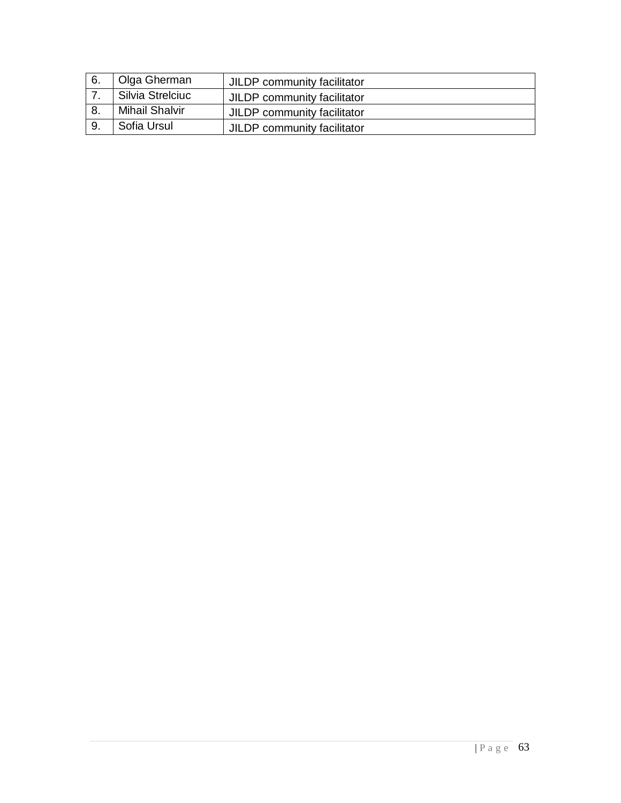| 6. | Olga Gherman          | JILDP community facilitator |
|----|-----------------------|-----------------------------|
|    | Silvia Strelciuc      | JILDP community facilitator |
|    | <b>Mihail Shalvir</b> | JILDP community facilitator |
|    | Sofia Ursul           | JILDP community facilitator |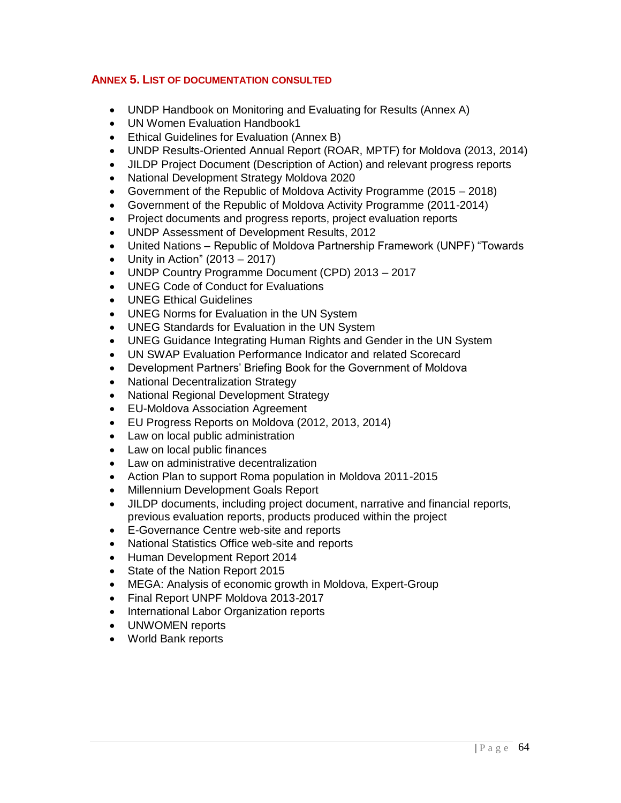## <span id="page-63-0"></span>**ANNEX 5. LIST OF DOCUMENTATION CONSULTED**

- UNDP Handbook on Monitoring and Evaluating for Results (Annex A)
- UN Women Evaluation Handbook1
- Ethical Guidelines for Evaluation (Annex B)
- UNDP Results-Oriented Annual Report (ROAR, MPTF) for Moldova (2013, 2014)
- JILDP Project Document (Description of Action) and relevant progress reports
- National Development Strategy Moldova 2020
- Government of the Republic of Moldova Activity Programme (2015 2018)
- Government of the Republic of Moldova Activity Programme (2011-2014)
- Project documents and progress reports, project evaluation reports
- UNDP Assessment of Development Results, 2012
- United Nations Republic of Moldova Partnership Framework (UNPF) "Towards
- Unity in Action"  $(2013 2017)$
- UNDP Country Programme Document (CPD) 2013 2017
- UNEG Code of Conduct for Evaluations
- UNEG Ethical Guidelines
- UNEG Norms for Evaluation in the UN System
- UNEG Standards for Evaluation in the UN System
- UNEG Guidance Integrating Human Rights and Gender in the UN System
- UN SWAP Evaluation Performance Indicator and related Scorecard
- Development Partners' Briefing Book for the Government of Moldova
- National Decentralization Strategy
- National Regional Development Strategy
- EU-Moldova Association Agreement
- EU Progress Reports on Moldova (2012, 2013, 2014)
- Law on local public administration
- Law on local public finances
- Law on administrative decentralization
- Action Plan to support Roma population in Moldova 2011-2015
- Millennium Development Goals Report
- JILDP documents, including project document, narrative and financial reports, previous evaluation reports, products produced within the project
- E-Governance Centre web-site and reports
- National Statistics Office web-site and reports
- Human Development Report 2014
- State of the Nation Report 2015
- MEGA: Analysis of economic growth in Moldova, Expert-Group
- Final Report UNPF Moldova 2013-2017
- International Labor Organization reports
- UNWOMEN reports
- World Bank reports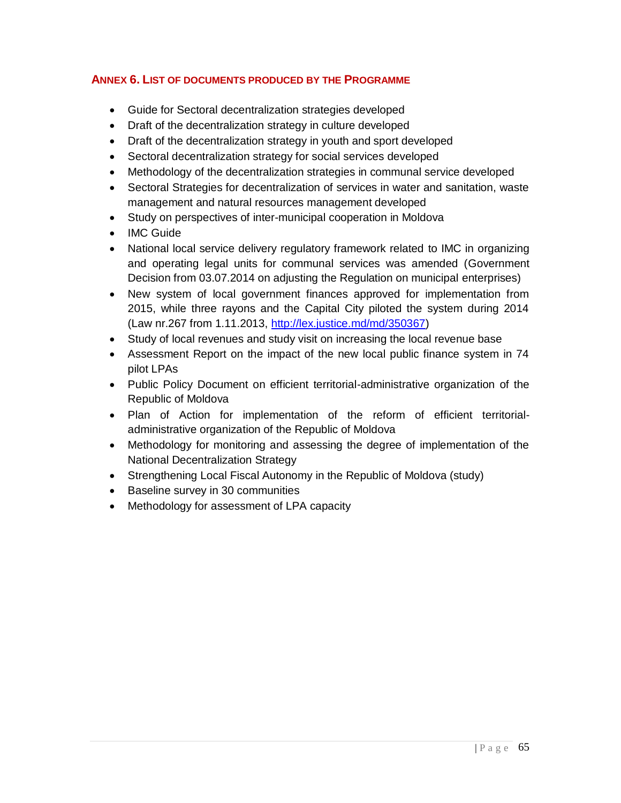## <span id="page-64-0"></span>**ANNEX 6. LIST OF DOCUMENTS PRODUCED BY THE PROGRAMME**

- Guide for Sectoral decentralization strategies developed
- Draft of the decentralization strategy in culture developed
- Draft of the decentralization strategy in youth and sport developed
- Sectoral decentralization strategy for social services developed
- Methodology of the decentralization strategies in communal service developed
- Sectoral Strategies for decentralization of services in water and sanitation, waste management and natural resources management developed
- Study on perspectives of inter-municipal cooperation in Moldova
- IMC Guide
- National local service delivery regulatory framework related to IMC in organizing and operating legal units for communal services was amended (Government Decision from 03.07.2014 on adjusting the Regulation on municipal enterprises)
- New system of local government finances approved for implementation from 2015, while three rayons and the Capital City piloted the system during 2014 (Law nr.267 from 1.11.2013, [http://lex.justice.md/md/350367\)](http://lex.justice.md/md/350367)
- Study of local revenues and study visit on increasing the local revenue base
- Assessment Report on the impact of the new local public finance system in 74 pilot LPAs
- Public Policy Document on efficient territorial-administrative organization of the Republic of Moldova
- Plan of Action for implementation of the reform of efficient territorialadministrative organization of the Republic of Moldova
- Methodology for monitoring and assessing the degree of implementation of the National Decentralization Strategy
- Strengthening Local Fiscal Autonomy in the Republic of Moldova (study)
- Baseline survey in 30 communities
- Methodology for assessment of LPA capacity